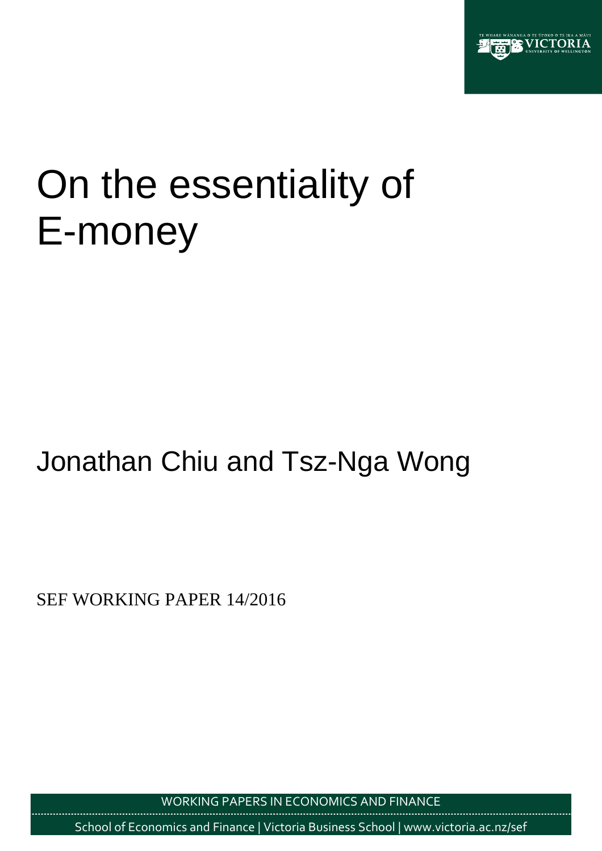

# On the essentiality of E-money

## Jonathan Chiu and Tsz-Nga Wong

SEF WORKING PAPER 14/2016

WORKING PAPERS IN ECONOMICS AND FINANCE

School of Economics and Finance | Victoria Business School | www.victoria.ac.nz/sef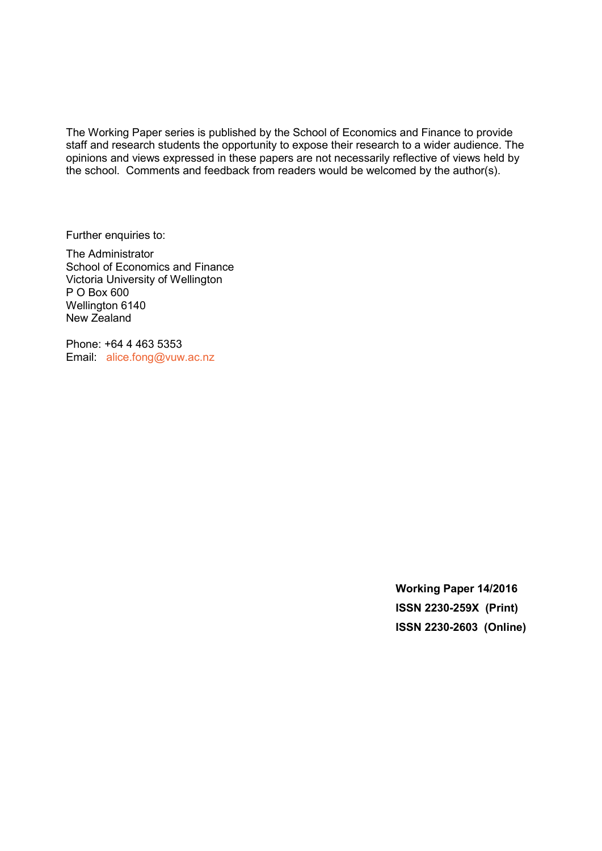The Working Paper series is published by the School of Economics and Finance to provide staff and research students the opportunity to expose their research to a wider audience. The opinions and views expressed in these papers are not necessarily reflective of views held by the school. Comments and feedback from readers would be welcomed by the author(s).

Further enquiries to:

The Administrator School of Economics and Finance Victoria University of Wellington P O Box 600 Wellington 6140 New Zealand

Phone: +64 4 463 5353 Email: [alice.fong@vuw.ac.nz](mailto:alice.fong@vuw.ac.nz)

> **Working Paper 14/2016 ISSN 2230-259X (Print) ISSN 2230-2603 (Online)**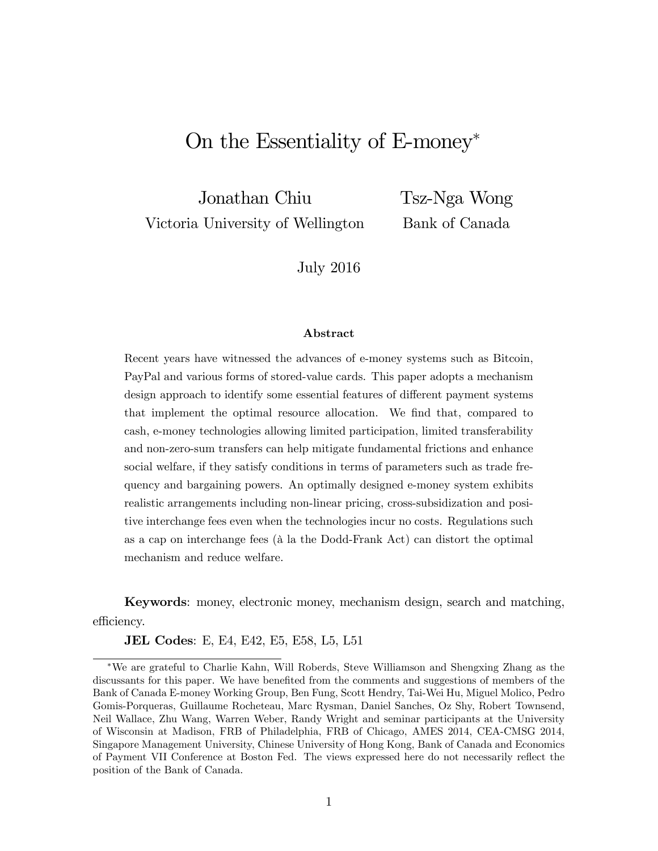## On the Essentiality of E-money

Jonathan Chiu Victoria University of Wellington Tsz-Nga Wong Bank of Canada

July 2016

## Abstract

Recent years have witnessed the advances of e-money systems such as Bitcoin, PayPal and various forms of stored-value cards. This paper adopts a mechanism design approach to identify some essential features of different payment systems that implement the optimal resource allocation. We Önd that, compared to cash, e-money technologies allowing limited participation, limited transferability and non-zero-sum transfers can help mitigate fundamental frictions and enhance social welfare, if they satisfy conditions in terms of parameters such as trade frequency and bargaining powers. An optimally designed e-money system exhibits realistic arrangements including non-linear pricing, cross-subsidization and positive interchange fees even when the technologies incur no costs. Regulations such as a cap on interchange fees ( $\hat{a}$  la the Dodd-Frank Act) can distort the optimal mechanism and reduce welfare.

Keywords: money, electronic money, mechanism design, search and matching, efficiency.

**JEL Codes**: E, E4, E42, E5, E58, L5, L51

We are grateful to Charlie Kahn, Will Roberds, Steve Williamson and Shengxing Zhang as the discussants for this paper. We have benefited from the comments and suggestions of members of the Bank of Canada E-money Working Group, Ben Fung, Scott Hendry, Tai-Wei Hu, Miguel Molico, Pedro Gomis-Porqueras, Guillaume Rocheteau, Marc Rysman, Daniel Sanches, Oz Shy, Robert Townsend, Neil Wallace, Zhu Wang, Warren Weber, Randy Wright and seminar participants at the University of Wisconsin at Madison, FRB of Philadelphia, FRB of Chicago, AMES 2014, CEA-CMSG 2014, Singapore Management University, Chinese University of Hong Kong, Bank of Canada and Economics of Payment VII Conference at Boston Fed. The views expressed here do not necessarily reáect the position of the Bank of Canada.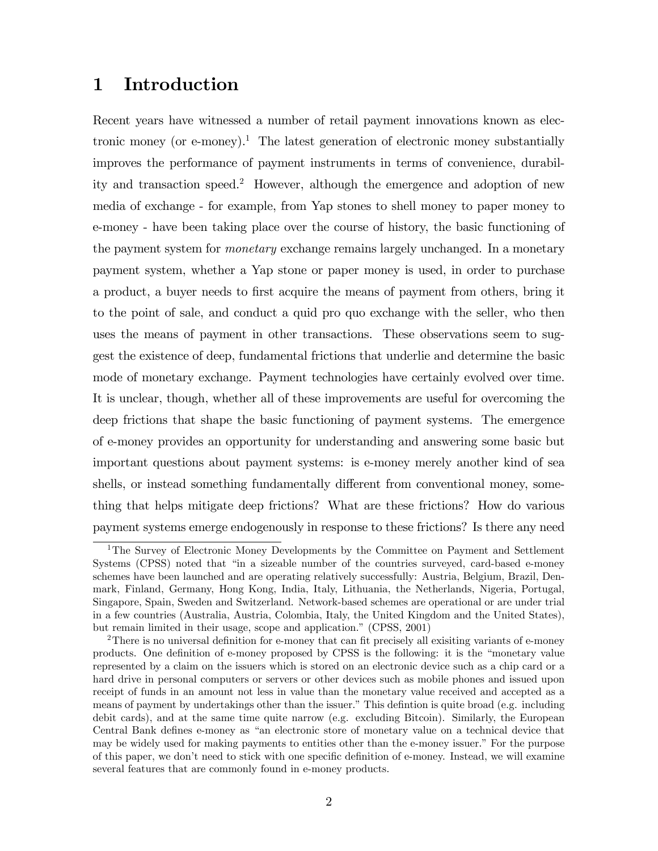## 1 Introduction

Recent years have witnessed a number of retail payment innovations known as electronic money (or e-money).<sup>1</sup> The latest generation of electronic money substantially improves the performance of payment instruments in terms of convenience, durability and transaction speed.<sup>2</sup> However, although the emergence and adoption of new media of exchange - for example, from Yap stones to shell money to paper money to e-money - have been taking place over the course of history, the basic functioning of the payment system for monetary exchange remains largely unchanged. In a monetary payment system, whether a Yap stone or paper money is used, in order to purchase a product, a buyer needs to first acquire the means of payment from others, bring it to the point of sale, and conduct a quid pro quo exchange with the seller, who then uses the means of payment in other transactions. These observations seem to suggest the existence of deep, fundamental frictions that underlie and determine the basic mode of monetary exchange. Payment technologies have certainly evolved over time. It is unclear, though, whether all of these improvements are useful for overcoming the deep frictions that shape the basic functioning of payment systems. The emergence of e-money provides an opportunity for understanding and answering some basic but important questions about payment systems: is e-money merely another kind of sea shells, or instead something fundamentally different from conventional money, something that helps mitigate deep frictions? What are these frictions? How do various payment systems emerge endogenously in response to these frictions? Is there any need

<sup>&</sup>lt;sup>1</sup>The Survey of Electronic Money Developments by the Committee on Payment and Settlement Systems (CPSS) noted that "in a sizeable number of the countries surveyed, card-based e-money schemes have been launched and are operating relatively successfully: Austria, Belgium, Brazil, Denmark, Finland, Germany, Hong Kong, India, Italy, Lithuania, the Netherlands, Nigeria, Portugal, Singapore, Spain, Sweden and Switzerland. Network-based schemes are operational or are under trial in a few countries (Australia, Austria, Colombia, Italy, the United Kingdom and the United States), but remain limited in their usage, scope and application." (CPSS, 2001)

<sup>&</sup>lt;sup>2</sup>There is no universal definition for e-money that can fit precisely all exisiting variants of e-money products. One definition of e-money proposed by CPSS is the following: it is the "monetary value represented by a claim on the issuers which is stored on an electronic device such as a chip card or a hard drive in personal computers or servers or other devices such as mobile phones and issued upon receipt of funds in an amount not less in value than the monetary value received and accepted as a means of payment by undertakings other than the issuer." This definition is quite broad (e.g. including debit cards), and at the same time quite narrow (e.g. excluding Bitcoin). Similarly, the European Central Bank defines e-money as "an electronic store of monetary value on a technical device that may be widely used for making payments to entities other than the e-money issuer." For the purpose of this paper, we don't need to stick with one specific definition of e-money. Instead, we will examine several features that are commonly found in e-money products.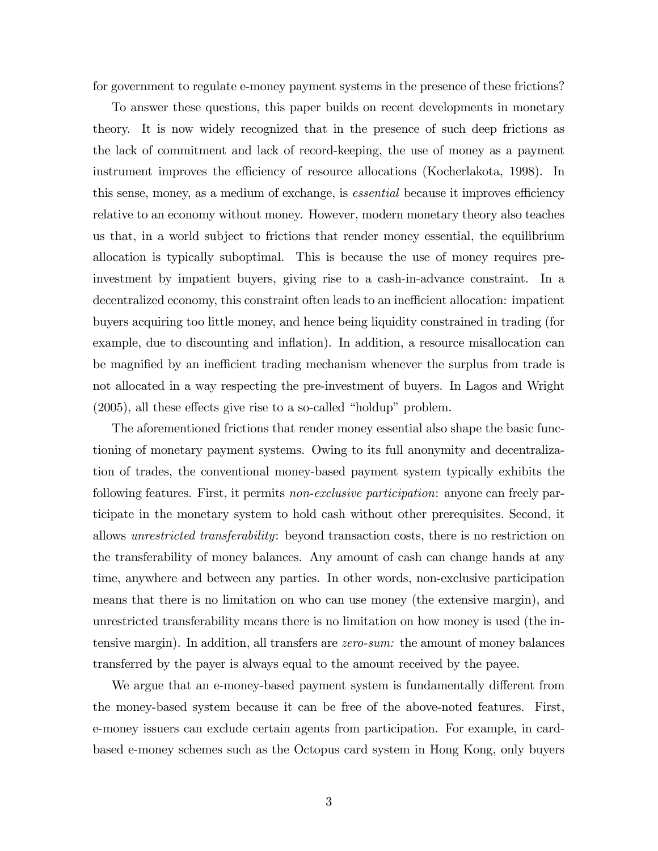for government to regulate e-money payment systems in the presence of these frictions?

To answer these questions, this paper builds on recent developments in monetary theory. It is now widely recognized that in the presence of such deep frictions as the lack of commitment and lack of record-keeping, the use of money as a payment instrument improves the efficiency of resource allocations (Kocherlakota, 1998). In this sense, money, as a medium of exchange, is *essential* because it improves efficiency relative to an economy without money. However, modern monetary theory also teaches us that, in a world subject to frictions that render money essential, the equilibrium allocation is typically suboptimal. This is because the use of money requires preinvestment by impatient buyers, giving rise to a cash-in-advance constraint. In a decentralized economy, this constraint often leads to an inefficient allocation: impatient buyers acquiring too little money, and hence being liquidity constrained in trading (for example, due to discounting and inflation). In addition, a resource misallocation can be magnified by an inefficient trading mechanism whenever the surplus from trade is not allocated in a way respecting the pre-investment of buyers. In Lagos and Wright  $(2005)$ , all these effects give rise to a so-called "holdup" problem.

The aforementioned frictions that render money essential also shape the basic functioning of monetary payment systems. Owing to its full anonymity and decentralization of trades, the conventional money-based payment system typically exhibits the following features. First, it permits non-exclusive participation: anyone can freely participate in the monetary system to hold cash without other prerequisites. Second, it allows unrestricted transferability: beyond transaction costs, there is no restriction on the transferability of money balances. Any amount of cash can change hands at any time, anywhere and between any parties. In other words, non-exclusive participation means that there is no limitation on who can use money (the extensive margin), and unrestricted transferability means there is no limitation on how money is used (the intensive margin). In addition, all transfers are zero-sum: the amount of money balances transferred by the payer is always equal to the amount received by the payee.

We argue that an e-money-based payment system is fundamentally different from the money-based system because it can be free of the above-noted features. First, e-money issuers can exclude certain agents from participation. For example, in cardbased e-money schemes such as the Octopus card system in Hong Kong, only buyers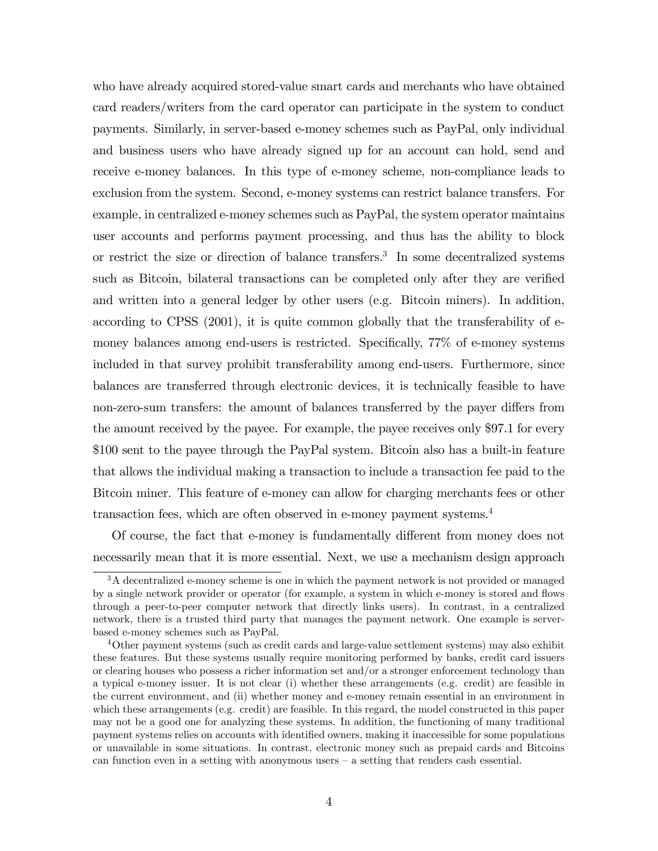who have already acquired stored-value smart cards and merchants who have obtained card readers/writers from the card operator can participate in the system to conduct payments. Similarly, in server-based e-money schemes such as PayPal, only individual and business users who have already signed up for an account can hold, send and receive e-money balances. In this type of e-money scheme, non-compliance leads to exclusion from the system. Second, e-money systems can restrict balance transfers. For example, in centralized e-money schemes such as PayPal, the system operator maintains user accounts and performs payment processing, and thus has the ability to block or restrict the size or direction of balance transfers.<sup>3</sup> In some decentralized systems such as Bitcoin, bilateral transactions can be completed only after they are verified and written into a general ledger by other users (e.g. Bitcoin miners). In addition, according to CPSS (2001), it is quite common globally that the transferability of emoney balances among end-users is restricted. Specifically,  $77\%$  of e-money systems included in that survey prohibit transferability among end-users. Furthermore, since balances are transferred through electronic devices, it is technically feasible to have non-zero-sum transfers: the amount of balances transferred by the payer differs from the amount received by the payee. For example, the payee receives only \$97.1 for every \$100 sent to the payee through the PayPal system. Bitcoin also has a built-in feature that allows the individual making a transaction to include a transaction fee paid to the Bitcoin miner. This feature of e-money can allow for charging merchants fees or other transaction fees, which are often observed in e-money payment systems.<sup>4</sup>

Of course, the fact that e-money is fundamentally different from money does not necessarily mean that it is more essential. Next, we use a mechanism design approach

<sup>&</sup>lt;sup>3</sup>A decentralized e-money scheme is one in which the payment network is not provided or managed by a single network provider or operator (for example, a system in which e-money is stored and flows through a peer-to-peer computer network that directly links users). In contrast, in a centralized network, there is a trusted third party that manages the payment network. One example is serverbased e-money schemes such as PayPal.

<sup>&</sup>lt;sup>4</sup>Other payment systems (such as credit cards and large-value settlement systems) may also exhibit these features. But these systems usually require monitoring performed by banks, credit card issuers or clearing houses who possess a richer information set and/or a stronger enforcement technology than a typical e-money issuer. It is not clear (i) whether these arrangements (e.g. credit) are feasible in the current environment, and (ii) whether money and e-money remain essential in an environment in which these arrangements (e.g. credit) are feasible. In this regard, the model constructed in this paper may not be a good one for analyzing these systems. In addition, the functioning of many traditional payment systems relies on accounts with identified owners, making it inaccessible for some populations or unavailable in some situations. In contrast, electronic money such as prepaid cards and Bitcoins can function even in a setting with anonymous users  $-$  a setting that renders cash essential.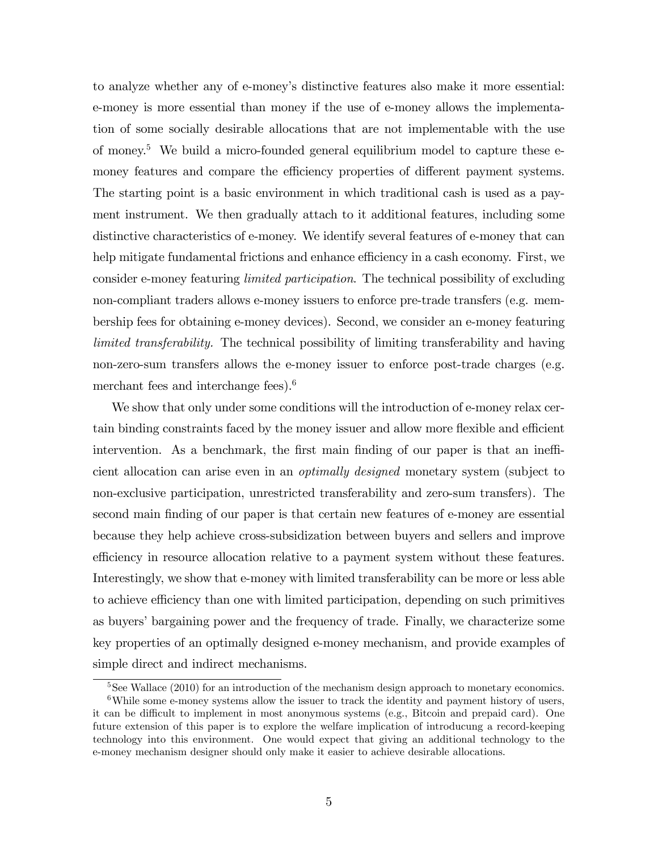to analyze whether any of e-moneyís distinctive features also make it more essential: e-money is more essential than money if the use of e-money allows the implementation of some socially desirable allocations that are not implementable with the use of money.<sup>5</sup> We build a micro-founded general equilibrium model to capture these  $e$ money features and compare the efficiency properties of different payment systems. The starting point is a basic environment in which traditional cash is used as a payment instrument. We then gradually attach to it additional features, including some distinctive characteristics of e-money. We identify several features of e-money that can help mitigate fundamental frictions and enhance efficiency in a cash economy. First, we consider e-money featuring limited participation. The technical possibility of excluding non-compliant traders allows e-money issuers to enforce pre-trade transfers (e.g. membership fees for obtaining e-money devices). Second, we consider an e-money featuring limited transferability. The technical possibility of limiting transferability and having non-zero-sum transfers allows the e-money issuer to enforce post-trade charges (e.g. merchant fees and interchange fees).<sup>6</sup>

We show that only under some conditions will the introduction of e-money relax certain binding constraints faced by the money issuer and allow more flexible and efficient intervention. As a benchmark, the first main finding of our paper is that an inefficient allocation can arise even in an optimally designed monetary system (subject to non-exclusive participation, unrestricted transferability and zero-sum transfers). The second main finding of our paper is that certain new features of e-money are essential because they help achieve cross-subsidization between buyers and sellers and improve efficiency in resource allocation relative to a payment system without these features. Interestingly, we show that e-money with limited transferability can be more or less able to achieve efficiency than one with limited participation, depending on such primitives as buyers' bargaining power and the frequency of trade. Finally, we characterize some key properties of an optimally designed e-money mechanism, and provide examples of simple direct and indirect mechanisms.

 $5$ See Wallace (2010) for an introduction of the mechanism design approach to monetary economics. <sup>6</sup>While some e-money systems allow the issuer to track the identity and payment history of users, it can be difficult to implement in most anonymous systems (e.g., Bitcoin and prepaid card). One future extension of this paper is to explore the welfare implication of introducung a record-keeping technology into this environment. One would expect that giving an additional technology to the e-money mechanism designer should only make it easier to achieve desirable allocations.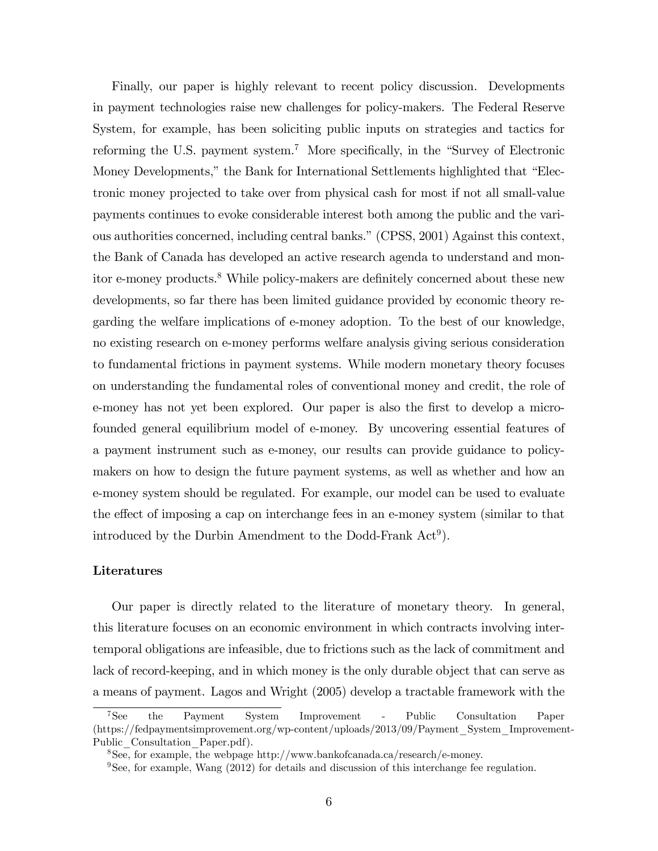Finally, our paper is highly relevant to recent policy discussion. Developments in payment technologies raise new challenges for policy-makers. The Federal Reserve System, for example, has been soliciting public inputs on strategies and tactics for reforming the U.S. payment system.<sup>7</sup> More specifically, in the "Survey of Electronic Money Developments," the Bank for International Settlements highlighted that "Electronic money projected to take over from physical cash for most if not all small-value payments continues to evoke considerable interest both among the public and the various authorities concerned, including central banks." (CPSS, 2001) Against this context, the Bank of Canada has developed an active research agenda to understand and monitor e-money products.<sup>8</sup> While policy-makers are definitely concerned about these new developments, so far there has been limited guidance provided by economic theory regarding the welfare implications of e-money adoption. To the best of our knowledge, no existing research on e-money performs welfare analysis giving serious consideration to fundamental frictions in payment systems. While modern monetary theory focuses on understanding the fundamental roles of conventional money and credit, the role of e-money has not yet been explored. Our paper is also the first to develop a microfounded general equilibrium model of e-money. By uncovering essential features of a payment instrument such as e-money, our results can provide guidance to policymakers on how to design the future payment systems, as well as whether and how an e-money system should be regulated. For example, our model can be used to evaluate the effect of imposing a cap on interchange fees in an e-money system (similar to that introduced by the Durbin Amendment to the Dodd-Frank  $Act<sup>9</sup>$ ).

## Literatures

Our paper is directly related to the literature of monetary theory. In general, this literature focuses on an economic environment in which contracts involving intertemporal obligations are infeasible, due to frictions such as the lack of commitment and lack of record-keeping, and in which money is the only durable object that can serve as a means of payment. Lagos and Wright (2005) develop a tractable framework with the

<sup>7</sup>See the Payment System Improvement - Public Consultation Paper (https://fedpaymentsimprovement.org/wp-content/uploads/2013/09/Payment\_System\_Improvement-Public Consultation Paper.pdf).

<sup>8</sup>See, for example, the webpage http://www.bankofcanada.ca/research/e-money.

 $9$ See, for example, Wang (2012) for details and discussion of this interchange fee regulation.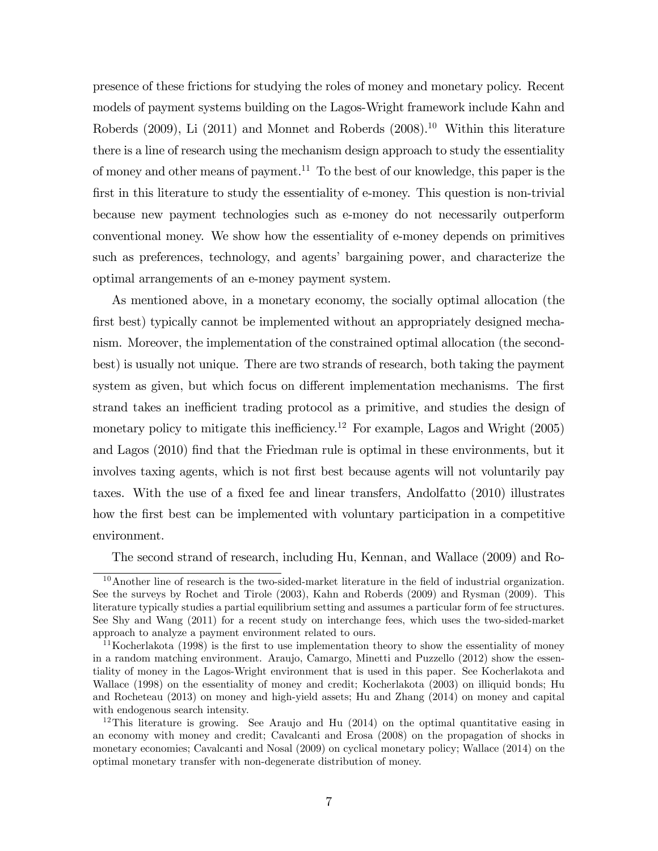presence of these frictions for studying the roles of money and monetary policy. Recent models of payment systems building on the Lagos-Wright framework include Kahn and Roberds (2009), Li (2011) and Monnet and Roberds (2008).<sup>10</sup> Within this literature there is a line of research using the mechanism design approach to study the essentiality of money and other means of payment.<sup>11</sup> To the best of our knowledge, this paper is the first in this literature to study the essentiality of e-money. This question is non-trivial because new payment technologies such as e-money do not necessarily outperform conventional money. We show how the essentiality of e-money depends on primitives such as preferences, technology, and agents' bargaining power, and characterize the optimal arrangements of an e-money payment system.

As mentioned above, in a monetary economy, the socially optimal allocation (the first best) typically cannot be implemented without an appropriately designed mechanism. Moreover, the implementation of the constrained optimal allocation (the secondbest) is usually not unique. There are two strands of research, both taking the payment system as given, but which focus on different implementation mechanisms. The first strand takes an inefficient trading protocol as a primitive, and studies the design of monetary policy to mitigate this inefficiency.<sup>12</sup> For example, Lagos and Wright  $(2005)$ and Lagos (2010) find that the Friedman rule is optimal in these environments, but it involves taxing agents, which is not first best because agents will not voluntarily pay taxes. With the use of a fixed fee and linear transfers, Andolfatto (2010) illustrates how the first best can be implemented with voluntary participation in a competitive environment.

The second strand of research, including Hu, Kennan, and Wallace (2009) and Ro-

 $10$ Another line of research is the two-sided-market literature in the field of industrial organization. See the surveys by Rochet and Tirole (2003), Kahn and Roberds (2009) and Rysman (2009). This literature typically studies a partial equilibrium setting and assumes a particular form of fee structures. See Shy and Wang (2011) for a recent study on interchange fees, which uses the two-sided-market approach to analyze a payment environment related to ours.

<sup>&</sup>lt;sup>11</sup>Kocherlakota (1998) is the first to use implementation theory to show the essentiality of money in a random matching environment. Araujo, Camargo, Minetti and Puzzello (2012) show the essentiality of money in the Lagos-Wright environment that is used in this paper. See Kocherlakota and Wallace (1998) on the essentiality of money and credit; Kocherlakota (2003) on illiquid bonds; Hu and Rocheteau (2013) on money and high-yield assets; Hu and Zhang (2014) on money and capital with endogenous search intensity.

<sup>&</sup>lt;sup>12</sup>This literature is growing. See Araujo and Hu  $(2014)$  on the optimal quantitative easing in an economy with money and credit; Cavalcanti and Erosa (2008) on the propagation of shocks in monetary economies; Cavalcanti and Nosal (2009) on cyclical monetary policy; Wallace (2014) on the optimal monetary transfer with non-degenerate distribution of money.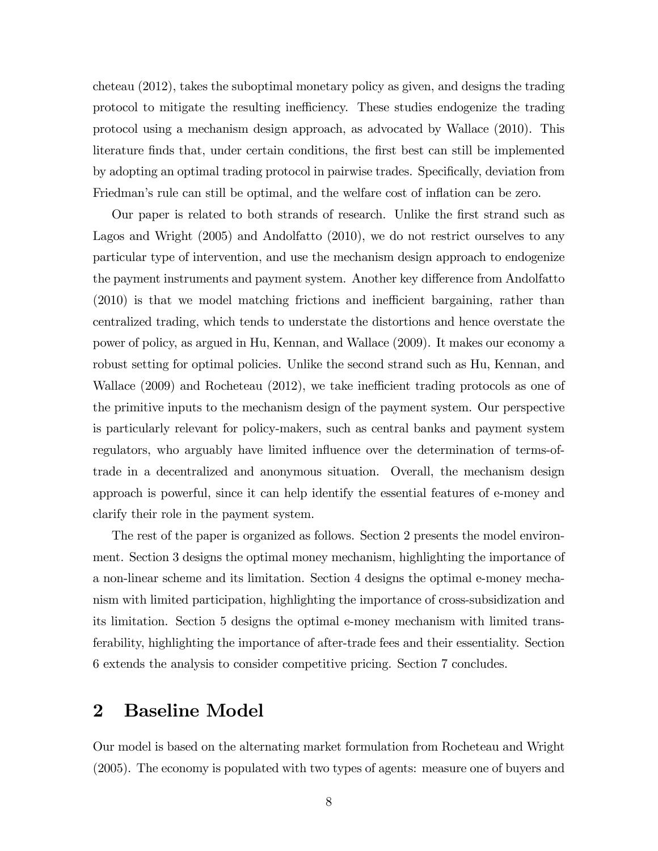cheteau (2012), takes the suboptimal monetary policy as given, and designs the trading protocol to mitigate the resulting inefficiency. These studies endogenize the trading protocol using a mechanism design approach, as advocated by Wallace (2010). This literature finds that, under certain conditions, the first best can still be implemented by adopting an optimal trading protocol in pairwise trades. Specifically, deviation from Friedman's rule can still be optimal, and the welfare cost of inflation can be zero.

Our paper is related to both strands of research. Unlike the first strand such as Lagos and Wright (2005) and Andolfatto (2010), we do not restrict ourselves to any particular type of intervention, and use the mechanism design approach to endogenize the payment instruments and payment system. Another key difference from Andolfatto  $(2010)$  is that we model matching frictions and inefficient bargaining, rather than centralized trading, which tends to understate the distortions and hence overstate the power of policy, as argued in Hu, Kennan, and Wallace (2009). It makes our economy a robust setting for optimal policies. Unlike the second strand such as Hu, Kennan, and Wallace  $(2009)$  and Rocheteau  $(2012)$ , we take inefficient trading protocols as one of the primitive inputs to the mechanism design of the payment system. Our perspective is particularly relevant for policy-makers, such as central banks and payment system regulators, who arguably have limited influence over the determination of terms-oftrade in a decentralized and anonymous situation. Overall, the mechanism design approach is powerful, since it can help identify the essential features of e-money and clarify their role in the payment system.

The rest of the paper is organized as follows. Section 2 presents the model environment. Section 3 designs the optimal money mechanism, highlighting the importance of a non-linear scheme and its limitation. Section 4 designs the optimal e-money mechanism with limited participation, highlighting the importance of cross-subsidization and its limitation. Section 5 designs the optimal e-money mechanism with limited transferability, highlighting the importance of after-trade fees and their essentiality. Section 6 extends the analysis to consider competitive pricing. Section 7 concludes.

## 2 Baseline Model

Our model is based on the alternating market formulation from Rocheteau and Wright (2005). The economy is populated with two types of agents: measure one of buyers and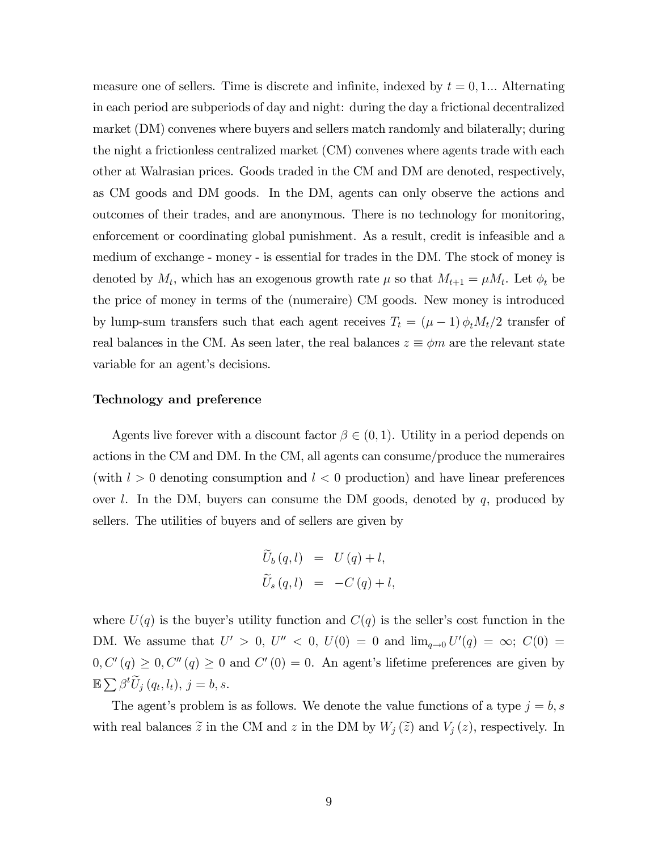measure one of sellers. Time is discrete and infinite, indexed by  $t = 0, 1...$  Alternating in each period are subperiods of day and night: during the day a frictional decentralized market (DM) convenes where buyers and sellers match randomly and bilaterally; during the night a frictionless centralized market (CM) convenes where agents trade with each other at Walrasian prices. Goods traded in the CM and DM are denoted, respectively, as CM goods and DM goods. In the DM, agents can only observe the actions and outcomes of their trades, and are anonymous. There is no technology for monitoring, enforcement or coordinating global punishment. As a result, credit is infeasible and a medium of exchange - money - is essential for trades in the DM. The stock of money is denoted by  $M_t$ , which has an exogenous growth rate  $\mu$  so that  $M_{t+1} = \mu M_t$ . Let  $\phi_t$  be the price of money in terms of the (numeraire) CM goods. New money is introduced by lump-sum transfers such that each agent receives  $T_t = (\mu - 1) \phi_t M_t/2$  transfer of real balances in the CM. As seen later, the real balances  $z \equiv \phi m$  are the relevant state variable for an agent's decisions.

#### Technology and preference

Agents live forever with a discount factor  $\beta \in (0,1)$ . Utility in a period depends on actions in the CM and DM. In the CM, all agents can consume/produce the numeraires (with  $l > 0$  denoting consumption and  $l < 0$  production) and have linear preferences over  $l$ . In the DM, buyers can consume the DM goods, denoted by  $q$ , produced by sellers. The utilities of buyers and of sellers are given by

$$
U_b(q, l) = U(q) + l,
$$
  

$$
\widetilde{U}_s(q, l) = -C(q) + l,
$$

where  $U(q)$  is the buyer's utility function and  $C(q)$  is the seller's cost function in the DM. We assume that  $U' > 0$ ,  $U'' < 0$ ,  $U(0) = 0$  and  $\lim_{q \to 0} U'(q) = \infty$ ;  $C(0) =$  $0, C'(q) \geq 0, C''(q) \geq 0$  and  $C'(0) = 0$ . An agent's lifetime preferences are given by  $\mathbb{E}\sum \beta^t \widetilde{U}_j(q_t,l_t), j = b, s.$ 

The agent's problem is as follows. We denote the value functions of a type  $j = b$ , s with real balances  $\tilde{z}$  in the CM and z in the DM by  $W_j(\tilde{z})$  and  $V_j(z)$ , respectively. In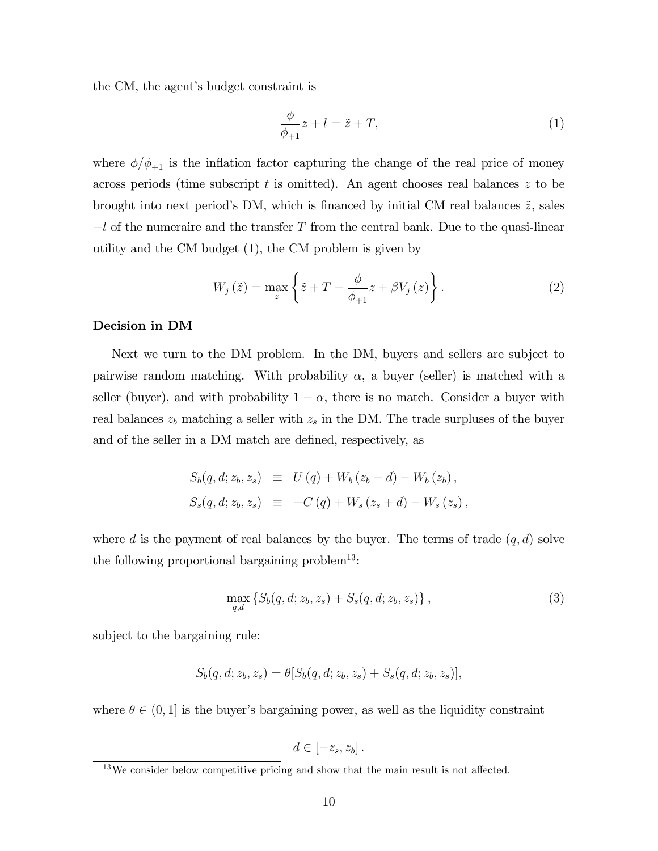the CM, the agent's budget constraint is

$$
\frac{\phi}{\phi_{+1}}z + l = \tilde{z} + T,\tag{1}
$$

where  $\phi/\phi_{+1}$  is the inflation factor capturing the change of the real price of money across periods (time subscript t is omitted). An agent chooses real balances z to be brought into next period's DM, which is financed by initial CM real balances  $\tilde{z}$ , sales  $-l$  of the numeraire and the transfer T from the central bank. Due to the quasi-linear utility and the CM budget (1), the CM problem is given by

$$
W_{j}\left(\tilde{z}\right) = \max_{z} \left\{\tilde{z} + T - \frac{\phi}{\phi_{+1}}z + \beta V_{j}\left(z\right)\right\}.
$$
 (2)

## Decision in DM

Next we turn to the DM problem. In the DM, buyers and sellers are subject to pairwise random matching. With probability  $\alpha$ , a buyer (seller) is matched with a seller (buyer), and with probability  $1 - \alpha$ , there is no match. Consider a buyer with real balances  $z_b$  matching a seller with  $z_s$  in the DM. The trade surpluses of the buyer and of the seller in a DM match are defined, respectively, as

$$
S_b(q, d; z_b, z_s) \equiv U(q) + W_b(z_b - d) - W_b(z_b),
$$
  

$$
S_s(q, d; z_b, z_s) \equiv -C(q) + W_s(z_s + d) - W_s(z_s),
$$

where d is the payment of real balances by the buyer. The terms of trade  $(q, d)$  solve the following proportional bargaining problem<sup>13</sup>:

$$
\max_{q,d} \left\{ S_b(q, d; z_b, z_s) + S_s(q, d; z_b, z_s) \right\},\tag{3}
$$

subject to the bargaining rule:

$$
S_b(q, d; z_b, z_s) = \theta [S_b(q, d; z_b, z_s) + S_s(q, d; z_b, z_s)],
$$

where  $\theta \in (0, 1]$  is the buyer's bargaining power, as well as the liquidity constraint

$$
d\in\left[-z_s,z_b\right].
$$

 $13$ We consider below competitive pricing and show that the main result is not affected.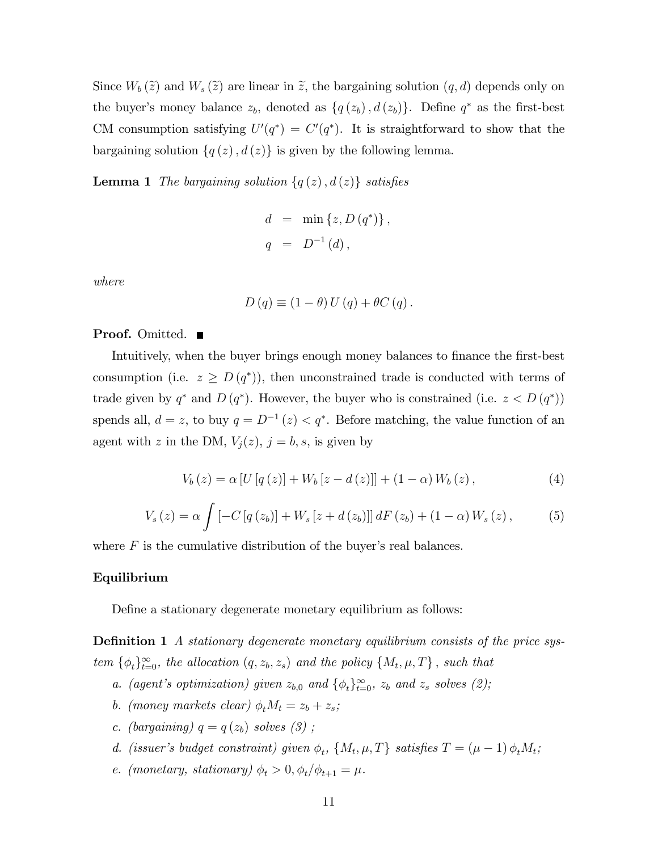Since  $W_b(\tilde{z})$  and  $W_s(\tilde{z})$  are linear in  $\tilde{z}$ , the bargaining solution  $(q, d)$  depends only on the buyer's money balance  $z_b$ , denoted as  $\{q(z_b), d(z_b)\}\$ . Define  $q^*$  as the first-best CM consumption satisfying  $U'(q^*) = C'(q^*)$ . It is straightforward to show that the bargaining solution  $\{q(z), d(z)\}\$ is given by the following lemma.

**Lemma 1** The bargaining solution  $\{q(z), d(z)\}\$  satisfies

$$
d = \min \{ z, D (q^*) \},
$$
  

$$
q = D^{-1} (d),
$$

where

$$
D(q) \equiv (1 - \theta) U(q) + \theta C(q).
$$

## **Proof.** Omitted. ■

Intuitively, when the buyer brings enough money balances to finance the first-best consumption (i.e.  $z \ge D(q^*)$ ), then unconstrained trade is conducted with terms of trade given by  $q^*$  and  $D(q^*)$ . However, the buyer who is constrained (i.e.  $z < D(q^*)$ ) spends all,  $d = z$ , to buy  $q = D^{-1}(z) < q^*$ . Before matching, the value function of an agent with z in the DM,  $V_j(z)$ ,  $j = b, s$ , is given by

$$
V_b(z) = \alpha [U[q(z)] + W_b[z - d(z)]] + (1 - \alpha) W_b(z), \qquad (4)
$$

$$
V_s(z) = \alpha \int \left[ -C \left[ q \left( z_b \right) \right] + W_s \left[ z + d \left( z_b \right) \right] \right] dF \left( z_b \right) + \left( 1 - \alpha \right) W_s \left( z \right), \tag{5}
$$

where  $F$  is the cumulative distribution of the buyer's real balances.

## Equilibrium

Define a stationary degenerate monetary equilibrium as follows:

**Definition 1** A stationary degenerate monetary equilibrium consists of the price system  $\{\phi_t\}_{t=0}^{\infty}$ , the allocation  $(q, z_b, z_s)$  and the policy  $\{M_t, \mu, T\}$ , such that

- a. (agent's optimization) given  $z_{b,0}$  and  $\{\phi_t\}_{t=0}^{\infty}$ ,  $z_b$  and  $z_s$  solves (2);
- b. (money markets clear)  $\phi_t M_t = z_b + z_s$ ;
- c. (bargaining)  $q = q(z_b)$  solves (3);
- d. (issuer's budget constraint) given  $\phi_t$ ,  $\{M_t, \mu, T\}$  satisfies  $T = (\mu 1) \phi_t M_t$ ;
- e. (monetary, stationary)  $\phi_t > 0, \phi_t/\phi_{t+1} = \mu$ .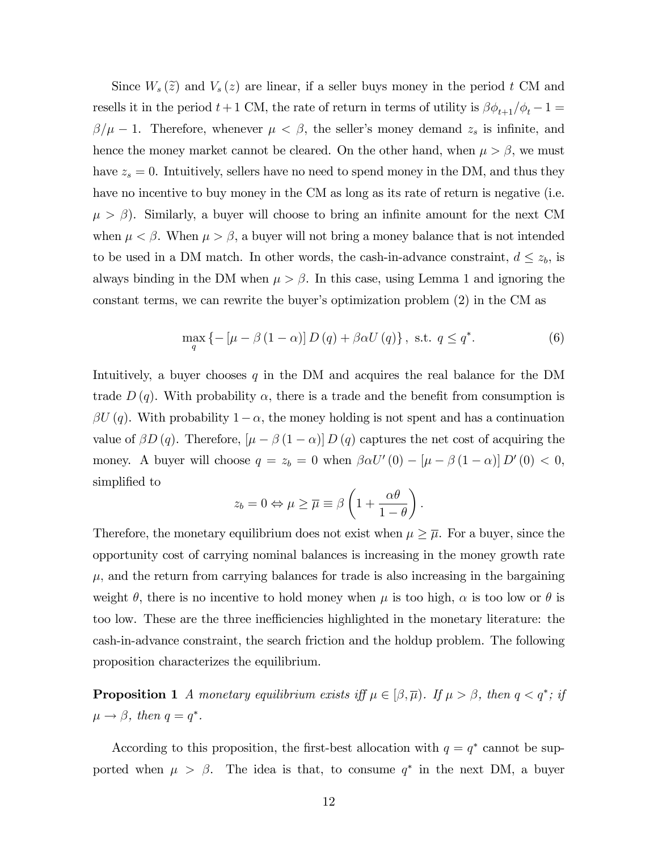Since  $W_s(\tilde{z})$  and  $V_s(z)$  are linear, if a seller buys money in the period t CM and resells it in the period  $t+1$  CM, the rate of return in terms of utility is  $\beta \phi_{t+1}/\phi_t - 1 =$  $\beta/\mu - 1$ . Therefore, whenever  $\mu < \beta$ , the seller's money demand  $z_s$  is infinite, and hence the money market cannot be cleared. On the other hand, when  $\mu > \beta$ , we must have  $z_s = 0$ . Intuitively, sellers have no need to spend money in the DM, and thus they have no incentive to buy money in the CM as long as its rate of return is negative (i.e.  $\mu > \beta$ ). Similarly, a buyer will choose to bring an infinite amount for the next CM when  $\mu < \beta$ . When  $\mu > \beta$ , a buyer will not bring a money balance that is not intended to be used in a DM match. In other words, the cash-in-advance constraint,  $d \leq z_b$ , is always binding in the DM when  $\mu > \beta$ . In this case, using Lemma 1 and ignoring the constant terms, we can rewrite the buyer's optimization problem  $(2)$  in the CM as

$$
\max_{q} \left\{ -\left[\mu - \beta \left(1 - \alpha\right)\right] D\left(q\right) + \beta \alpha U\left(q\right) \right\}, \text{ s.t. } q \leq q^*.
$$
 (6)

Intuitively, a buyer chooses  $q$  in the DM and acquires the real balance for the DM trade  $D(q)$ . With probability  $\alpha$ , there is a trade and the benefit from consumption is  $\beta U(q)$ . With probability  $1-\alpha$ , the money holding is not spent and has a continuation value of  $\beta D(q)$ . Therefore,  $\left[\mu - \beta (1 - \alpha)\right] D(q)$  captures the net cost of acquiring the money. A buyer will choose  $q = z_b = 0$  when  $\beta \alpha U'(0) - [\mu - \beta (1 - \alpha)] D'(0) < 0$ , simplified to

$$
z_b = 0 \Leftrightarrow \mu \ge \overline{\mu} \equiv \beta \left( 1 + \frac{\alpha \theta}{1 - \theta} \right).
$$

Therefore, the monetary equilibrium does not exist when  $\mu \geq \overline{\mu}$ . For a buyer, since the opportunity cost of carrying nominal balances is increasing in the money growth rate  $\mu$ , and the return from carrying balances for trade is also increasing in the bargaining weight  $\theta$ , there is no incentive to hold money when  $\mu$  is too high,  $\alpha$  is too low or  $\theta$  is too low. These are the three inefficiencies highlighted in the monetary literature: the cash-in-advance constraint, the search friction and the holdup problem. The following proposition characterizes the equilibrium.

**Proposition 1** A monetary equilibrium exists iff  $\mu \in [\beta, \overline{\mu})$ . If  $\mu > \beta$ , then  $q < q^*$ ; if  $\mu \rightarrow \beta$ , then  $q = q^*$ .

According to this proposition, the first-best allocation with  $q = q^*$  cannot be supported when  $\mu > \beta$ . The idea is that, to consume  $q^*$  in the next DM, a buyer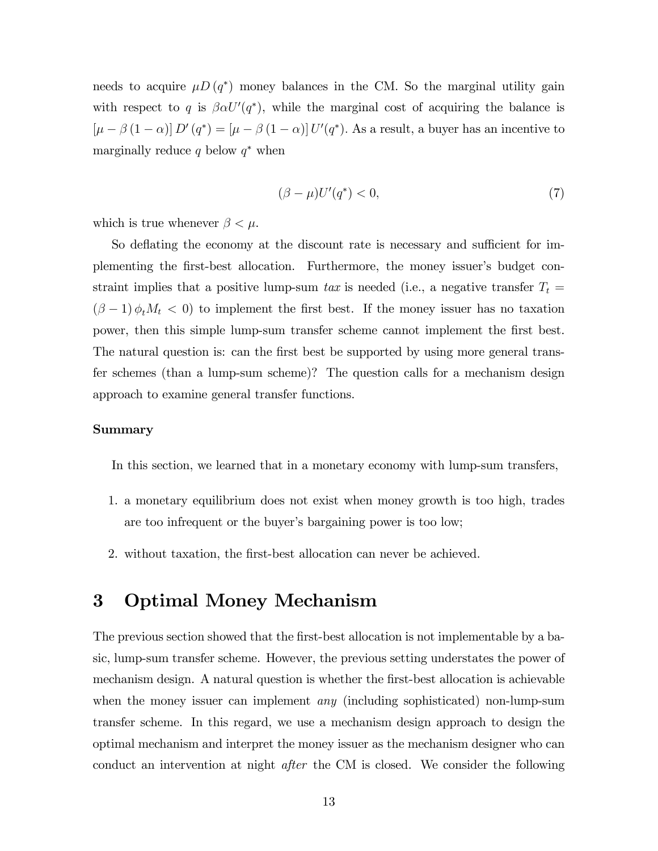needs to acquire  $\mu D (q^*)$  money balances in the CM. So the marginal utility gain with respect to q is  $\beta \alpha U'(q^*)$ , while the marginal cost of acquiring the balance is  $[\mu - \beta (1 - \alpha)] D'(q^*) = [\mu - \beta (1 - \alpha)] U'(q^*)$ . As a result, a buyer has an incentive to marginally reduce  $q$  below  $q^*$  when

$$
(\beta - \mu)U'(q^*) < 0,\tag{7}
$$

which is true whenever  $\beta < \mu$ .

So deflating the economy at the discount rate is necessary and sufficient for implementing the first-best allocation. Furthermore, the money issuer's budget constraint implies that a positive lump-sum tax is needed (i.e., a negative transfer  $T_t =$  $(\beta - 1)\phi_t M_t < 0$  to implement the first best. If the money issuer has no taxation power, then this simple lump-sum transfer scheme cannot implement the first best. The natural question is: can the first best be supported by using more general transfer schemes (than a lump-sum scheme)? The question calls for a mechanism design approach to examine general transfer functions.

## Summary

In this section, we learned that in a monetary economy with lump-sum transfers,

- 1. a monetary equilibrium does not exist when money growth is too high, trades are too infrequent or the buyer's bargaining power is too low;
- 2. without taxation, the first-best allocation can never be achieved.

## 3 Optimal Money Mechanism

The previous section showed that the first-best allocation is not implementable by a basic, lump-sum transfer scheme. However, the previous setting understates the power of mechanism design. A natural question is whether the first-best allocation is achievable when the money issuer can implement *any* (including sophisticated) non-lump-sum transfer scheme. In this regard, we use a mechanism design approach to design the optimal mechanism and interpret the money issuer as the mechanism designer who can conduct an intervention at night after the CM is closed. We consider the following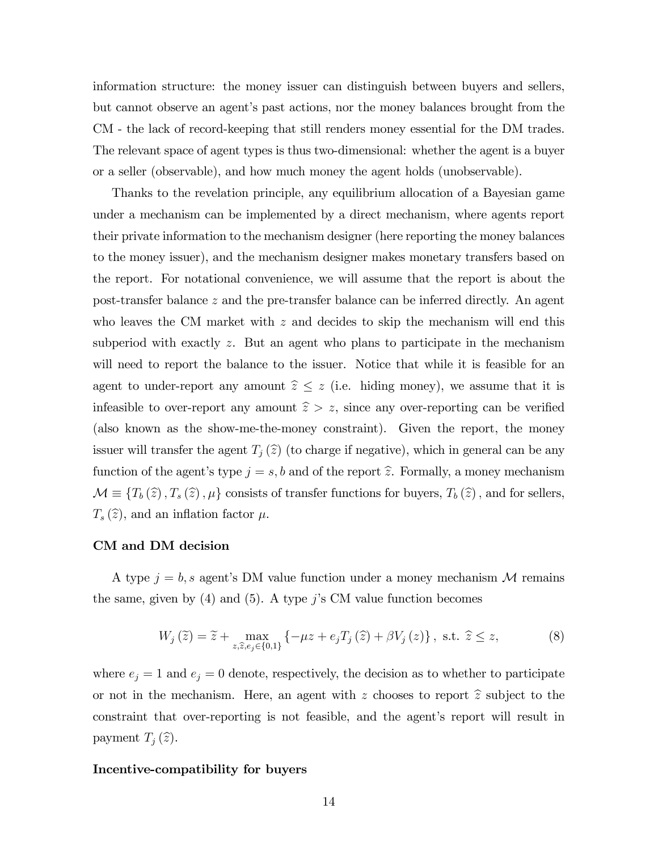information structure: the money issuer can distinguish between buyers and sellers, but cannot observe an agent's past actions, nor the money balances brought from the CM - the lack of record-keeping that still renders money essential for the DM trades. The relevant space of agent types is thus two-dimensional: whether the agent is a buyer or a seller (observable), and how much money the agent holds (unobservable).

Thanks to the revelation principle, any equilibrium allocation of a Bayesian game under a mechanism can be implemented by a direct mechanism, where agents report their private information to the mechanism designer (here reporting the money balances to the money issuer), and the mechanism designer makes monetary transfers based on the report. For notational convenience, we will assume that the report is about the post-transfer balance z and the pre-transfer balance can be inferred directly. An agent who leaves the CM market with  $z$  and decides to skip the mechanism will end this subperiod with exactly  $z$ . But an agent who plans to participate in the mechanism will need to report the balance to the issuer. Notice that while it is feasible for an agent to under-report any amount  $\hat{z} \leq z$  (i.e. hiding money), we assume that it is infeasible to over-report any amount  $\hat{z} > z$ , since any over-reporting can be verified (also known as the show-me-the-money constraint). Given the report, the money issuer will transfer the agent  $T_j(\hat{z})$  (to charge if negative), which in general can be any function of the agent's type  $j = s, b$  and of the report  $\hat{z}$ . Formally, a money mechanism  $\mathcal{M} \equiv \{T_b (\hat{z}), T_s (\hat{z}), \mu\}$  consists of transfer functions for buyers,  $T_b (\hat{z})$ , and for sellers,  $T_s(\hat{z})$ , and an inflation factor  $\mu$ .

## CM and DM decision

A type  $j = b$ , s agent's DM value function under a money mechanism M remains the same, given by  $(4)$  and  $(5)$ . A type j's CM value function becomes

$$
W_j\left(\tilde{z}\right) = \tilde{z} + \max_{z,\tilde{z},e_j \in \{0,1\}} \left\{-\mu z + e_j T_j\left(\tilde{z}\right) + \beta V_j\left(z\right)\right\}, \text{ s.t. } \tilde{z} \le z,
$$
 (8)

where  $e_j = 1$  and  $e_j = 0$  denote, respectively, the decision as to whether to participate or not in the mechanism. Here, an agent with z chooses to report  $\hat{z}$  subject to the constraint that over-reporting is not feasible, and the agent's report will result in payment  $T_i(\widehat{z})$ .

## Incentive-compatibility for buyers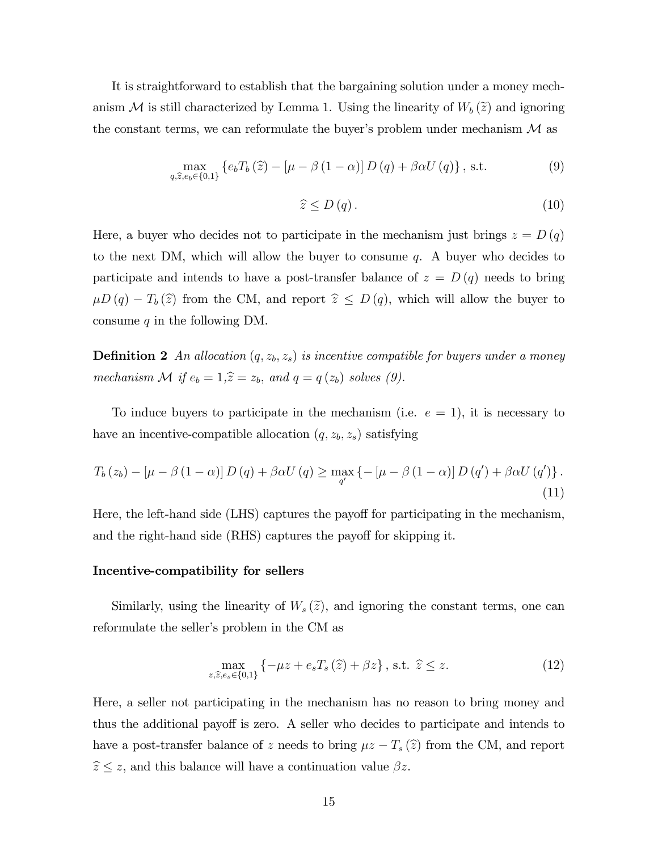It is straightforward to establish that the bargaining solution under a money mechanism M is still characterized by Lemma 1. Using the linearity of  $W_b(\tilde{z})$  and ignoring the constant terms, we can reformulate the buyer's problem under mechanism  $\mathcal M$  as

$$
\max_{q,\hat{z},e_b\in\{0,1\}}\left\{e_bT_b\left(\hat{z}\right) - \left[\mu - \beta\left(1-\alpha\right)\right]D\left(q\right) + \beta\alpha U\left(q\right)\right\},\,\text{s.t.}\tag{9}
$$

$$
\widehat{z} \le D(q). \tag{10}
$$

Here, a buyer who decides not to participate in the mechanism just brings  $z = D(q)$ to the next DM, which will allow the buyer to consume q. A buyer who decides to participate and intends to have a post-transfer balance of  $z = D(q)$  needs to bring  $\mu D (q) - T_b (\hat{z})$  from the CM, and report  $\hat{z} \le D (q)$ , which will allow the buyer to consume  $q$  in the following DM.

**Definition 2** An allocation  $(q, z_b, z_s)$  is incentive compatible for buyers under a money mechanism M if  $e_b = 1, \hat{z} = z_b$ , and  $q = q (z_b)$  solves (9).

To induce buyers to participate in the mechanism (i.e.  $e = 1$ ), it is necessary to have an incentive-compatible allocation  $(q, z_b, z_s)$  satisfying

$$
T_b(z_b) - \left[\mu - \beta (1 - \alpha)\right] D(q) + \beta \alpha U(q) \ge \max_{q'} \left\{-\left[\mu - \beta (1 - \alpha)\right] D(q') + \beta \alpha U(q')\right\}.
$$
\n(11)

Here, the left-hand side (LHS) captures the payoff for participating in the mechanism, and the right-hand side (RHS) captures the payoff for skipping it.

## Incentive-compatibility for sellers

Similarly, using the linearity of  $W_s(\tilde{z})$ , and ignoring the constant terms, one can reformulate the seller's problem in the CM as

$$
\max_{z,\hat{z},e_s \in \{0,1\}} \left\{ -\mu z + e_s T_s\left(\hat{z}\right) + \beta z \right\}, \text{ s.t. } \hat{z} \le z. \tag{12}
$$

Here, a seller not participating in the mechanism has no reason to bring money and thus the additional payoff is zero. A seller who decides to participate and intends to have a post-transfer balance of z needs to bring  $\mu z - T_s(\hat{z})$  from the CM, and report  $\hat{z} \leq z$ , and this balance will have a continuation value  $\beta z$ .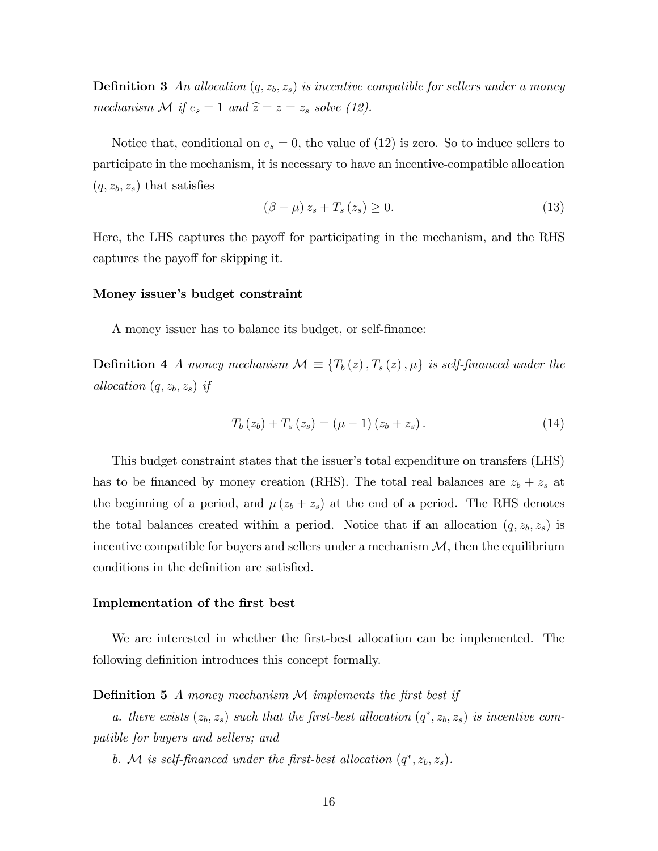**Definition 3** An allocation  $(q, z_b, z_s)$  is incentive compatible for sellers under a money mechanism  $\mathcal M$  if  $e_s = 1$  and  $\hat{z} = z = z_s$  solve (12).

Notice that, conditional on  $e_s = 0$ , the value of (12) is zero. So to induce sellers to participate in the mechanism, it is necessary to have an incentive-compatible allocation  $(q, z_b, z_s)$  that satisfies

$$
(\beta - \mu) z_s + T_s(z_s) \ge 0. \tag{13}
$$

Here, the LHS captures the payoff for participating in the mechanism, and the RHS captures the payoff for skipping it.

## Money issuer's budget constraint

A money issuer has to balance its budget, or self-Önance:

**Definition 4** A money mechanism  $\mathcal{M} \equiv \{T_b(z), T_s(z), \mu\}$  is self-financed under the allocation  $(q, z_b, z_s)$  if

$$
T_b(z_b) + T_s(z_s) = (\mu - 1)(z_b + z_s). \tag{14}
$$

This budget constraint states that the issuer's total expenditure on transfers (LHS) has to be financed by money creation (RHS). The total real balances are  $z_b + z_s$  at the beginning of a period, and  $\mu (z_b + z_s)$  at the end of a period. The RHS denotes the total balances created within a period. Notice that if an allocation  $(q, z_b, z_s)$  is incentive compatible for buyers and sellers under a mechanism  $\mathcal{M}$ , then the equilibrium conditions in the definition are satisfied.

## Implementation of the Örst best

We are interested in whether the first-best allocation can be implemented. The following definition introduces this concept formally.

**Definition 5** A money mechanism  $M$  implements the first best if

a. there exists  $(z_b, z_s)$  such that the first-best allocation  $(q^*, z_b, z_s)$  is incentive compatible for buyers and sellers; and

b. M is self-financed under the first-best allocation  $(q^*, z_b, z_s)$ .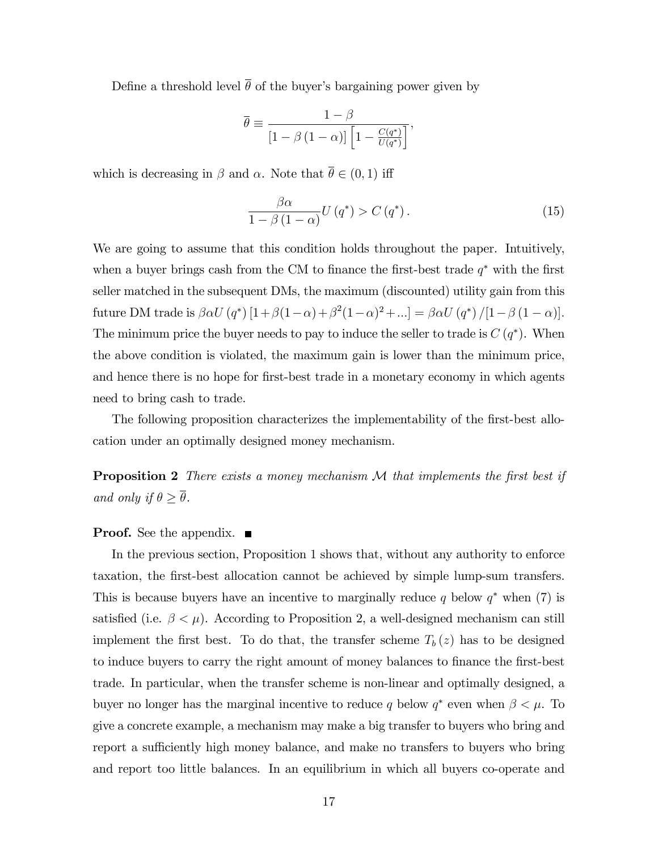Define a threshold level  $\bar{\theta}$  of the buyer's bargaining power given by

$$
\overline{\theta} \equiv \frac{1 - \beta}{\left[1 - \beta \left(1 - \alpha\right)\right] \left[1 - \frac{C(q^*)}{U(q^*)}\right]},
$$

which is decreasing in  $\beta$  and  $\alpha$ . Note that  $\bar{\theta} \in (0, 1)$  iff

$$
\frac{\beta\alpha}{1-\beta\left(1-\alpha\right)}U\left(q^*\right) > C\left(q^*\right). \tag{15}
$$

We are going to assume that this condition holds throughout the paper. Intuitively, when a buyer brings cash from the CM to finance the first-best trade  $q^*$  with the first seller matched in the subsequent DMs, the maximum (discounted) utility gain from this future DM trade is  $\beta \alpha U(q^*) [1 + \beta(1-\alpha) + \beta^2(1-\alpha)^2 + \ldots] = \beta \alpha U(q^*) / [1 - \beta(1-\alpha)].$ The minimum price the buyer needs to pay to induce the seller to trade is  $C(q^*)$ . When the above condition is violated, the maximum gain is lower than the minimum price, and hence there is no hope for first-best trade in a monetary economy in which agents need to bring cash to trade.

The following proposition characterizes the implementability of the first-best allocation under an optimally designed money mechanism.

**Proposition 2** There exists a money mechanism  $M$  that implements the first best if and only if  $\theta \geq \overline{\theta}$ .

## **Proof.** See the appendix.  $\blacksquare$

In the previous section, Proposition 1 shows that, without any authority to enforce taxation, the Örst-best allocation cannot be achieved by simple lump-sum transfers. This is because buyers have an incentive to marginally reduce q below  $q^*$  when (7) is satisfied (i.e.  $\beta < \mu$ ). According to Proposition 2, a well-designed mechanism can still implement the first best. To do that, the transfer scheme  $T_b(z)$  has to be designed to induce buyers to carry the right amount of money balances to finance the first-best trade. In particular, when the transfer scheme is non-linear and optimally designed, a buyer no longer has the marginal incentive to reduce q below  $q^*$  even when  $\beta < \mu$ . To give a concrete example, a mechanism may make a big transfer to buyers who bring and report a sufficiently high money balance, and make no transfers to buyers who bring and report too little balances. In an equilibrium in which all buyers co-operate and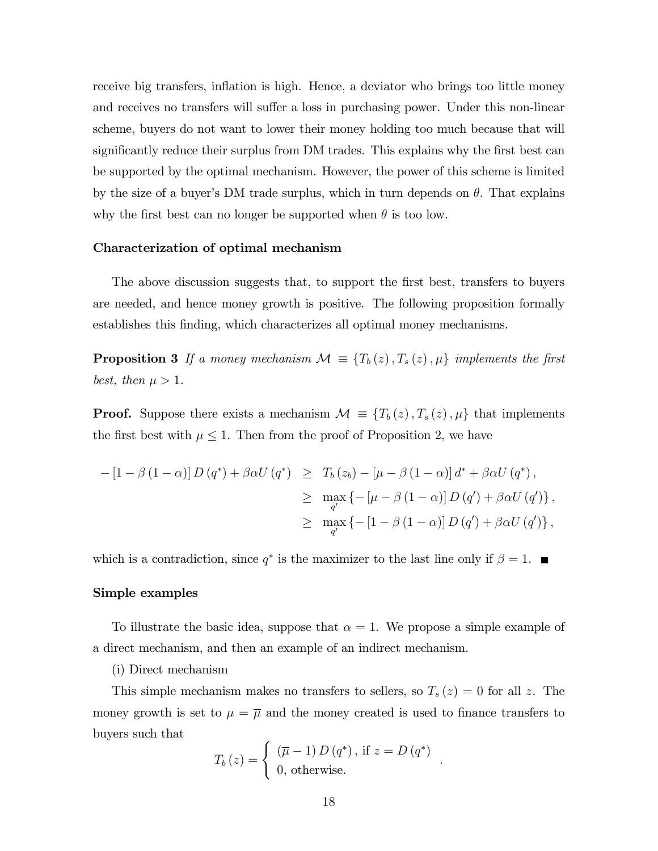receive big transfers, inflation is high. Hence, a deviator who brings too little money and receives no transfers will suffer a loss in purchasing power. Under this non-linear scheme, buyers do not want to lower their money holding too much because that will significantly reduce their surplus from DM trades. This explains why the first best can be supported by the optimal mechanism. However, the power of this scheme is limited by the size of a buyer's DM trade surplus, which in turn depends on  $\theta$ . That explains why the first best can no longer be supported when  $\theta$  is too low.

## Characterization of optimal mechanism

The above discussion suggests that, to support the first best, transfers to buyers are needed, and hence money growth is positive. The following proposition formally establishes this Önding, which characterizes all optimal money mechanisms.

**Proposition 3** If a money mechanism  $\mathcal{M} \equiv \{T_b(z), T_s(z), \mu\}$  implements the first best, then  $\mu > 1$ .

**Proof.** Suppose there exists a mechanism  $\mathcal{M} \equiv \{T_b(z), T_s(z), \mu\}$  that implements the first best with  $\mu \leq 1$ . Then from the proof of Proposition 2, we have

$$
-[1-\beta(1-\alpha)] D(q^*) + \beta \alpha U(q^*) \geq T_b(z_b) - [\mu - \beta(1-\alpha)] d^* + \beta \alpha U(q^*),
$$
  
\n
$$
\geq \max_{q'} \left\{ -[\mu - \beta(1-\alpha)] D(q') + \beta \alpha U(q') \right\},
$$
  
\n
$$
\geq \max_{q'} \left\{ -[1-\beta(1-\alpha)] D(q') + \beta \alpha U(q') \right\},
$$

which is a contradiction, since  $q^*$  is the maximizer to the last line only if  $\beta = 1$ .

## Simple examples

To illustrate the basic idea, suppose that  $\alpha = 1$ . We propose a simple example of a direct mechanism, and then an example of an indirect mechanism.

## (i) Direct mechanism

This simple mechanism makes no transfers to sellers, so  $T_s(z) = 0$  for all z. The money growth is set to  $\mu = \overline{\mu}$  and the money created is used to finance transfers to buyers such that

$$
T_b(z) = \begin{cases} (\overline{\mu} - 1) D(q^*), \text{ if } z = D(q^*) \\ 0, \text{ otherwise.} \end{cases}
$$

: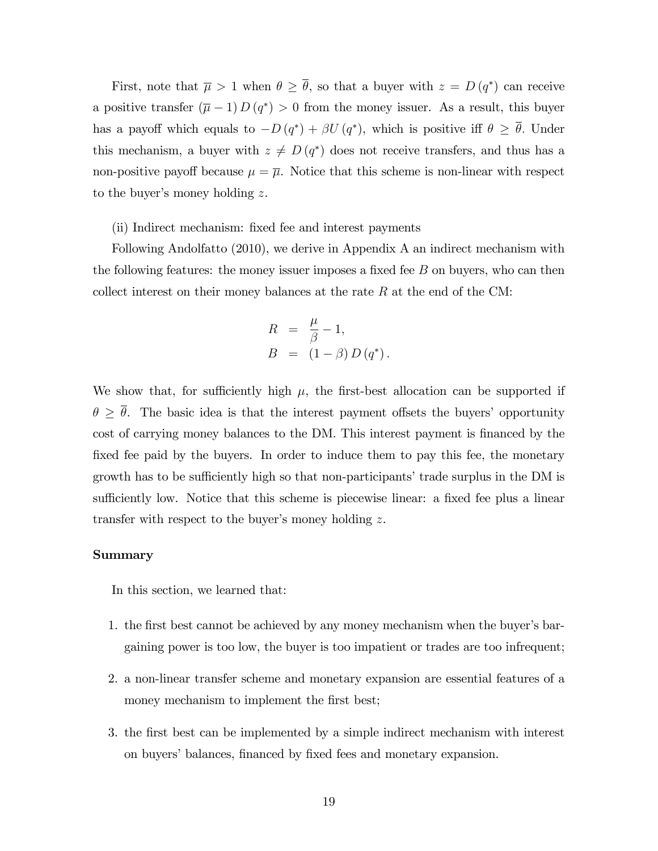First, note that  $\overline{\mu} > 1$  when  $\theta \ge \theta$ , so that a buyer with  $z = D(q^*)$  can receive a positive transfer  $(\overline{\mu} - 1) D(q^*) > 0$  from the money issuer. As a result, this buyer has a payoff which equals to  $-D(q^*) + \beta U(q^*)$ , which is positive iff  $\theta \ge \theta$ . Under this mechanism, a buyer with  $z \neq D(q^*)$  does not receive transfers, and thus has a non-positive payoff because  $\mu = \overline{\mu}$ . Notice that this scheme is non-linear with respect to the buyer's money holding  $z$ .

## (ii) Indirect mechanism: fixed fee and interest payments

Following Andolfatto (2010), we derive in Appendix A an indirect mechanism with the following features: the money issuer imposes a fixed fee  $B$  on buyers, who can then collect interest on their money balances at the rate  $R$  at the end of the CM:

$$
R = \frac{\mu}{\beta} - 1,
$$
  
\n
$$
B = (1 - \beta) D(q^*).
$$

We show that, for sufficiently high  $\mu$ , the first-best allocation can be supported if  $\theta \geq \overline{\theta}$ . The basic idea is that the interest payment offsets the buyers' opportunity cost of carrying money balances to the DM. This interest payment is financed by the fixed fee paid by the buyers. In order to induce them to pay this fee, the monetary growth has to be sufficiently high so that non-participants' trade surplus in the DM is sufficiently low. Notice that this scheme is piecewise linear: a fixed fee plus a linear transfer with respect to the buyer's money holding  $z$ .

## Summary

In this section, we learned that:

- 1. the first best cannot be achieved by any money mechanism when the buyer's bargaining power is too low, the buyer is too impatient or trades are too infrequent;
- 2. a non-linear transfer scheme and monetary expansion are essential features of a money mechanism to implement the first best;
- 3. the Örst best can be implemented by a simple indirect mechanism with interest on buyers' balances, financed by fixed fees and monetary expansion.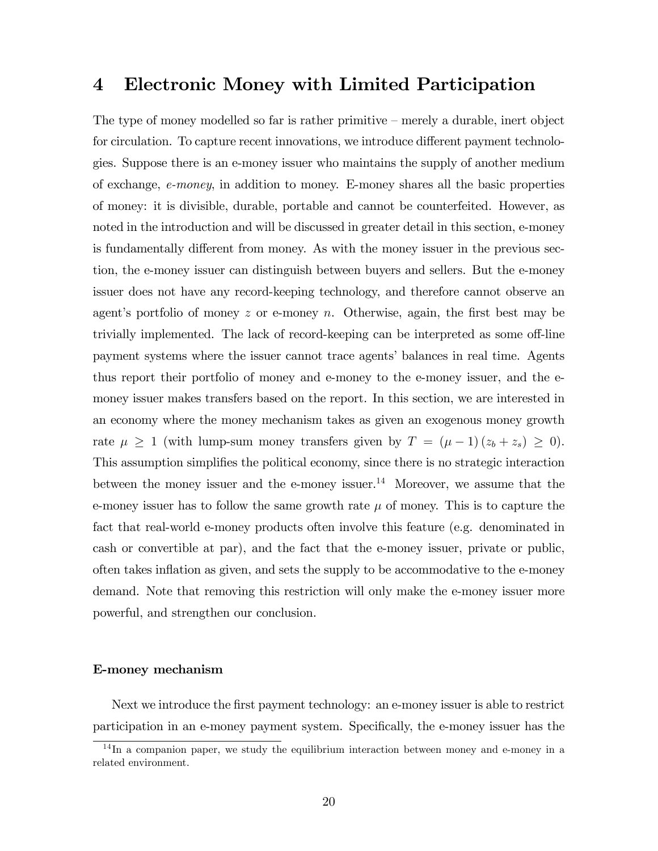## 4 Electronic Money with Limited Participation

The type of money modelled so far is rather primitive  $-$  merely a durable, inert object for circulation. To capture recent innovations, we introduce different payment technologies. Suppose there is an e-money issuer who maintains the supply of another medium of exchange, e-money, in addition to money. E-money shares all the basic properties of money: it is divisible, durable, portable and cannot be counterfeited. However, as noted in the introduction and will be discussed in greater detail in this section, e-money is fundamentally different from money. As with the money issuer in the previous section, the e-money issuer can distinguish between buyers and sellers. But the e-money issuer does not have any record-keeping technology, and therefore cannot observe an agent's portfolio of money z or e-money  $n$ . Otherwise, again, the first best may be trivially implemented. The lack of record-keeping can be interpreted as some off-line payment systems where the issuer cannot trace agents' balances in real time. Agents thus report their portfolio of money and e-money to the e-money issuer, and the emoney issuer makes transfers based on the report. In this section, we are interested in an economy where the money mechanism takes as given an exogenous money growth rate  $\mu \geq 1$  (with lump-sum money transfers given by  $T = (\mu - 1)(z_b + z_s) \geq 0$ ). This assumption simplifies the political economy, since there is no strategic interaction between the money issuer and the e-money issuer.<sup>14</sup> Moreover, we assume that the e-money issuer has to follow the same growth rate  $\mu$  of money. This is to capture the fact that real-world e-money products often involve this feature (e.g. denominated in cash or convertible at par), and the fact that the e-money issuer, private or public, often takes ináation as given, and sets the supply to be accommodative to the e-money demand. Note that removing this restriction will only make the e-money issuer more powerful, and strengthen our conclusion.

## E-money mechanism

Next we introduce the first payment technology: an e-money issuer is able to restrict participation in an e-money payment system. Specifically, the e-money issuer has the

<sup>&</sup>lt;sup>14</sup>In a companion paper, we study the equilibrium interaction between money and e-money in a related environment.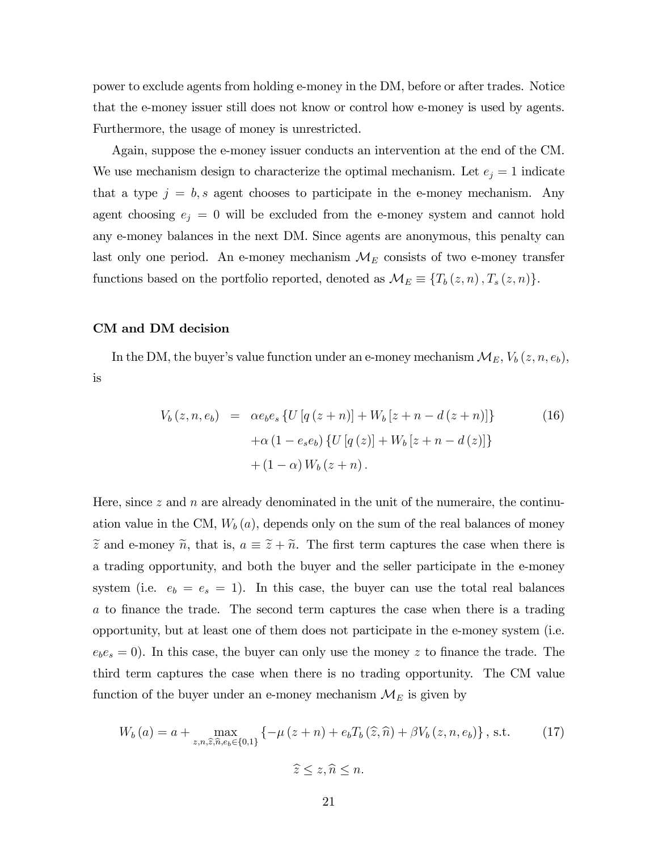power to exclude agents from holding e-money in the DM, before or after trades. Notice that the e-money issuer still does not know or control how e-money is used by agents. Furthermore, the usage of money is unrestricted.

Again, suppose the e-money issuer conducts an intervention at the end of the CM. We use mechanism design to characterize the optimal mechanism. Let  $e_j = 1$  indicate that a type  $j = b$ , s agent chooses to participate in the e-money mechanism. Any agent choosing  $e_j = 0$  will be excluded from the e-money system and cannot hold any e-money balances in the next DM. Since agents are anonymous, this penalty can last only one period. An e-money mechanism  $\mathcal{M}_E$  consists of two e-money transfer functions based on the portfolio reported, denoted as  $\mathcal{M}_E \equiv \{T_b(z, n), T_s(z, n)\}.$ 

## CM and DM decision

In the DM, the buyer's value function under an e-money mechanism  $\mathcal{M}_E$ ,  $V_b(z, n, e_b)$ , is

$$
V_b(z, n, e_b) = \alpha e_b e_s \{ U [q (z + n)] + W_b [z + n - d (z + n)] \}
$$
(16)  
 
$$
+ \alpha (1 - e_s e_b) \{ U [q (z)] + W_b [z + n - d (z)] \}
$$
  
 
$$
+ (1 - \alpha) W_b (z + n).
$$

Here, since  $z$  and  $n$  are already denominated in the unit of the numeraire, the continuation value in the CM,  $W_b(a)$ , depends only on the sum of the real balances of money  $\tilde{z}$  and e-money  $\tilde{n}$ , that is,  $a \equiv \tilde{z} + \tilde{n}$ . The first term captures the case when there is a trading opportunity, and both the buyer and the seller participate in the e-money system (i.e.  $e_b = e_s = 1$ ). In this case, the buyer can use the total real balances a to finance the trade. The second term captures the case when there is a trading opportunity, but at least one of them does not participate in the e-money system (i.e.  $e_b e_s = 0$ ). In this case, the buyer can only use the money z to finance the trade. The third term captures the case when there is no trading opportunity. The CM value function of the buyer under an e-money mechanism  $\mathcal{M}_E$  is given by

$$
W_b(a) = a + \max_{z,n,\hat{z},\hat{n},e_b \in \{0,1\}} \left\{-\mu(z+n) + e_b T_b(\hat{z},\hat{n}) + \beta V_b(z,n,e_b)\right\}, \text{ s.t.}
$$
 (17)  

$$
\hat{z} \le z, \hat{n} \le n.
$$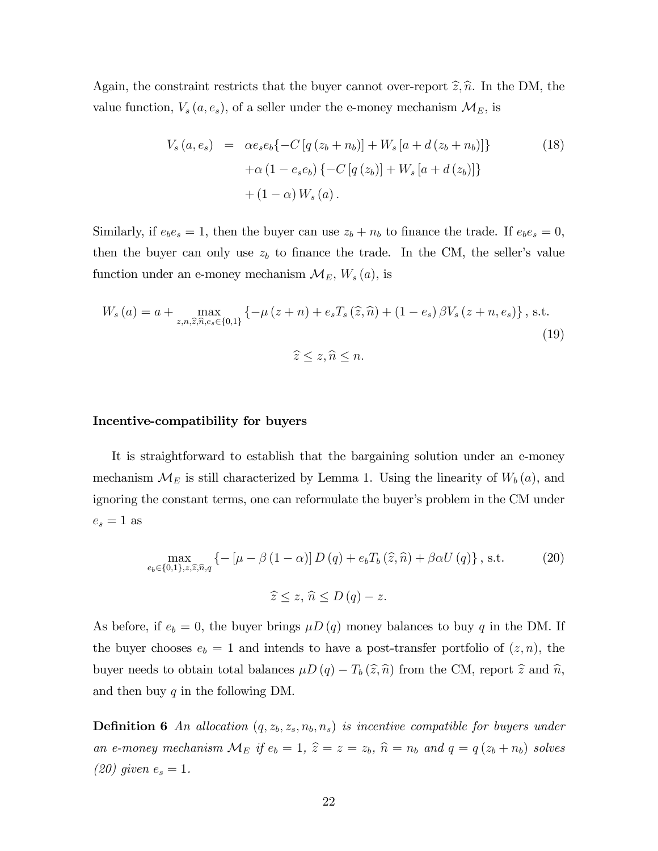Again, the constraint restricts that the buyer cannot over-report  $\hat{z}, \hat{n}$ . In the DM, the value function,  $V_s(a, e_s)$ , of a seller under the e-money mechanism  $\mathcal{M}_E$ , is

$$
V_s(a, e_s) = \alpha e_s e_b \{-C [q (z_b + n_b)] + W_s [a + d (z_b + n_b)]\}
$$
  
+ 
$$
\alpha (1 - e_s e_b) \{-C [q (z_b)] + W_s [a + d (z_b)]\}
$$
  
+ 
$$
(1 - \alpha) W_s (a).
$$
 (18)

Similarly, if  $e_b e_s = 1$ , then the buyer can use  $z_b + n_b$  to finance the trade. If  $e_b e_s = 0$ , then the buyer can only use  $z<sub>b</sub>$  to finance the trade. In the CM, the seller's value function under an e-money mechanism  $\mathcal{M}_E$ ,  $W_s(a)$ , is

$$
W_s (a) = a + \max_{z, n, \hat{z}, \hat{n}, e_s \in \{0, 1\}} \left\{ -\mu (z + n) + e_s T_s (\hat{z}, \hat{n}) + (1 - e_s) \beta V_s (z + n, e_s) \right\}, \text{ s.t.}
$$
  

$$
\hat{z} \le z, \hat{n} \le n.
$$
 (19)

## Incentive-compatibility for buyers

It is straightforward to establish that the bargaining solution under an e-money mechanism  $\mathcal{M}_E$  is still characterized by Lemma 1. Using the linearity of  $W_b(a)$ , and ignoring the constant terms, one can reformulate the buyer's problem in the CM under  $e_s = 1$  as

$$
\max_{e_b \in \{0,1\}, z, \hat{z}, \hat{n}, q} \left\{ -\left[\mu - \beta \left(1 - \alpha\right)\right] D\left(q\right) + e_b T_b\left(\hat{z}, \hat{n}\right) + \beta \alpha U\left(q\right) \right\}, \text{ s.t.} \tag{20}
$$
\n
$$
\hat{z} \le z, \ \hat{n} \le D\left(q\right) - z.
$$

As before, if  $e_b = 0$ , the buyer brings  $\mu D(q)$  money balances to buy q in the DM. If the buyer chooses  $e_b = 1$  and intends to have a post-transfer portfolio of  $(z, n)$ , the buyer needs to obtain total balances  $\mu D (q) - T_b (\hat{z}, \hat{n})$  from the CM, report  $\hat{z}$  and  $\hat{n}$ , and then buy  $q$  in the following DM.

**Definition 6** An allocation  $(q, z_b, z_s, n_b, n_s)$  is incentive compatible for buyers under an e-money mechanism  $\mathcal{M}_E$  if  $e_b = 1$ ,  $\hat{z} = z = z_b$ ,  $\hat{n} = n_b$  and  $q = q (z_b + n_b)$  solves (20) given  $e_s = 1$ .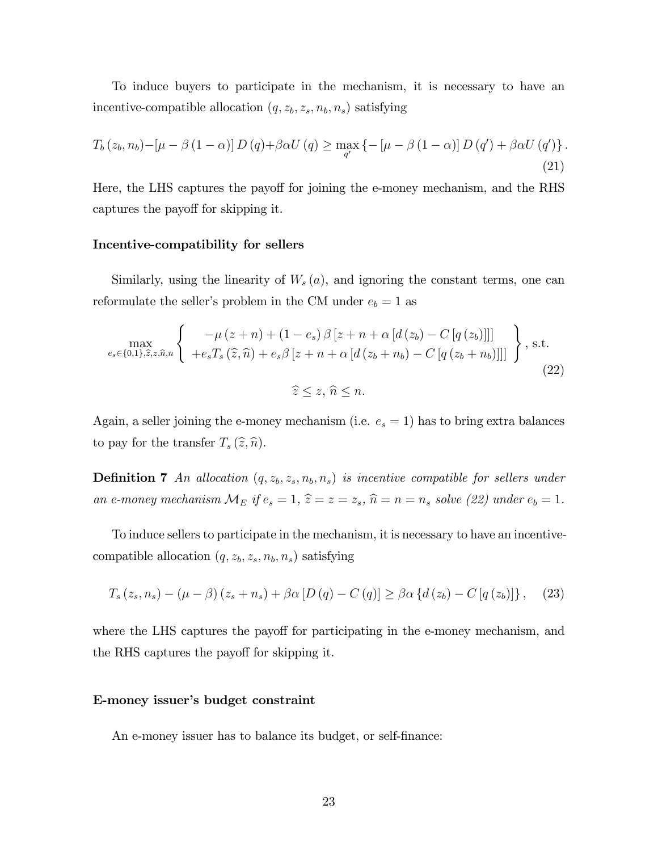To induce buyers to participate in the mechanism, it is necessary to have an incentive-compatible allocation  $(q, z_b, z_s, n_b, n_s)$  satisfying

$$
T_b(z_b, n_b) - \left[\mu - \beta (1 - \alpha)\right] D(q) + \beta \alpha U(q) \ge \max_{q'} \left\{-\left[\mu - \beta (1 - \alpha)\right] D(q') + \beta \alpha U(q')\right\}.
$$
\n(21)

Here, the LHS captures the payoff for joining the e-money mechanism, and the RHS captures the payoff for skipping it.

## Incentive-compatibility for sellers

Similarly, using the linearity of  $W_s(a)$ , and ignoring the constant terms, one can reformulate the seller's problem in the CM under  $e_b = 1$  as

$$
\max_{e_s \in \{0,1\},\hat{z},z,\hat{n},n} \left\{ \begin{array}{c} -\mu\left(z+n\right) + \left(1-e_s\right)\beta\left[z+n+\alpha\left[d\left(z_b\right) - C\left[q\left(z_b\right)\right]\right]\right] \\ + e_s T_s\left(\hat{z},\hat{n}\right) + e_s \beta\left[z+n+\alpha\left[d\left(z_b+n_b\right) - C\left[q\left(z_b+n_b\right)\right]\right]\right] \end{array} \right\}, \text{ s.t. } \sum_{\hat{z}\leq z,\hat{n}\leq n} \tag{22}
$$

Again, a seller joining the e-money mechanism (i.e.  $e_s = 1$ ) has to bring extra balances to pay for the transfer  $T_s(\hat{z},\hat{n})$ .

**Definition 7** An allocation  $(q, z_b, z_s, n_b, n_s)$  is incentive compatible for sellers under an e-money mechanism  $\mathcal{M}_E$  if  $e_s = 1$ ,  $\hat{z} = z = z_s$ ,  $\hat{n} = n = n_s$  solve (22) under  $e_b = 1$ .

To induce sellers to participate in the mechanism, it is necessary to have an incentivecompatible allocation  $(q, z_b, z_s, n_b, n_s)$  satisfying

$$
T_s(z_s, n_s) - (\mu - \beta)(z_s + n_s) + \beta \alpha [D(q) - C(q)] \geq \beta \alpha \{d(z_b) - C[q(z_b)]\}, \quad (23)
$$

where the LHS captures the payoff for participating in the e-money mechanism, and the RHS captures the payoff for skipping it.

## E-money issuer's budget constraint

An e-money issuer has to balance its budget, or self-finance: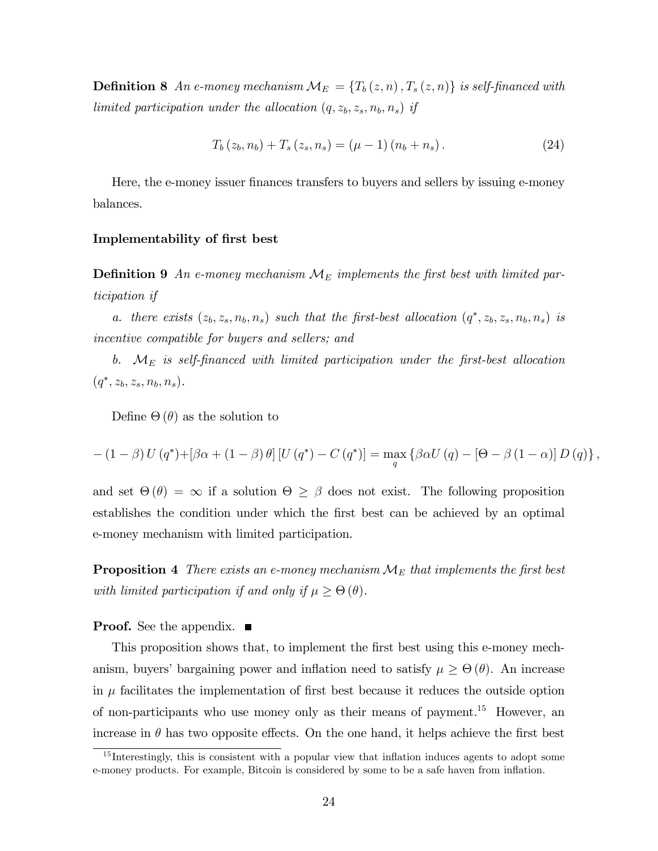**Definition 8** An e-money mechanism  $\mathcal{M}_E = \{T_b(z, n), T_s(z, n)\}\$ is self-financed with limited participation under the allocation  $(q, z_b, z_s, n_b, n_s)$  if

$$
T_b(z_b, n_b) + T_s(z_s, n_s) = (\mu - 1) (n_b + n_s).
$$
 (24)

Here, the e-money issuer finances transfers to buyers and sellers by issuing e-money balances.

## Implementability of first best

**Definition 9** An e-money mechanism  $\mathcal{M}_E$  implements the first best with limited participation if

a. there exists  $(z_b, z_s, n_b, n_s)$  such that the first-best allocation  $(q^*, z_b, z_s, n_b, n_s)$  is incentive compatible for buyers and sellers; and

b.  $M_E$  is self-financed with limited participation under the first-best allocation  $(q^*, z_b, z_s, n_b, n_s).$ 

Define  $\Theta(\theta)$  as the solution to

$$
-(1-\beta) U(q^*) + [\beta\alpha + (1-\beta)\theta] [U(q^*) - C(q^*)] = \max_{q} {\beta\alpha U(q) - [\Theta - \beta (1-\alpha)] D(q)},
$$

and set  $\Theta(\theta) = \infty$  if a solution  $\Theta \geq \beta$  does not exist. The following proposition establishes the condition under which the Örst best can be achieved by an optimal e-money mechanism with limited participation.

**Proposition 4** There exists an e-money mechanism  $\mathcal{M}_E$  that implements the first best with limited participation if and only if  $\mu \geq \Theta(\theta)$ .

**Proof.** See the appendix. ■

This proposition shows that, to implement the first best using this e-money mechanism, buyers' bargaining power and inflation need to satisfy  $\mu \geq \Theta(\theta)$ . An increase in  $\mu$  facilitates the implementation of first best because it reduces the outside option of non-participants who use money only as their means of payment.<sup>15</sup> However, an increase in  $\theta$  has two opposite effects. On the one hand, it helps achieve the first best

 $15$  Interestingly, this is consistent with a popular view that inflation induces agents to adopt some e-money products. For example, Bitcoin is considered by some to be a safe haven from inflation.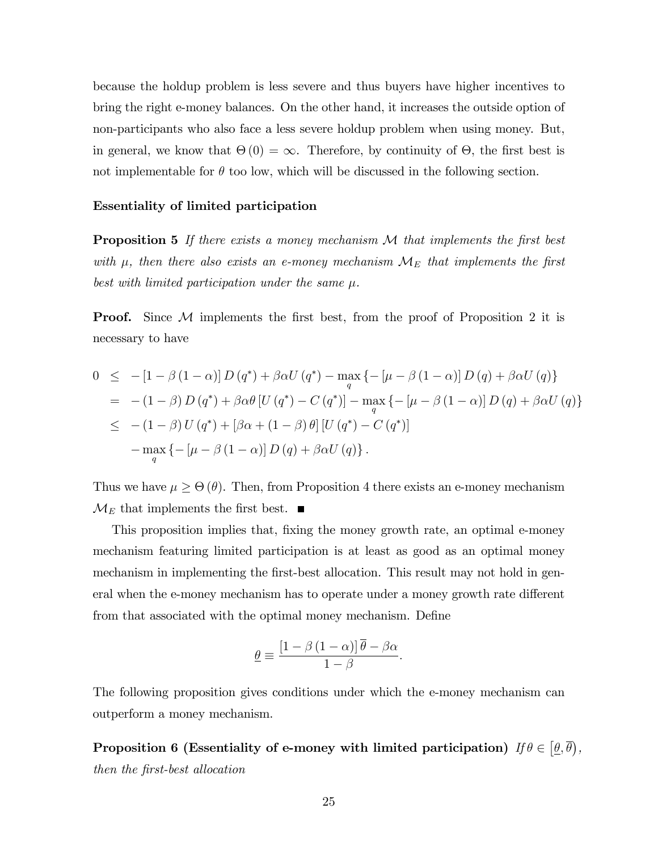because the holdup problem is less severe and thus buyers have higher incentives to bring the right e-money balances. On the other hand, it increases the outside option of non-participants who also face a less severe holdup problem when using money. But, in general, we know that  $\Theta(0) = \infty$ . Therefore, by continuity of  $\Theta$ , the first best is not implementable for  $\theta$  too low, which will be discussed in the following section.

## Essentiality of limited participation

**Proposition 5** If there exists a money mechanism  $M$  that implements the first best with  $\mu$ , then there also exists an e-money mechanism  $\mathcal{M}_E$  that implements the first best with limited participation under the same  $\mu$ .

**Proof.** Since  $M$  implements the first best, from the proof of Proposition 2 it is necessary to have

$$
0 \leq -[1 - \beta (1 - \alpha)] D (q^*) + \beta \alpha U (q^*) - \max_{q} \{ -[\mu - \beta (1 - \alpha)] D (q) + \beta \alpha U (q) \}
$$
  
\n
$$
= -(1 - \beta) D (q^*) + \beta \alpha \theta [U (q^*) - C (q^*)] - \max_{q} \{ -[\mu - \beta (1 - \alpha)] D (q) + \beta \alpha U (q) \}
$$
  
\n
$$
\leq -(1 - \beta) U (q^*) + [\beta \alpha + (1 - \beta) \theta] [U (q^*) - C (q^*)]
$$
  
\n
$$
- \max_{q} \{ -[\mu - \beta (1 - \alpha)] D (q) + \beta \alpha U (q) \}.
$$

Thus we have  $\mu \geq \Theta(\theta)$ . Then, from Proposition 4 there exists an e-money mechanism  $\mathcal{M}_E$  that implements the first best.  $\blacksquare$ 

This proposition implies that, fixing the money growth rate, an optimal e-money mechanism featuring limited participation is at least as good as an optimal money mechanism in implementing the first-best allocation. This result may not hold in general when the e-money mechanism has to operate under a money growth rate different from that associated with the optimal money mechanism. Define

$$
\underline{\theta} \equiv \frac{\left[1 - \beta\left(1 - \alpha\right)\right]\overline{\theta} - \beta\alpha}{1 - \beta}.
$$

The following proposition gives conditions under which the e-money mechanism can outperform a money mechanism.

Proposition 6 (Essentiality of e-money with limited participation)  $\textit{If } \theta \in \left[ \underline{\theta}, \overline{\theta} \right)$ , then the Örst-best allocation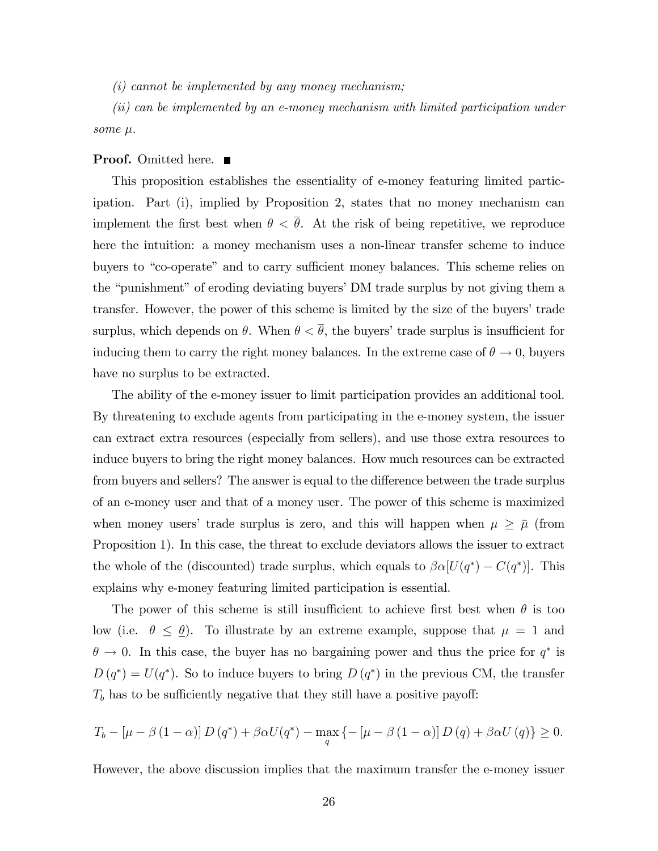$(i)$  cannot be implemented by any money mechanism;

(ii) can be implemented by an e-money mechanism with limited participation under some  $\mu$ .

## **Proof.** Omitted here. ■

This proposition establishes the essentiality of e-money featuring limited participation. Part (i), implied by Proposition 2, states that no money mechanism can implement the first best when  $\theta < \overline{\theta}$ . At the risk of being repetitive, we reproduce here the intuition: a money mechanism uses a non-linear transfer scheme to induce buyers to "co-operate" and to carry sufficient money balances. This scheme relies on the "punishment" of eroding deviating buyers' DM trade surplus by not giving them a transfer. However, the power of this scheme is limited by the size of the buyers' trade surplus, which depends on  $\theta$ . When  $\theta < \overline{\theta}$ , the buyers' trade surplus is insufficient for inducing them to carry the right money balances. In the extreme case of  $\theta \to 0$ , buyers have no surplus to be extracted.

The ability of the e-money issuer to limit participation provides an additional tool. By threatening to exclude agents from participating in the e-money system, the issuer can extract extra resources (especially from sellers), and use those extra resources to induce buyers to bring the right money balances. How much resources can be extracted from buyers and sellers? The answer is equal to the difference between the trade surplus of an e-money user and that of a money user. The power of this scheme is maximized when money users' trade surplus is zero, and this will happen when  $\mu \geq \bar{\mu}$  (from Proposition 1). In this case, the threat to exclude deviators allows the issuer to extract the whole of the (discounted) trade surplus, which equals to  $\beta \alpha [U(q^*) - C(q^*)]$ . This explains why e-money featuring limited participation is essential.

The power of this scheme is still insufficient to achieve first best when  $\theta$  is too low (i.e.  $\theta \leq \underline{\theta}$ ). To illustrate by an extreme example, suppose that  $\mu = 1$  and  $\theta \to 0$ . In this case, the buyer has no bargaining power and thus the price for  $q^*$  is  $D(q^*) = U(q^*)$ . So to induce buyers to bring  $D(q^*)$  in the previous CM, the transfer  $T<sub>b</sub>$  has to be sufficiently negative that they still have a positive payoff:

$$
T_b - \left[\mu - \beta \left(1 - \alpha\right)\right] D\left(q^*\right) + \beta \alpha U(q^*) - \max_q \left\{-\left[\mu - \beta \left(1 - \alpha\right)\right] D\left(q\right) + \beta \alpha U\left(q\right)\right\} \ge 0.
$$

However, the above discussion implies that the maximum transfer the e-money issuer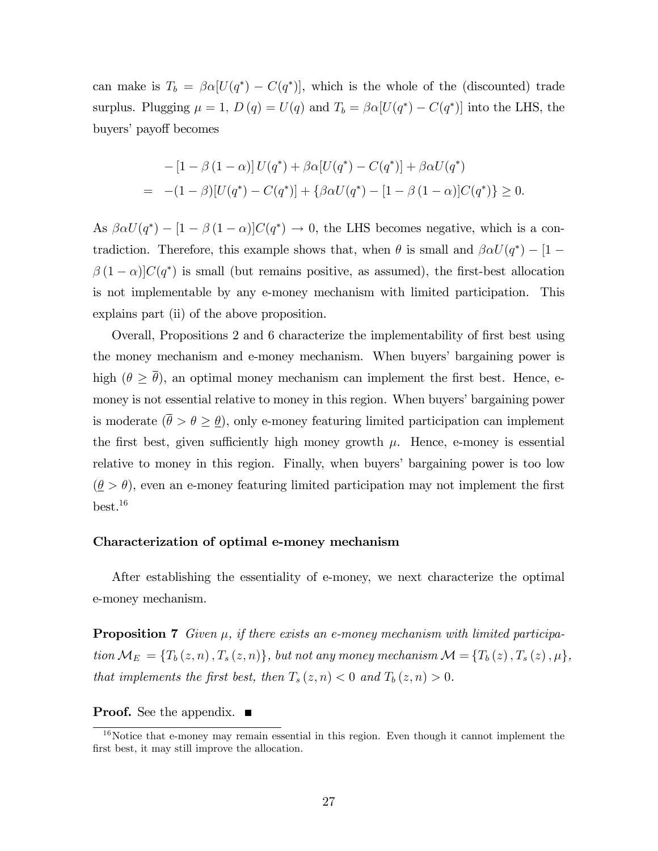can make is  $T_b = \beta \alpha [U(q^*) - C(q^*)]$ , which is the whole of the (discounted) trade surplus. Plugging  $\mu = 1$ ,  $D(q) = U(q)$  and  $T_b = \beta \alpha [U(q^*) - C(q^*)]$  into the LHS, the buyers' payoff becomes

$$
-[1 - \beta (1 - \alpha)] U(q^*) + \beta \alpha [U(q^*) - C(q^*)] + \beta \alpha U(q^*)
$$
  
= -(1 - \beta)[U(q^\*) - C(q^\*)] + {\beta \alpha U(q^\*) - [1 - \beta (1 - \alpha)]C(q^\*)} \ge 0.

As  $\beta \alpha U(q^*) - [1 - \beta (1 - \alpha)]C(q^*) \rightarrow 0$ , the LHS becomes negative, which is a contradiction. Therefore, this example shows that, when  $\theta$  is small and  $\beta \alpha U(q^*) - [1 \beta(1-\alpha)C(q^*)$  is small (but remains positive, as assumed), the first-best allocation is not implementable by any e-money mechanism with limited participation. This explains part (ii) of the above proposition.

Overall, Propositions 2 and 6 characterize the implementability of first best using the money mechanism and e-money mechanism. When buyers' bargaining power is high  $(\theta \geq \overline{\theta})$ , an optimal money mechanism can implement the first best. Hence, emoney is not essential relative to money in this region. When buyers' bargaining power is moderate  $(\bar{\theta} > \theta \geq \theta)$ , only e-money featuring limited participation can implement the first best, given sufficiently high money growth  $\mu$ . Hence, e-money is essential relative to money in this region. Finally, when buyers' bargaining power is too low  $(\underline{\theta} > \theta)$ , even an e-money featuring limited participation may not implement the first  $best.<sup>16</sup>$ 

## Characterization of optimal e-money mechanism

After establishing the essentiality of e-money, we next characterize the optimal e-money mechanism.

**Proposition 7** Given  $\mu$ , if there exists an e-money mechanism with limited participation  $\mathcal{M}_E = \{T_b(z,n), T_s(z,n)\}\$ , but not any money mechanism  $\mathcal{M} = \{T_b(z), T_s(z), \mu\}\$ , that implements the first best, then  $T_s(z, n) < 0$  and  $T_b(z, n) > 0$ .

**Proof.** See the appendix. ■

 $16$ Notice that e-money may remain essential in this region. Even though it cannot implement the first best, it may still improve the allocation.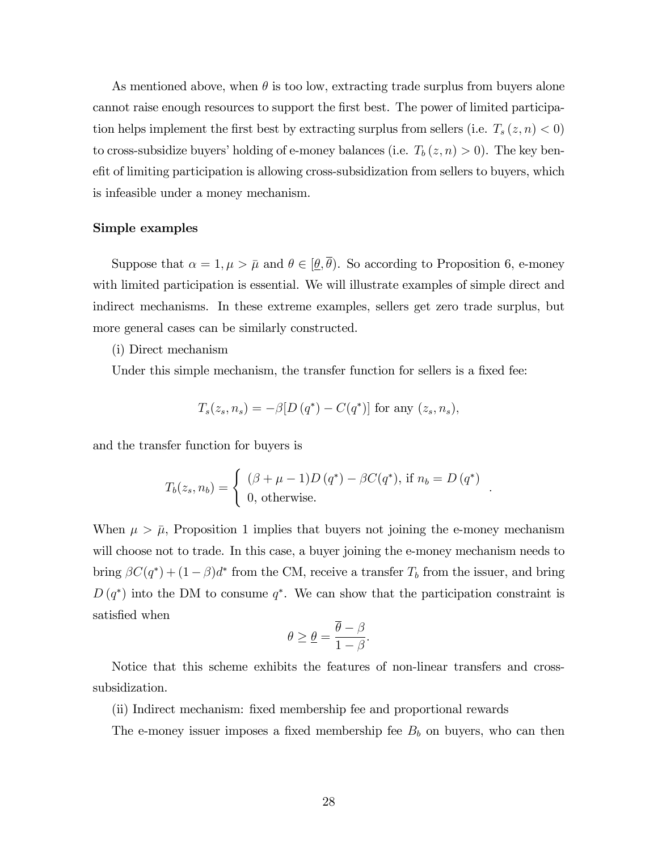As mentioned above, when  $\theta$  is too low, extracting trade surplus from buyers alone cannot raise enough resources to support the first best. The power of limited participation helps implement the first best by extracting surplus from sellers (i.e.  $T_s(z, n) < 0$ ) to cross-subsidize buyers' holding of e-money balances (i.e.  $T_b(z, n) > 0$ ). The key benef it of limiting participation is allowing cross-subsidization from sellers to buyers, which is infeasible under a money mechanism.

## Simple examples

Suppose that  $\alpha = 1, \mu > \bar{\mu}$  and  $\theta \in [\underline{\theta}, \bar{\theta})$ . So according to Proposition 6, e-money with limited participation is essential. We will illustrate examples of simple direct and indirect mechanisms. In these extreme examples, sellers get zero trade surplus, but more general cases can be similarly constructed.

## (i) Direct mechanism

Under this simple mechanism, the transfer function for sellers is a fixed fee:

$$
T_s(z_s, n_s) = -\beta [D(q^*) - C(q^*)]
$$
 for any  $(z_s, n_s)$ ,

and the transfer function for buyers is

$$
T_b(z_s, n_b) = \begin{cases} (\beta + \mu - 1)D(q^*) - \beta C(q^*), \text{ if } n_b = D(q^*)\\ 0, \text{ otherwise.} \end{cases}
$$

:

When  $\mu > \bar{\mu}$ , Proposition 1 implies that buyers not joining the e-money mechanism will choose not to trade. In this case, a buyer joining the e-money mechanism needs to bring  $\beta C(q^*) + (1 - \beta)d^*$  from the CM, receive a transfer  $T_b$  from the issuer, and bring  $D(q^*)$  into the DM to consume  $q^*$ . We can show that the participation constraint is satisfied when

$$
\theta \ge \underline{\theta} = \frac{\overline{\theta} - \beta}{1 - \beta}.
$$

Notice that this scheme exhibits the features of non-linear transfers and crosssubsidization.

(ii) Indirect mechanism: fixed membership fee and proportional rewards

The e-money issuer imposes a fixed membership fee  $B_b$  on buyers, who can then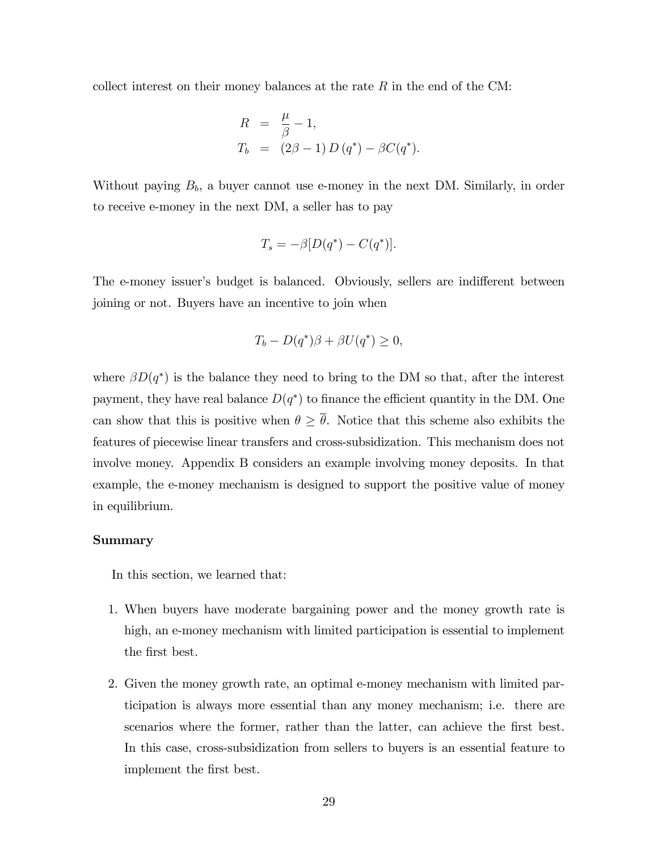collect interest on their money balances at the rate  $R$  in the end of the CM:

$$
R = \frac{\mu}{\beta} - 1,
$$
  
\n
$$
T_b = (2\beta - 1) D(q^*) - \beta C(q^*).
$$

Without paying  $B_b$ , a buyer cannot use e-money in the next DM. Similarly, in order to receive e-money in the next DM, a seller has to pay

$$
T_s = -\beta [D(q^*) - C(q^*)].
$$

The e-money issuer's budget is balanced. Obviously, sellers are indifferent between joining or not. Buyers have an incentive to join when

$$
T_b - D(q^*)\beta + \beta U(q^*) \ge 0,
$$

where  $\beta D(q^*)$  is the balance they need to bring to the DM so that, after the interest payment, they have real balance  $D(q^*)$  to finance the efficient quantity in the DM. One can show that this is positive when  $\theta \geq \overline{\theta}$ . Notice that this scheme also exhibits the features of piecewise linear transfers and cross-subsidization. This mechanism does not involve money. Appendix B considers an example involving money deposits. In that example, the e-money mechanism is designed to support the positive value of money in equilibrium.

#### Summary

In this section, we learned that:

- 1. When buyers have moderate bargaining power and the money growth rate is high, an e-money mechanism with limited participation is essential to implement the first best.
- 2. Given the money growth rate, an optimal e-money mechanism with limited participation is always more essential than any money mechanism; i.e. there are scenarios where the former, rather than the latter, can achieve the first best. In this case, cross-subsidization from sellers to buyers is an essential feature to implement the first best.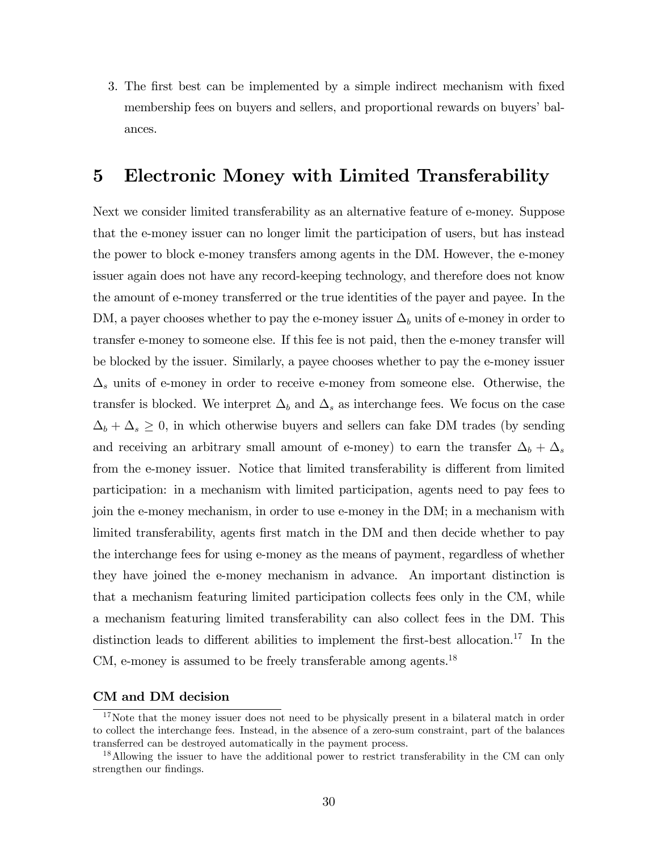3. The first best can be implemented by a simple indirect mechanism with fixed membership fees on buyers and sellers, and proportional rewards on buyers' balances.

## 5 Electronic Money with Limited Transferability

Next we consider limited transferability as an alternative feature of e-money. Suppose that the e-money issuer can no longer limit the participation of users, but has instead the power to block e-money transfers among agents in the DM. However, the e-money issuer again does not have any record-keeping technology, and therefore does not know the amount of e-money transferred or the true identities of the payer and payee. In the DM, a payer chooses whether to pay the e-money issuer  $\Delta_b$  units of e-money in order to transfer e-money to someone else. If this fee is not paid, then the e-money transfer will be blocked by the issuer. Similarly, a payee chooses whether to pay the e-money issuer  $\Delta_s$  units of e-money in order to receive e-money from someone else. Otherwise, the transfer is blocked. We interpret  $\Delta_b$  and  $\Delta_s$  as interchange fees. We focus on the case  $\Delta_b + \Delta_s \geq 0$ , in which otherwise buyers and sellers can fake DM trades (by sending and receiving an arbitrary small amount of e-money) to earn the transfer  $\Delta_b + \Delta_s$ from the e-money issuer. Notice that limited transferability is different from limited participation: in a mechanism with limited participation, agents need to pay fees to join the e-money mechanism, in order to use e-money in the DM; in a mechanism with limited transferability, agents first match in the DM and then decide whether to pay the interchange fees for using e-money as the means of payment, regardless of whether they have joined the e-money mechanism in advance. An important distinction is that a mechanism featuring limited participation collects fees only in the CM, while a mechanism featuring limited transferability can also collect fees in the DM. This distinction leads to different abilities to implement the first-best allocation.<sup>17</sup> In the CM, e-money is assumed to be freely transferable among agents.<sup>18</sup>

## CM and DM decision

<sup>&</sup>lt;sup>17</sup>Note that the money issuer does not need to be physically present in a bilateral match in order to collect the interchange fees. Instead, in the absence of a zero-sum constraint, part of the balances transferred can be destroyed automatically in the payment process.

<sup>&</sup>lt;sup>18</sup>Allowing the issuer to have the additional power to restrict transferability in the CM can only strengthen our findings.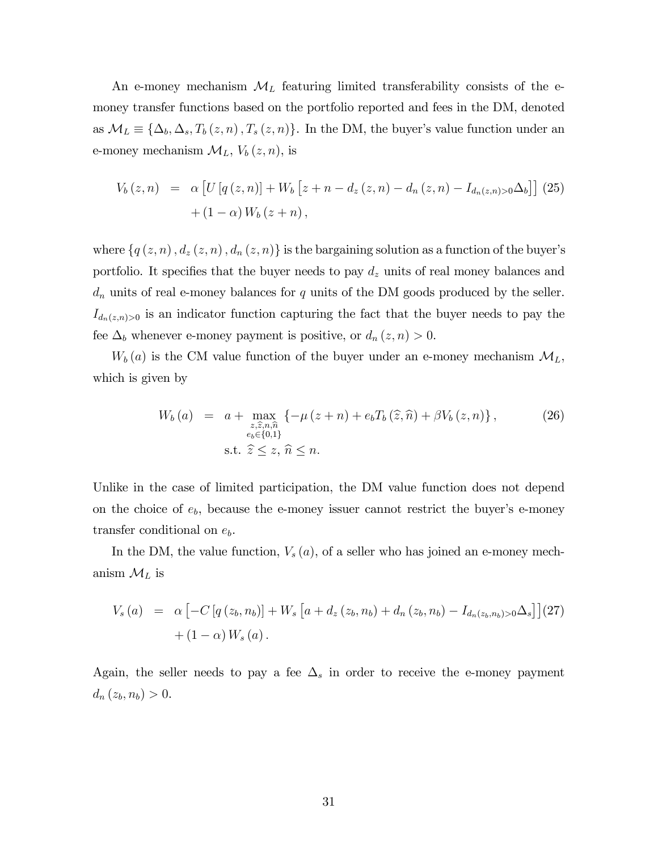An e-money mechanism  $\mathcal{M}_L$  featuring limited transferability consists of the emoney transfer functions based on the portfolio reported and fees in the DM, denoted as  $\mathcal{M}_L \equiv \{\Delta_b, \Delta_s, T_b(z, n), T_s(z, n)\}.$  In the DM, the buyer's value function under an e-money mechanism  $\mathcal{M}_L$ ,  $V_b(z, n)$ , is

$$
V_b(z,n) = \alpha \left[ U \left[ q \left( z, n \right) \right] + W_b \left[ z + n - d_z \left( z, n \right) - d_n \left( z, n \right) - I_{d_n(z,n) > 0} \Delta_b \right] \right] (25) + (1 - \alpha) W_b (z + n),
$$

where  $\{q(z, n), d_z(z, n), d_n(z, n)\}\$ is the bargaining solution as a function of the buyer's portfolio. It specifies that the buyer needs to pay  $d_z$  units of real money balances and  $d_n$  units of real e-money balances for q units of the DM goods produced by the seller.  $I_{d_n(z,n)>0}$  is an indicator function capturing the fact that the buyer needs to pay the fee  $\Delta_b$  whenever e-money payment is positive, or  $d_n(z, n) > 0$ .

 $W_b(a)$  is the CM value function of the buyer under an e-money mechanism  $\mathcal{M}_L$ , which is given by

$$
W_b(a) = a + \max_{\substack{z, \hat{z}, n, \hat{n} \\ e_b \in \{0, 1\}}} \{-\mu(z + n) + e_b T_b(\hat{z}, \hat{n}) + \beta V_b(z, n)\},
$$
\n(26)\n
$$
\text{s.t. } \hat{z} \le z, \hat{n} \le n.
$$

Unlike in the case of limited participation, the DM value function does not depend on the choice of  $e_b$ , because the e-money issuer cannot restrict the buyer's e-money transfer conditional on  $e_b$ .

In the DM, the value function,  $V_s(a)$ , of a seller who has joined an e-money mechanism  $\mathcal{M}_L$  is

$$
V_s(a) = \alpha \left[ -C \left[ q \left( z_b, n_b \right) \right] + W_s \left[ a + d_z \left( z_b, n_b \right) + d_n \left( z_b, n_b \right) - I_{d_n(z_b, n_b) > 0} \Delta_s \right] \right] (27) + (1 - \alpha) W_s(a).
$$

Again, the seller needs to pay a fee  $\Delta_s$  in order to receive the e-money payment  $d_n(z_b, n_b) > 0.$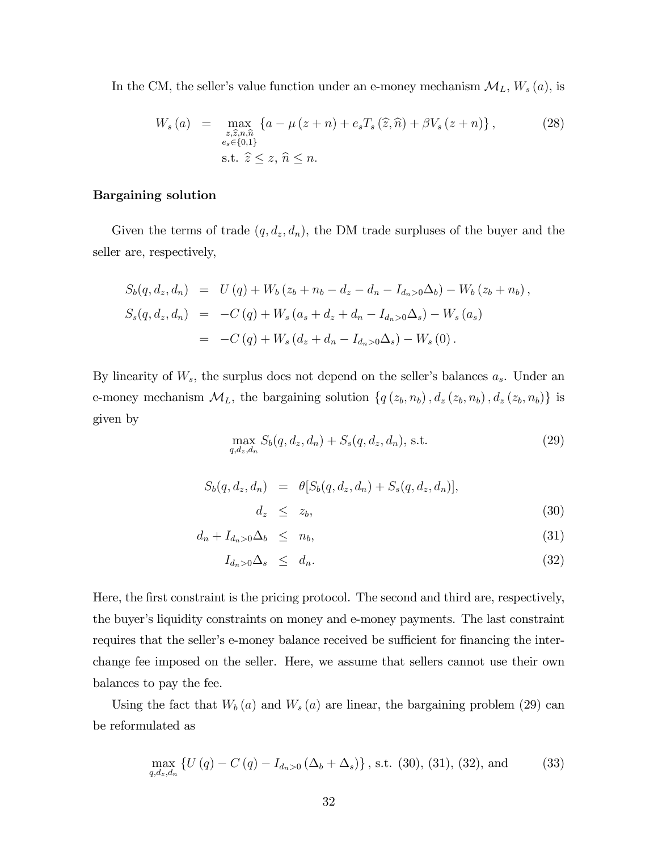In the CM, the seller's value function under an e-money mechanism  $\mathcal{M}_L$ ,  $W_s(a)$ , is

$$
W_s(a) = \max_{\substack{z,\hat{z},n,\hat{n} \\ e_s \in \{0,1\}}} \{a - \mu(z+n) + e_s T_s(\hat{z}, \hat{n}) + \beta V_s(z+n)\},
$$
\n
$$
\text{s.t. } \hat{z} \le z, \hat{n} \le n.
$$
\n
$$
(28)
$$

## Bargaining solution

Given the terms of trade  $(q, d_z, d_n)$ , the DM trade surpluses of the buyer and the seller are, respectively,

$$
S_b(q, d_z, d_n) = U(q) + W_b(z_b + n_b - d_z - d_n - I_{d_n>0}\Delta_b) - W_b(z_b + n_b),
$$
  
\n
$$
S_s(q, d_z, d_n) = -C(q) + W_s(a_s + d_z + d_n - I_{d_n>0}\Delta_s) - W_s(a_s)
$$
  
\n
$$
= -C(q) + W_s(d_z + d_n - I_{d_n>0}\Delta_s) - W_s(0).
$$

By linearity of  $W_s$ , the surplus does not depend on the seller's balances  $a_s$ . Under an e-money mechanism  $\mathcal{M}_L$ , the bargaining solution  $\{q(z_b, n_b), d_z(z_b, n_b), d_z(z_b, n_b)\}\$ is given by

$$
\max_{q,d_z,d_n} S_b(q,d_z,d_n) + S_s(q,d_z,d_n), \text{ s.t. } (29)
$$

$$
S_b(q, d_z, d_n) = \theta [S_b(q, d_z, d_n) + S_s(q, d_z, d_n)],
$$
  

$$
d_z \leq z_b,
$$
 (30)

$$
d_n + I_{d_n>0} \Delta_b \leq n_b, \tag{31}
$$

$$
I_{d_n>0}\Delta_s \leq d_n. \tag{32}
$$

Here, the first constraint is the pricing protocol. The second and third are, respectively, the buyer's liquidity constraints on money and e-money payments. The last constraint requires that the seller's e-money balance received be sufficient for financing the interchange fee imposed on the seller. Here, we assume that sellers cannot use their own balances to pay the fee.

Using the fact that  $W_b(a)$  and  $W_s(a)$  are linear, the bargaining problem (29) can be reformulated as

$$
\max_{q,d_z,d_n} \{ U(q) - C(q) - I_{d_n>0} (\Delta_b + \Delta_s) \}, \text{ s.t. (30), (31), (32), and} \tag{33}
$$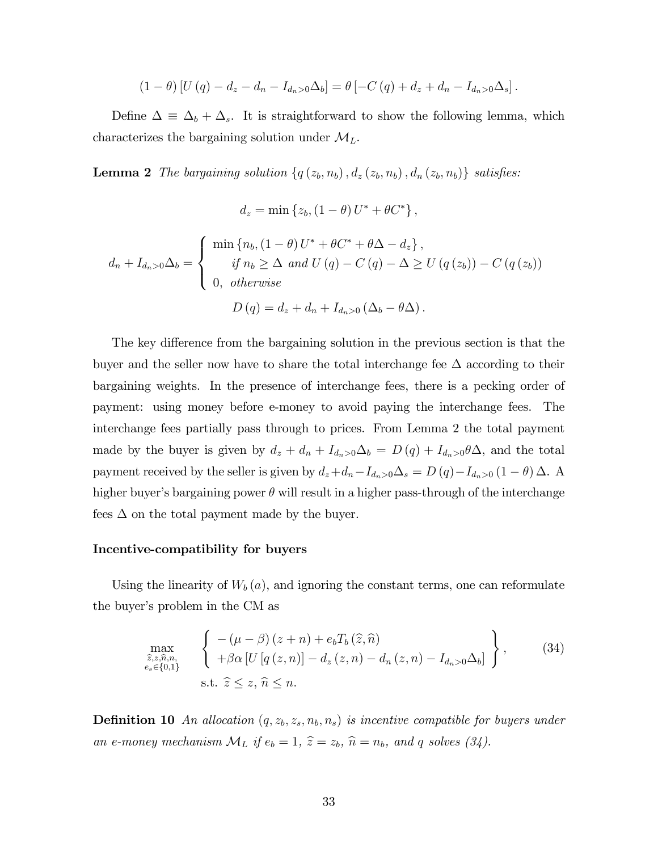$$
(1 - \theta) [U(q) - d_z - d_n - I_{d_n > 0} \Delta_b] = \theta [-C(q) + d_z + d_n - I_{d_n > 0} \Delta_s].
$$

Define  $\Delta \equiv \Delta_b + \Delta_s$ . It is straightforward to show the following lemma, which characterizes the bargaining solution under  $\mathcal{M}_L$ .

**Lemma 2** The bargaining solution  $\{q(z_b, n_b), d_z(z_b, n_b), d_n(z_b, n_b)\}\$  satisfies:

$$
d_z = \min\left\{z_b, \left(1-\theta\right)U^* + \theta C^*\right\},\
$$

$$
d_n + I_{d_n>0}\Delta_b = \begin{cases} \min\left\{n_b, (1-\theta)U^* + \theta C^* + \theta \Delta - d_z\right\}, \\ \text{if } n_b \ge \Delta \text{ and } U(q) - C(q) - \Delta \ge U(q(z_b)) - C(q(z_b)) \\ 0, \text{ otherwise} \end{cases}
$$

$$
D(q) = d_z + d_n + I_{d_n>0}(\Delta_b - \theta \Delta).
$$

The key difference from the bargaining solution in the previous section is that the buyer and the seller now have to share the total interchange fee  $\Delta$  according to their bargaining weights. In the presence of interchange fees, there is a pecking order of payment: using money before e-money to avoid paying the interchange fees. The interchange fees partially pass through to prices. From Lemma 2 the total payment made by the buyer is given by  $d_z + d_n + I_{d_n>0}\Delta_b = D(q) + I_{d_n>0}\theta\Delta$ , and the total payment received by the seller is given by  $d_z+d_n-I_{d_n>0}\Delta_s = D(q)-I_{d_n>0} (1 - \theta)\Delta$ . A higher buyer's bargaining power  $\theta$  will result in a higher pass-through of the interchange fees  $\Delta$  on the total payment made by the buyer.

## Incentive-compatibility for buyers

Using the linearity of  $W_b(a)$ , and ignoring the constant terms, one can reformulate the buyer's problem in the CM as

$$
\max_{\substack{\widehat{z},z,\widehat{n},n,\\e_s\in\{0,1\}}} \left\{ \begin{array}{l} -( \mu - \beta) \left( z + n \right) + e_b T_b \left( \widehat{z},\widehat{n} \right) \\ + \beta \alpha \left[ U \left[ q \left( z, n \right) \right] - d_z \left( z, n \right) - d_n \left( z, n \right) - I_{d_n > 0} \Delta_b \right] \end{array} \right\},\tag{34}
$$
\n
$$
\text{s.t. } \widehat{z} \le z, \widehat{n} \le n.
$$

**Definition 10** An allocation  $(q, z_b, z_s, n_b, n_s)$  is incentive compatible for buyers under an e-money mechanism  $\mathcal{M}_L$  if  $e_b = 1$ ,  $\hat{z} = z_b$ ,  $\hat{n} = n_b$ , and q solves (34).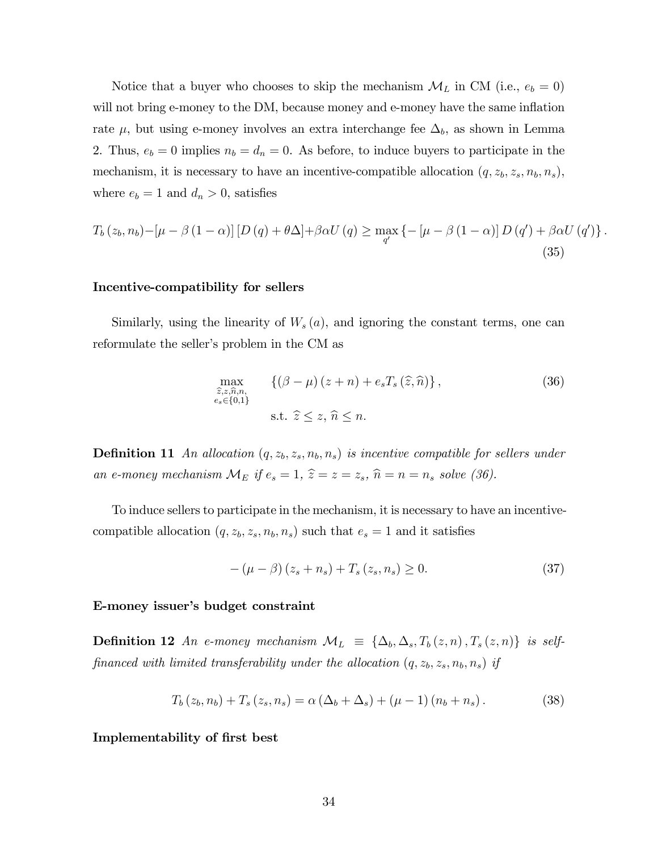Notice that a buyer who chooses to skip the mechanism  $\mathcal{M}_L$  in CM (i.e.,  $e_b = 0$ ) will not bring e-money to the DM, because money and e-money have the same inflation rate  $\mu$ , but using e-money involves an extra interchange fee  $\Delta_b$ , as shown in Lemma 2. Thus,  $e_b = 0$  implies  $n_b = d_n = 0$ . As before, to induce buyers to participate in the mechanism, it is necessary to have an incentive-compatible allocation  $(q, z_b, z_s, n_b, n_s)$ , where  $e_b = 1$  and  $d_n > 0$ , satisfies

$$
T_b(z_b, n_b) - \left[\mu - \beta (1 - \alpha)\right] \left[D\left(q\right) + \theta \Delta\right] + \beta \alpha U\left(q\right) \ge \max_{q'} \left\{-\left[\mu - \beta (1 - \alpha)\right] D\left(q'\right) + \beta \alpha U\left(q'\right)\right\}.
$$
\n(35)

#### Incentive-compatibility for sellers

Similarly, using the linearity of  $W_s(a)$ , and ignoring the constant terms, one can reformulate the seller's problem in the CM as

$$
\max_{\substack{\hat{z},z,\hat{n},n,\\e_s \in \{0,1\}}} \{(\beta - \mu)(z + n) + e_s T_s(\hat{z}, \hat{n})\},\tag{36}
$$
\n
$$
\text{s.t. } \hat{z} \le z, \hat{n} \le n.
$$

**Definition 11** An allocation  $(q, z_b, z_s, n_b, n_s)$  is incentive compatible for sellers under an e-money mechanism  $\mathcal{M}_E$  if  $e_s = 1$ ,  $\hat{z} = z = z_s$ ,  $\hat{n} = n = n_s$  solve (36).

To induce sellers to participate in the mechanism, it is necessary to have an incentivecompatible allocation  $(q, z_b, z_s, n_b, n_s)$  such that  $e_s = 1$  and it satisfies

$$
-(\mu - \beta)(z_s + n_s) + T_s(z_s, n_s) \ge 0.
$$
 (37)

## E-money issuer's budget constraint

**Definition 12** An e-money mechanism  $\mathcal{M}_L \equiv \{\Delta_b, \Delta_s, T_b(z, n), T_s(z, n)\}\$ is selffinanced with limited transferability under the allocation  $(q, z_b, z_s, n_b, n_s)$  if

$$
T_b(z_b, n_b) + T_s(z_s, n_s) = \alpha (\Delta_b + \Delta_s) + (\mu - 1) (n_b + n_s).
$$
 (38)

#### Implementability of first best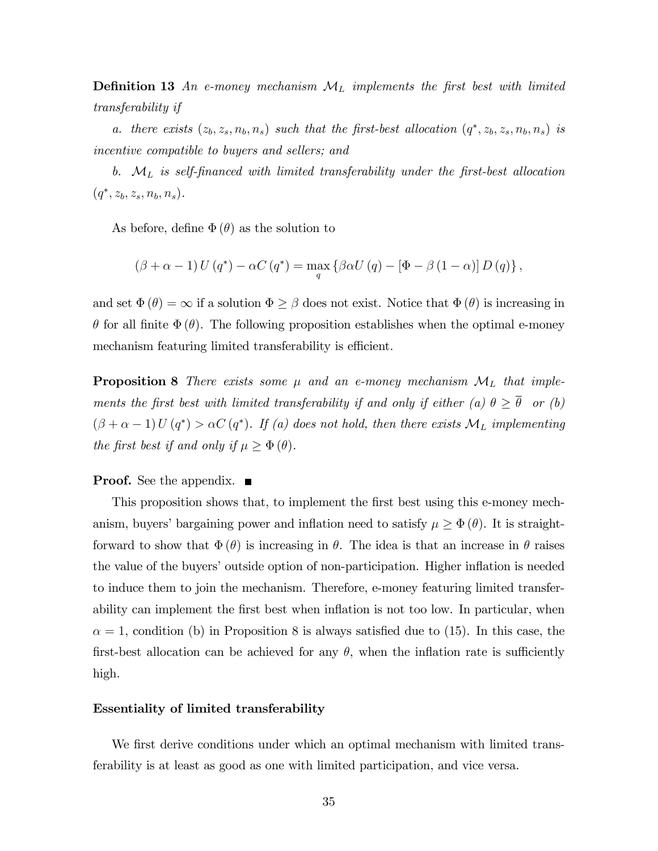**Definition 13** An e-money mechanism  $\mathcal{M}_L$  implements the first best with limited transferability if

a. there exists  $(z_b, z_s, n_b, n_s)$  such that the first-best allocation  $(q^*, z_b, z_s, n_b, n_s)$  is incentive compatible to buyers and sellers; and

b.  $\mathcal{M}_L$  is self-financed with limited transferability under the first-best allocation  $(q^*, z_b, z_s, n_b, n_s).$ 

As before, define  $\Phi(\theta)$  as the solution to

$$
(\beta + \alpha - 1) U(q^*) - \alpha C(q^*) = \max_{q} \left\{ \beta \alpha U(q) - \left[ \Phi - \beta (1 - \alpha) \right] D(q) \right\},\
$$

and set  $\Phi(\theta) = \infty$  if a solution  $\Phi \ge \beta$  does not exist. Notice that  $\Phi(\theta)$  is increasing in  $\theta$  for all finite  $\Phi(\theta)$ . The following proposition establishes when the optimal e-money mechanism featuring limited transferability is efficient.

**Proposition 8** There exists some  $\mu$  and an e-money mechanism  $\mathcal{M}_L$  that implements the first best with limited transferability if and only if either (a)  $\theta \geq \overline{\theta}$  or (b)  $(\beta + \alpha - 1) U(q^*) > \alpha C(q^*)$ . If (a) does not hold, then there exists  $\mathcal{M}_L$  implementing the first best if and only if  $\mu \geq \Phi(\theta)$ .

#### **Proof.** See the appendix.

This proposition shows that, to implement the first best using this e-money mechanism, buyers' bargaining power and inflation need to satisfy  $\mu \geq \Phi(\theta)$ . It is straightforward to show that  $\Phi(\theta)$  is increasing in  $\theta$ . The idea is that an increase in  $\theta$  raises the value of the buyers' outside option of non-participation. Higher inflation is needed to induce them to join the mechanism. Therefore, e-money featuring limited transferability can implement the first best when inflation is not too low. In particular, when  $\alpha = 1$ , condition (b) in Proposition 8 is always satisfied due to (15). In this case, the first-best allocation can be achieved for any  $\theta$ , when the inflation rate is sufficiently high.

#### Essentiality of limited transferability

We first derive conditions under which an optimal mechanism with limited transferability is at least as good as one with limited participation, and vice versa.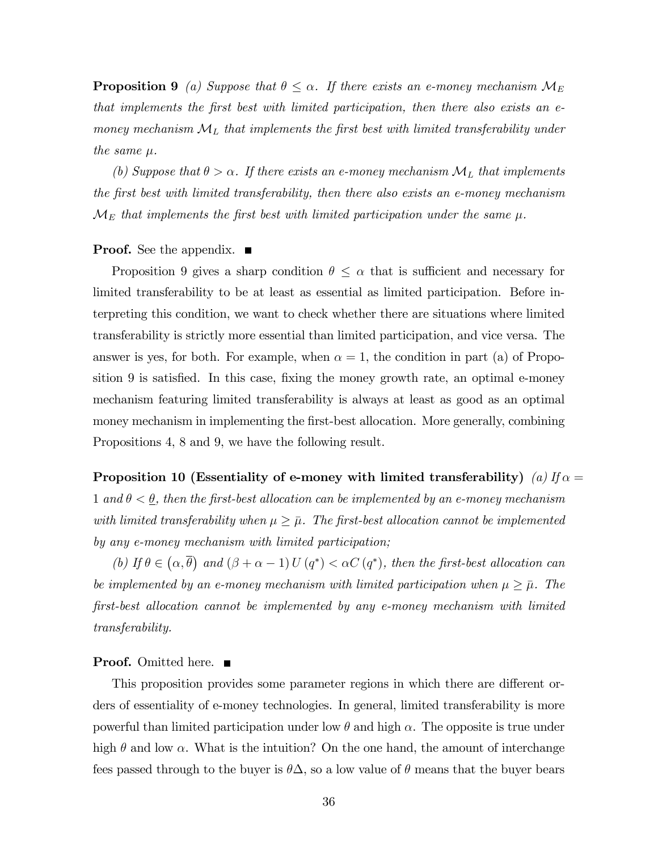**Proposition 9** (a) Suppose that  $\theta \leq \alpha$ . If there exists an e-money mechanism  $\mathcal{M}_E$ that implements the Örst best with limited participation, then there also exists an emoney mechanism  $\mathcal{M}_L$  that implements the first best with limited transferability under the same  $\mu$ .

(b) Suppose that  $\theta > \alpha$ . If there exists an e-money mechanism  $\mathcal{M}_L$  that implements the Örst best with limited transferability, then there also exists an e-money mechanism  $\mathcal{M}_E$  that implements the first best with limited participation under the same  $\mu$ .

#### **Proof.** See the appendix.  $\blacksquare$

Proposition 9 gives a sharp condition  $\theta \leq \alpha$  that is sufficient and necessary for limited transferability to be at least as essential as limited participation. Before interpreting this condition, we want to check whether there are situations where limited transferability is strictly more essential than limited participation, and vice versa. The answer is yes, for both. For example, when  $\alpha = 1$ , the condition in part (a) of Proposition 9 is satisfied. In this case, fixing the money growth rate, an optimal e-money mechanism featuring limited transferability is always at least as good as an optimal money mechanism in implementing the Örst-best allocation. More generally, combining Propositions 4, 8 and 9, we have the following result.

Proposition 10 (Essentiality of e-money with limited transferability) (a)  $If \alpha =$ 1 and  $\theta < \underline{\theta}$ , then the first-best allocation can be implemented by an e-money mechanism with limited transferability when  $\mu \geq \bar{\mu}$ . The first-best allocation cannot be implemented by any e-money mechanism with limited participation;

(b) If  $\theta \in (\alpha, \overline{\theta})$  and  $(\beta + \alpha - 1)U(q^*) < \alpha C(q^*)$ , then the first-best allocation can be implemented by an e-money mechanism with limited participation when  $\mu \geq \bar{\mu}$ . The Örst-best allocation cannot be implemented by any e-money mechanism with limited transferability.

#### **Proof.** Omitted here. ■

This proposition provides some parameter regions in which there are different orders of essentiality of e-money technologies. In general, limited transferability is more powerful than limited participation under low  $\theta$  and high  $\alpha$ . The opposite is true under high  $\theta$  and low  $\alpha$ . What is the intuition? On the one hand, the amount of interchange fees passed through to the buyer is  $\theta\Delta$ , so a low value of  $\theta$  means that the buyer bears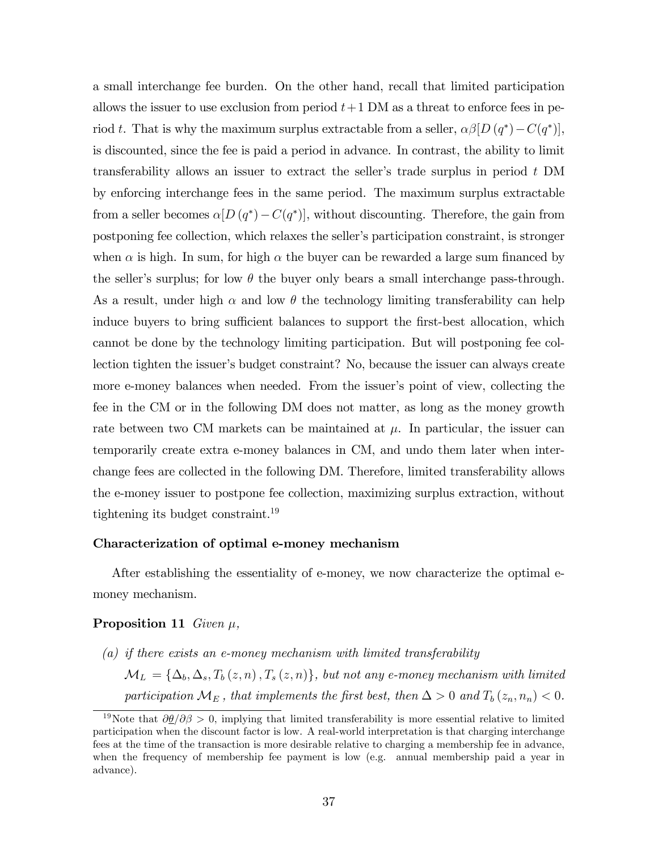a small interchange fee burden. On the other hand, recall that limited participation allows the issuer to use exclusion from period  $t+1$  DM as a threat to enforce fees in period t. That is why the maximum surplus extractable from a seller,  $\alpha\beta[D(q^*)-C(q^*)]$ , is discounted, since the fee is paid a period in advance. In contrast, the ability to limit transferability allows an issuer to extract the seller's trade surplus in period  $t$  DM by enforcing interchange fees in the same period. The maximum surplus extractable from a seller becomes  $\alpha[D(q^*)-C(q^*)]$ , without discounting. Therefore, the gain from postponing fee collection, which relaxes the seller's participation constraint, is stronger when  $\alpha$  is high. In sum, for high  $\alpha$  the buyer can be rewarded a large sum financed by the seller's surplus; for low  $\theta$  the buyer only bears a small interchange pass-through. As a result, under high  $\alpha$  and low  $\theta$  the technology limiting transferability can help induce buyers to bring sufficient balances to support the first-best allocation, which cannot be done by the technology limiting participation. But will postponing fee collection tighten the issuer's budget constraint? No, because the issuer can always create more e-money balances when needed. From the issuer's point of view, collecting the fee in the CM or in the following DM does not matter, as long as the money growth rate between two CM markets can be maintained at  $\mu$ . In particular, the issuer can temporarily create extra e-money balances in CM, and undo them later when interchange fees are collected in the following DM. Therefore, limited transferability allows the e-money issuer to postpone fee collection, maximizing surplus extraction, without tightening its budget constraint.<sup>19</sup>

### Characterization of optimal e-money mechanism

After establishing the essentiality of e-money, we now characterize the optimal emoney mechanism.

#### **Proposition 11** Given  $\mu$ ,

(a) if there exists an e-money mechanism with limited transferability  $\mathcal{M}_L = {\Delta_b, \Delta_s, T_b(z, n), T_s(z, n)},$  but not any e-money mechanism with limited participation  $\mathcal{M}_E$ , that implements the first best, then  $\Delta > 0$  and  $T_b(z_n, n_n) < 0$ .

<sup>&</sup>lt;sup>19</sup>Note that  $\partial \theta / \partial \beta > 0$ , implying that limited transferability is more essential relative to limited participation when the discount factor is low. A real-world interpretation is that charging interchange fees at the time of the transaction is more desirable relative to charging a membership fee in advance, when the frequency of membership fee payment is low (e.g. annual membership paid a year in advance).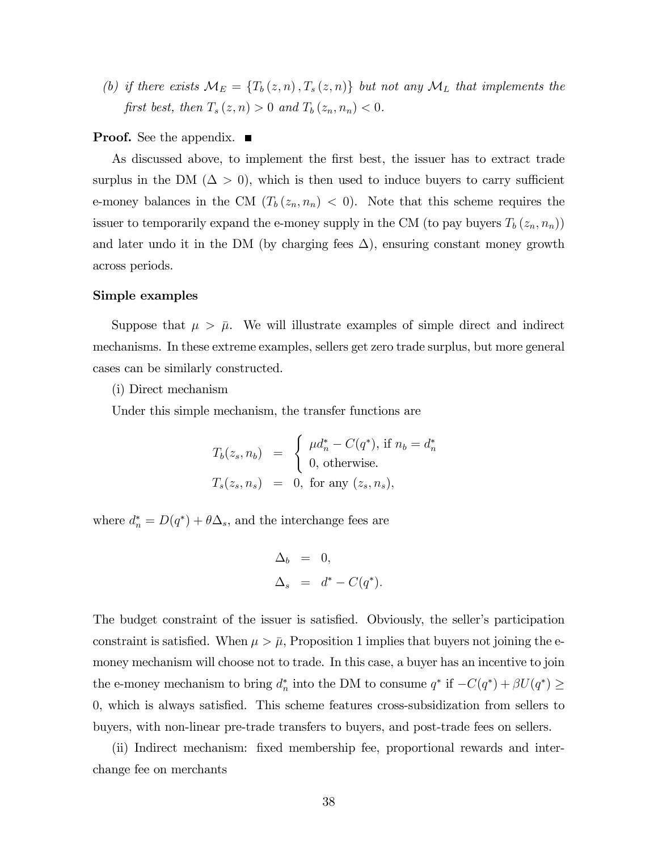(b) if there exists  $\mathcal{M}_E = \{T_b(z,n), T_s(z,n)\}\$  but not any  $\mathcal{M}_L$  that implements the first best, then  $T_s(z, n) > 0$  and  $T_b(z_n, n_n) < 0$ .

#### **Proof.** See the appendix. ■

As discussed above, to implement the first best, the issuer has to extract trade surplus in the DM ( $\Delta > 0$ ), which is then used to induce buyers to carry sufficient e-money balances in the CM  $(T_b(z_n, n_n) < 0)$ . Note that this scheme requires the issuer to temporarily expand the e-money supply in the CM (to pay buyers  $T_b(z_n, n_n)$ ) and later undo it in the DM (by charging fees  $\Delta$ ), ensuring constant money growth across periods.

#### Simple examples

Suppose that  $\mu > \bar{\mu}$ . We will illustrate examples of simple direct and indirect mechanisms. In these extreme examples, sellers get zero trade surplus, but more general cases can be similarly constructed.

(i) Direct mechanism

Under this simple mechanism, the transfer functions are

$$
T_b(z_s, n_b) = \begin{cases} \mu d_n^* - C(q^*), \text{ if } n_b = d_n^* \\ 0, \text{ otherwise.} \end{cases}
$$
  

$$
T_s(z_s, n_s) = 0, \text{ for any } (z_s, n_s),
$$

where  $d_n^* = D(q^*) + \theta \Delta_s$ , and the interchange fees are

$$
\Delta_b = 0,
$$
  

$$
\Delta_s = d^* - C(q^*).
$$

The budget constraint of the issuer is satisfied. Obviously, the seller's participation constraint is satisfied. When  $\mu > \bar{\mu}$ , Proposition 1 implies that buyers not joining the emoney mechanism will choose not to trade. In this case, a buyer has an incentive to join the e-money mechanism to bring  $d_n^*$  into the DM to consume  $q^*$  if  $-C(q^*) + \beta U(q^*) \ge$ 0, which is always satisfied. This scheme features cross-subsidization from sellers to buyers, with non-linear pre-trade transfers to buyers, and post-trade fees on sellers.

(ii) Indirect mechanism: Öxed membership fee, proportional rewards and interchange fee on merchants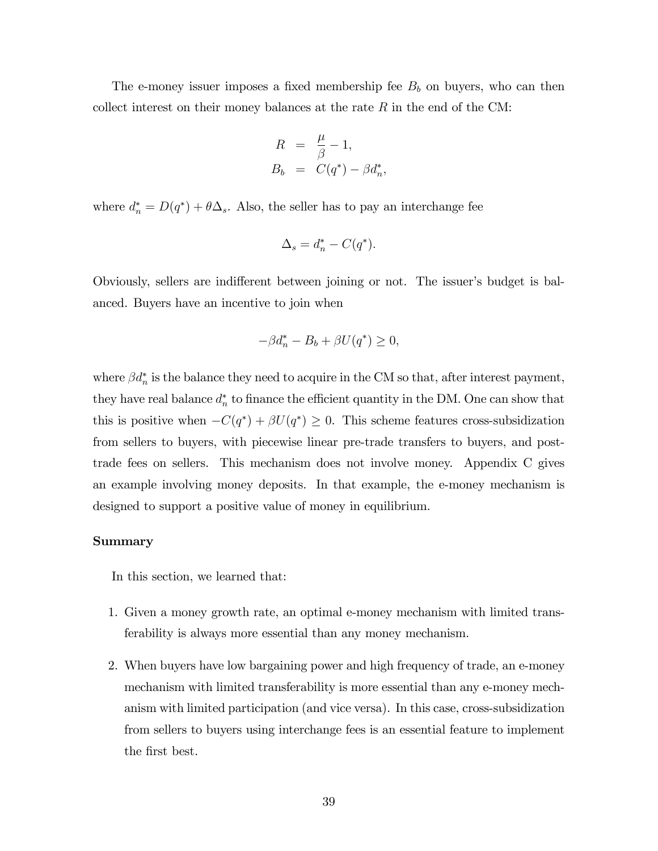The e-money issuer imposes a fixed membership fee  $B_b$  on buyers, who can then collect interest on their money balances at the rate  $R$  in the end of the CM:

$$
R = \frac{\mu}{\beta} - 1,
$$
  
\n
$$
B_b = C(q^*) - \beta d_n^*,
$$

where  $d_n^* = D(q^*) + \theta \Delta_s$ . Also, the seller has to pay an interchange fee

$$
\Delta_s = d_n^* - C(q^*).
$$

Obviously, sellers are indifferent between joining or not. The issuer's budget is balanced. Buyers have an incentive to join when

$$
-\beta d_n^* - B_b + \beta U(q^*) \ge 0,
$$

where  $\beta d_n^*$  is the balance they need to acquire in the CM so that, after interest payment, they have real balance  $d_n^*$  to finance the efficient quantity in the DM. One can show that this is positive when  $-C(q^*) + \beta U(q^*) \geq 0$ . This scheme features cross-subsidization from sellers to buyers, with piecewise linear pre-trade transfers to buyers, and posttrade fees on sellers. This mechanism does not involve money. Appendix C gives an example involving money deposits. In that example, the e-money mechanism is designed to support a positive value of money in equilibrium.

#### Summary

In this section, we learned that:

- 1. Given a money growth rate, an optimal e-money mechanism with limited transferability is always more essential than any money mechanism.
- 2. When buyers have low bargaining power and high frequency of trade, an e-money mechanism with limited transferability is more essential than any e-money mechanism with limited participation (and vice versa). In this case, cross-subsidization from sellers to buyers using interchange fees is an essential feature to implement the first best.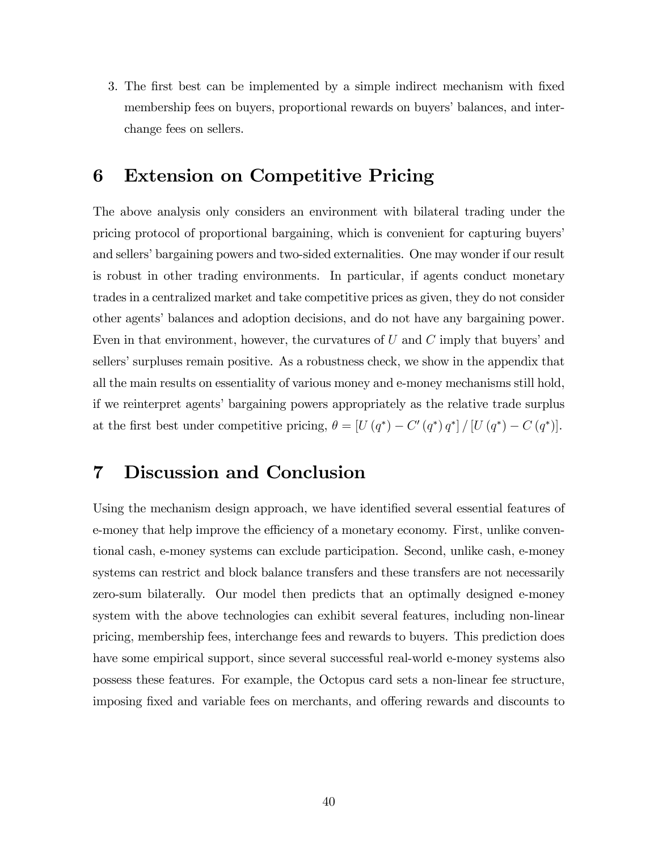3. The first best can be implemented by a simple indirect mechanism with fixed membership fees on buyers, proportional rewards on buyers' balances, and interchange fees on sellers.

## 6 Extension on Competitive Pricing

The above analysis only considers an environment with bilateral trading under the pricing protocol of proportional bargaining, which is convenient for capturing buyers' and sellers' bargaining powers and two-sided externalities. One may wonder if our result is robust in other trading environments. In particular, if agents conduct monetary trades in a centralized market and take competitive prices as given, they do not consider other agents' balances and adoption decisions, and do not have any bargaining power. Even in that environment, however, the curvatures of  $U$  and  $C$  imply that buyers' and sellers' surpluses remain positive. As a robustness check, we show in the appendix that all the main results on essentiality of various money and e-money mechanisms still hold, if we reinterpret agents' bargaining powers appropriately as the relative trade surplus at the first best under competitive pricing,  $\theta = [U(q^*) - C'(q^*) q^*] / [U(q^*) - C(q^*)]$ .

## 7 Discussion and Conclusion

Using the mechanism design approach, we have identified several essential features of e-money that help improve the efficiency of a monetary economy. First, unlike conventional cash, e-money systems can exclude participation. Second, unlike cash, e-money systems can restrict and block balance transfers and these transfers are not necessarily zero-sum bilaterally. Our model then predicts that an optimally designed e-money system with the above technologies can exhibit several features, including non-linear pricing, membership fees, interchange fees and rewards to buyers. This prediction does have some empirical support, since several successful real-world e-money systems also possess these features. For example, the Octopus card sets a non-linear fee structure, imposing fixed and variable fees on merchants, and offering rewards and discounts to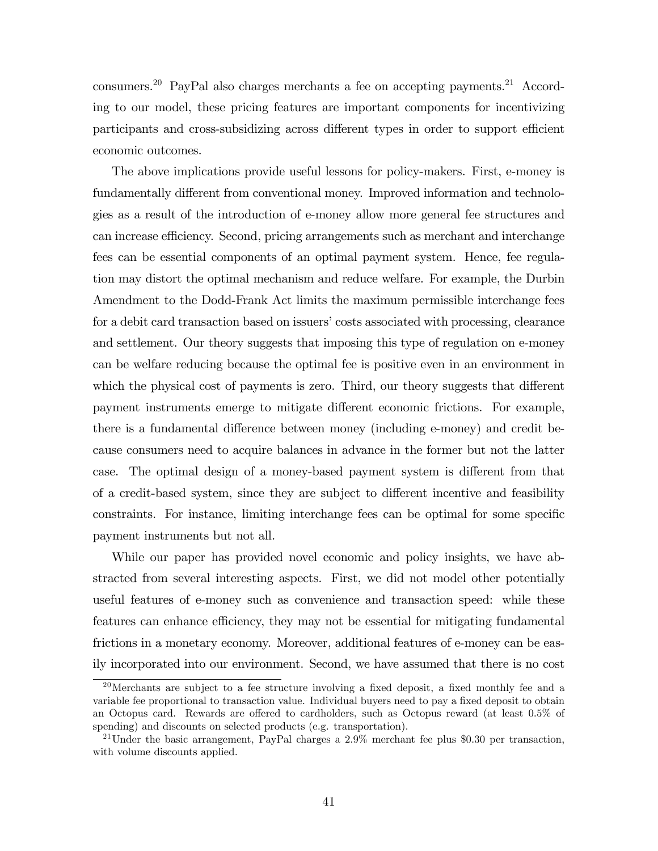consumers.<sup>20</sup> PayPal also charges merchants a fee on accepting payments.<sup>21</sup> According to our model, these pricing features are important components for incentivizing participants and cross-subsidizing across different types in order to support efficient economic outcomes.

The above implications provide useful lessons for policy-makers. First, e-money is fundamentally different from conventional money. Improved information and technologies as a result of the introduction of e-money allow more general fee structures and can increase efficiency. Second, pricing arrangements such as merchant and interchange fees can be essential components of an optimal payment system. Hence, fee regulation may distort the optimal mechanism and reduce welfare. For example, the Durbin Amendment to the Dodd-Frank Act limits the maximum permissible interchange fees for a debit card transaction based on issuers' costs associated with processing, clearance and settlement. Our theory suggests that imposing this type of regulation on e-money can be welfare reducing because the optimal fee is positive even in an environment in which the physical cost of payments is zero. Third, our theory suggests that different payment instruments emerge to mitigate different economic frictions. For example, there is a fundamental difference between money (including e-money) and credit because consumers need to acquire balances in advance in the former but not the latter case. The optimal design of a money-based payment system is different from that of a credit-based system, since they are subject to different incentive and feasibility constraints. For instance, limiting interchange fees can be optimal for some specific payment instruments but not all.

While our paper has provided novel economic and policy insights, we have abstracted from several interesting aspects. First, we did not model other potentially useful features of e-money such as convenience and transaction speed: while these features can enhance efficiency, they may not be essential for mitigating fundamental frictions in a monetary economy. Moreover, additional features of e-money can be easily incorporated into our environment. Second, we have assumed that there is no cost

 $20$ Merchants are subject to a fee structure involving a fixed deposit, a fixed monthly fee and a variable fee proportional to transaction value. Individual buyers need to pay a fixed deposit to obtain an Octopus card. Rewards are offered to cardholders, such as Octopus reward (at least  $0.5\%$  of spending) and discounts on selected products (e.g. transportation).

<sup>&</sup>lt;sup>21</sup>Under the basic arrangement, PayPal charges a  $2.9\%$  merchant fee plus \$0.30 per transaction, with volume discounts applied.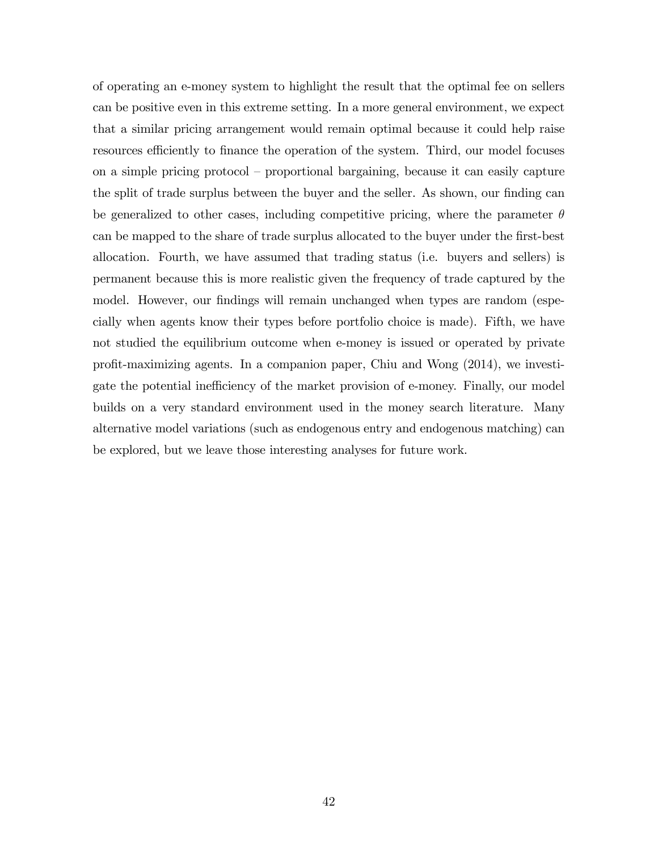of operating an e-money system to highlight the result that the optimal fee on sellers can be positive even in this extreme setting. In a more general environment, we expect that a similar pricing arrangement would remain optimal because it could help raise resources efficiently to finance the operation of the system. Third, our model focuses on a simple pricing protocol  $-$  proportional bargaining, because it can easily capture the split of trade surplus between the buyer and the seller. As shown, our finding can be generalized to other cases, including competitive pricing, where the parameter  $\theta$ can be mapped to the share of trade surplus allocated to the buyer under the first-best allocation. Fourth, we have assumed that trading status (i.e. buyers and sellers) is permanent because this is more realistic given the frequency of trade captured by the model. However, our findings will remain unchanged when types are random (especially when agents know their types before portfolio choice is made). Fifth, we have not studied the equilibrium outcome when e-money is issued or operated by private profit-maximizing agents. In a companion paper, Chiu and Wong  $(2014)$ , we investigate the potential inefficiency of the market provision of e-money. Finally, our model builds on a very standard environment used in the money search literature. Many alternative model variations (such as endogenous entry and endogenous matching) can be explored, but we leave those interesting analyses for future work.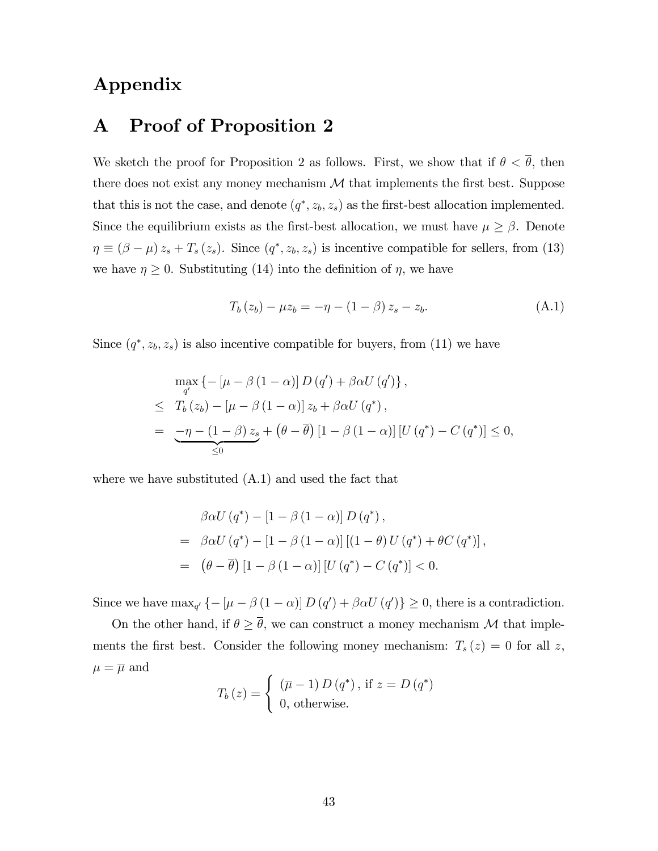## Appendix

## A Proof of Proposition 2

We sketch the proof for Proposition 2 as follows. First, we show that if  $\theta < \overline{\theta}$ , then there does not exist any money mechanism  $\mathcal M$  that implements the first best. Suppose that this is not the case, and denote  $(q^*, z_b, z_s)$  as the first-best allocation implemented. Since the equilibrium exists as the first-best allocation, we must have  $\mu \geq \beta$ . Denote  $\eta \equiv (\beta - \mu) z_s + T_s (z_s)$ . Since  $(q^*, z_b, z_s)$  is incentive compatible for sellers, from (13) we have  $\eta \geq 0$ . Substituting (14) into the definition of  $\eta$ , we have

$$
T_b(z_b) - \mu z_b = -\eta - (1 - \beta) z_s - z_b.
$$
 (A.1)

Since  $(q^*, z_b, z_s)$  is also incentive compatible for buyers, from (11) we have

$$
\max_{q'} \left\{ -\left[\mu - \beta \left(1 - \alpha\right)\right] D\left(q'\right) + \beta \alpha U\left(q'\right) \right\},\
$$
  

$$
\leq T_b(z_b) - \left[\mu - \beta \left(1 - \alpha\right)\right] z_b + \beta \alpha U\left(q^*\right),
$$
  

$$
= \underbrace{-\eta - \left(1 - \beta\right) z_s}_{\leq 0} + \left(\theta - \overline{\theta}\right) \left[1 - \beta \left(1 - \alpha\right)\right] \left[U\left(q^*\right) - C\left(q^*\right)\right] \leq 0,
$$

where we have substituted (A.1) and used the fact that

$$
\beta \alpha U (q^*) - [1 - \beta (1 - \alpha)] D (q^*),
$$
  
=  $\beta \alpha U (q^*) - [1 - \beta (1 - \alpha)] [(1 - \theta) U (q^*) + \theta C (q^*)],$   
=  $(\theta - \overline{\theta}) [1 - \beta (1 - \alpha)] [U (q^*) - C (q^*)] < 0.$ 

Since we have  $\max_{q'} \{-[\mu - \beta (1 - \alpha)] D (q') + \beta \alpha U (q')\} \ge 0$ , there is a contradiction.

On the other hand, if  $\theta \geq \overline{\theta}$ , we can construct a money mechanism M that implements the first best. Consider the following money mechanism:  $T_s(z) = 0$  for all z,  $\mu = \overline{\mu}$  and

$$
T_b(z) = \begin{cases} (\overline{\mu} - 1) D(q^*), \text{ if } z = D(q^*)\\ 0, \text{ otherwise.} \end{cases}
$$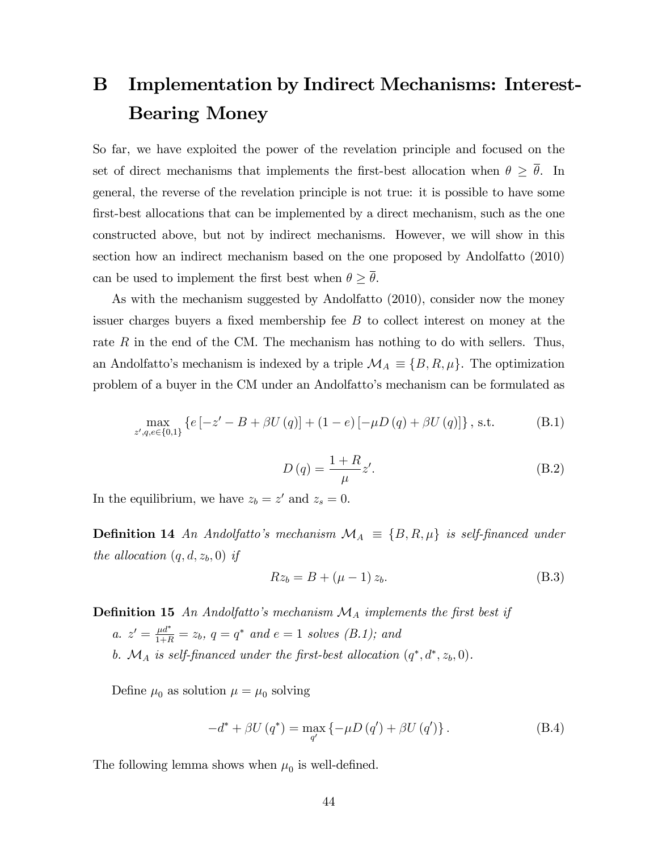# B Implementation by Indirect Mechanisms: Interest-Bearing Money

So far, we have exploited the power of the revelation principle and focused on the set of direct mechanisms that implements the first-best allocation when  $\theta \geq \overline{\theta}$ . In general, the reverse of the revelation principle is not true: it is possible to have some first-best allocations that can be implemented by a direct mechanism, such as the one constructed above, but not by indirect mechanisms. However, we will show in this section how an indirect mechanism based on the one proposed by Andolfatto (2010) can be used to implement the first best when  $\theta \geq \overline{\theta}$ .

As with the mechanism suggested by Andolfatto (2010), consider now the money issuer charges buyers a fixed membership fee  $B$  to collect interest on money at the rate R in the end of the CM. The mechanism has nothing to do with sellers. Thus, an Andolfatto's mechanism is indexed by a triple  $\mathcal{M}_A \equiv \{B, R, \mu\}$ . The optimization problem of a buyer in the CM under an Andolfattoís mechanism can be formulated as

$$
\max_{z',q,e \in \{0,1\}} \left\{ e \left[ -z' - B + \beta U(q) \right] + (1 - e) \left[ -\mu D(q) + \beta U(q) \right] \right\}, \text{ s.t.} \tag{B.1}
$$

$$
D(q) = \frac{1+R}{\mu}z'.
$$
\n(B.2)

In the equilibrium, we have  $z_b = z'$  and  $z_s = 0$ .

**Definition 14** An Andolfatto's mechanism  $\mathcal{M}_A \equiv \{B, R, \mu\}$  is self-financed under the allocation  $(q, d, z_b, 0)$  if

$$
Rz_b = B + (\mu - 1) z_b.
$$
 (B.3)

**Definition 15** An Andolfatto's mechanism  $\mathcal{M}_A$  implements the first best if a.  $z' = \frac{\mu d^*}{1+R} = z_b$ ,  $q = q^*$  and  $e = 1$  solves  $(B.1)$ ; and

b.  $\mathcal{M}_A$  is self-financed under the first-best allocation  $(q^*, d^*, z_b, 0)$ .

Define  $\mu_0$  as solution  $\mu = \mu_0$  solving

$$
-d^* + \beta U(q^*) = \max_{q'} \left\{-\mu D(q') + \beta U(q')\right\}.
$$
 (B.4)

The following lemma shows when  $\mu_0$  is well-defined.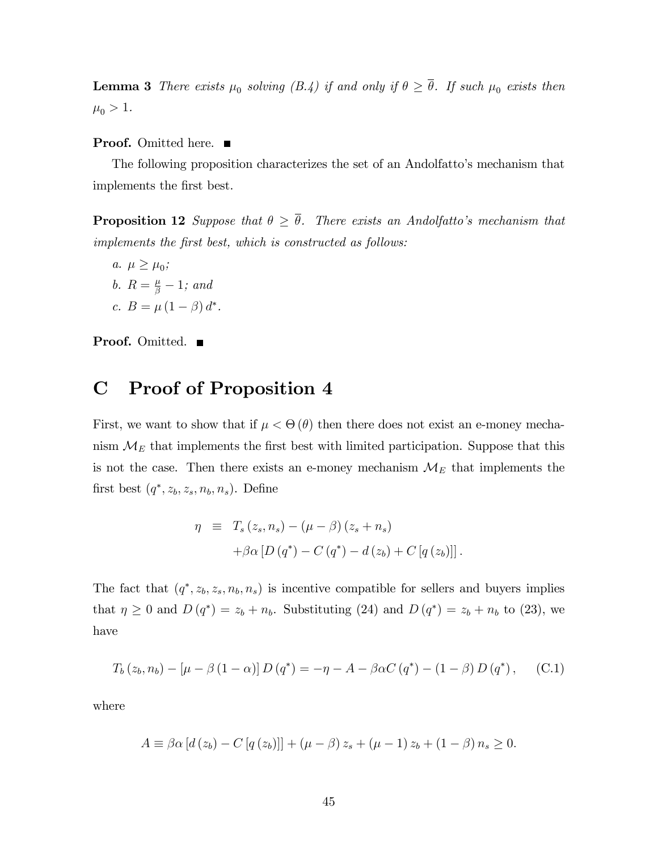**Lemma 3** There exists  $\mu_0$  solving (B.4) if and only if  $\theta \ge \theta$ . If such  $\mu_0$  exists then  $\mu_0 > 1$ .

**Proof.** Omitted here. ■

The following proposition characterizes the set of an Andolfatto's mechanism that implements the Örst best.

**Proposition 12** Suppose that  $\theta \geq \overline{\theta}$ . There exists an Andolfatto's mechanism that implements the first best, which is constructed as follows:

a.  $\mu \geq \mu_0$ ; b.  $R = \frac{\mu}{\beta} - 1$ ; and c.  $B = \mu (1 - \beta) d^*$ .

**Proof.** Omitted. ■

## C Proof of Proposition 4

First, we want to show that if  $\mu < \Theta(\theta)$  then there does not exist an e-money mechanism  $\mathcal{M}_E$  that implements the first best with limited participation. Suppose that this is not the case. Then there exists an e-money mechanism  $\mathcal{M}_{E}$  that implements the first best  $(q^*, z_b, z_s, n_b, n_s)$ . Define

$$
\eta \equiv T_s(z_s, n_s) - (\mu - \beta)(z_s + n_s) + \beta \alpha [D(q^*) - C(q^*) - d(z_b) + C[q(z_b)]].
$$

The fact that  $(q^*, z_b, z_s, n_b, n_s)$  is incentive compatible for sellers and buyers implies that  $\eta \geq 0$  and  $D(q^*) = z_b + n_b$ . Substituting (24) and  $D(q^*) = z_b + n_b$  to (23), we have

$$
T_b(z_b, n_b) - [\mu - \beta (1 - \alpha)] D(q^*) = -\eta - A - \beta \alpha C(q^*) - (1 - \beta) D(q^*), \quad (C.1)
$$

where

$$
A \equiv \beta \alpha [d(z_b) - C [q(z_b)]] + (\mu - \beta) z_s + (\mu - 1) z_b + (1 - \beta) n_s \ge 0.
$$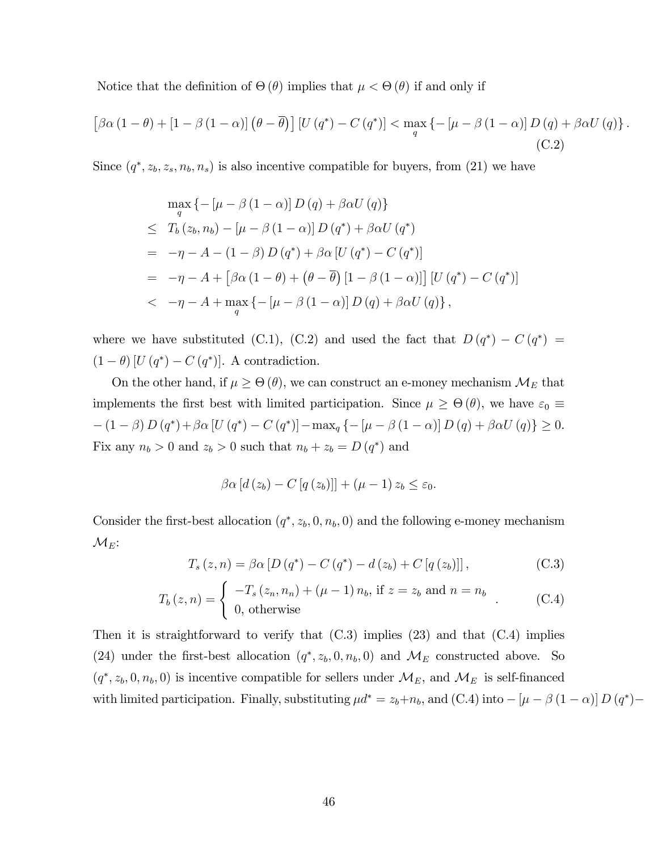Notice that the definition of  $\Theta(\theta)$  implies that  $\mu < \Theta(\theta)$  if and only if

$$
\left[\beta\alpha\left(1-\theta\right)+\left[1-\beta\left(1-\alpha\right)\right]\left(\theta-\overline{\theta}\right)\right]\left[U\left(q^*\right)-C\left(q^*\right)\right] < \max_{q} \left\{-\left[\mu-\beta\left(1-\alpha\right)\right]D\left(q\right)+\beta\alpha U\left(q\right)\right\}.\tag{C.2}
$$

Since  $(q^*, z_b, z_s, n_b, n_s)$  is also incentive compatible for buyers, from (21) we have

$$
\max_{q} \left\{ -\left[\mu - \beta \left(1 - \alpha\right)\right] D\left(q\right) + \beta \alpha U\left(q\right) \right\}
$$
\n
$$
\leq T_b(z_b, n_b) - \left[\mu - \beta \left(1 - \alpha\right)\right] D\left(q^*\right) + \beta \alpha U\left(q^*\right)
$$
\n
$$
= -\eta - A - (1 - \beta) D\left(q^*\right) + \beta \alpha \left[U\left(q^*\right) - C\left(q^*\right)\right]
$$
\n
$$
= -\eta - A + \left[\beta \alpha \left(1 - \theta\right) + \left(\theta - \overline{\theta}\right) \left[1 - \beta \left(1 - \alpha\right)\right]\right] \left[U\left(q^*\right) - C\left(q^*\right)\right]
$$
\n
$$
< -\eta - A + \max_{q} \left\{-\left[\mu - \beta \left(1 - \alpha\right)\right] D\left(q\right) + \beta \alpha U\left(q\right)\right\},
$$

where we have substituted (C.1), (C.2) and used the fact that  $D(q^*) - C(q^*) =$  $(1 - \theta) [U(q^*) - C(q^*)]$ . A contradiction.

On the other hand, if  $\mu \geq \Theta(\theta)$ , we can construct an e-money mechanism  $\mathcal{M}_{E}$  that implements the first best with limited participation. Since  $\mu \geq \Theta(\theta)$ , we have  $\varepsilon_0 \equiv$  $-(1 - \beta) D (q^*) + \beta \alpha [U (q^*) - C (q^*)] - \max_q \{-[\mu - \beta (1 - \alpha)] D (q) + \beta \alpha U (q)\} \ge 0.$ Fix any  $n_b > 0$  and  $z_b > 0$  such that  $n_b + z_b = D(q^*)$  and

$$
\beta\alpha\left[d\left(z_{b}\right)-C\left[q\left(z_{b}\right)\right]\right]+\left(\mu-1\right)z_{b}\leq\varepsilon_{0}.
$$

Consider the first-best allocation  $(q^*, z_b, 0, n_b, 0)$  and the following e-money mechanism  $\mathcal{M}_{E}$ :

$$
T_s(z, n) = \beta \alpha \left[ D \left( q^* \right) - C \left( q^* \right) - d \left( z_b \right) + C \left[ q \left( z_b \right) \right] \right],\tag{C.3}
$$

$$
T_b(z, n) = \begin{cases} -T_s(z_n, n_n) + (\mu - 1) n_b, \text{ if } z = z_b \text{ and } n = n_b \\ 0, \text{ otherwise} \end{cases}
$$
 (C.4)

Then it is straightforward to verify that  $(C.3)$  implies  $(23)$  and that  $(C.4)$  implies (24) under the first-best allocation  $(q^*, z_b, 0, n_b, 0)$  and  $\mathcal{M}_E$  constructed above. So  $(q^*, z_b, 0, n_b, 0)$  is incentive compatible for sellers under  $\mathcal{M}_E$ , and  $\mathcal{M}_E$  is self-financed with limited participation. Finally, substituting  $\mu d^* = z_b + n_b$ , and (C.4) into  $- [\mu - \beta (1 - \alpha)] D (q^*)$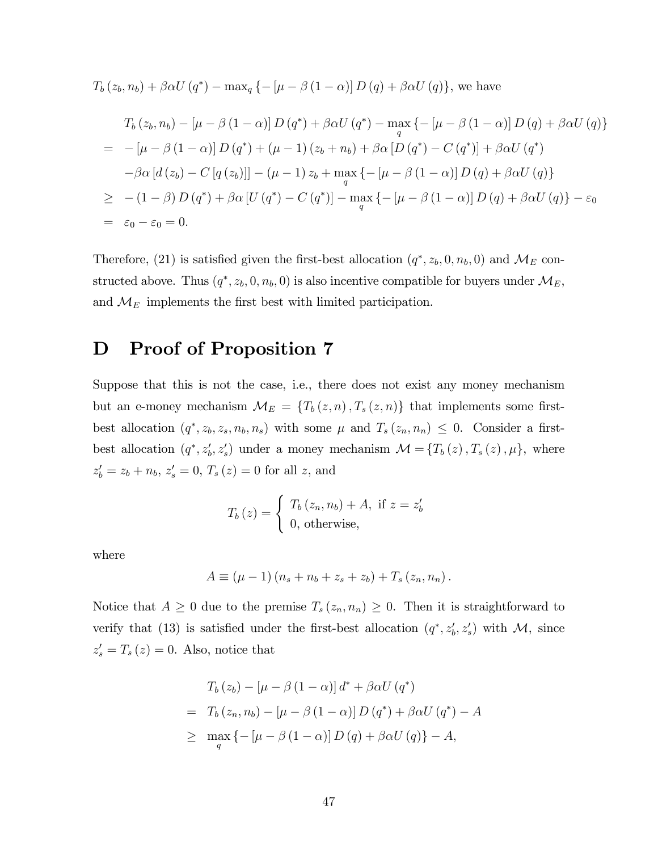$$
T_b(z_b, n_b) + \beta \alpha U(q^*) - \max_q \{-[\mu - \beta (1 - \alpha)] D(q) + \beta \alpha U(q)\},\
$$
 we have

$$
T_b(z_b, n_b) - \left[\mu - \beta (1 - \alpha)\right] D(q^*) + \beta \alpha U(q^*) - \max_q \left\{-\left[\mu - \beta (1 - \alpha)\right] D(q) + \beta \alpha U(q)\right\}
$$
  
\n
$$
= -\left[\mu - \beta (1 - \alpha)\right] D(q^*) + \left(\mu - 1\right) (z_b + n_b) + \beta \alpha \left[D(q^*) - C(q^*)\right] + \beta \alpha U(q^*)
$$
  
\n
$$
-\beta \alpha \left[d(z_b) - C\left[q(z_b)\right]\right] - \left(\mu - 1\right) z_b + \max_q \left\{-\left[\mu - \beta (1 - \alpha)\right] D(q) + \beta \alpha U(q)\right\}
$$
  
\n
$$
\geq -(1 - \beta) D(q^*) + \beta \alpha \left[U(q^*) - C(q^*)\right] - \max_q \left\{-\left[\mu - \beta (1 - \alpha)\right] D(q) + \beta \alpha U(q)\right\} - \varepsilon_0
$$
  
\n
$$
= \varepsilon_0 - \varepsilon_0 = 0.
$$

Therefore, (21) is satisfied given the first-best allocation  $(q^*, z_b, 0, n_b, 0)$  and  $\mathcal{M}_E$  constructed above. Thus  $(q^*, z_b, 0, n_b, 0)$  is also incentive compatible for buyers under  $\mathcal{M}_E$ , and  $\mathcal{M}_E$  implements the first best with limited participation.

## D Proof of Proposition 7

Suppose that this is not the case, i.e., there does not exist any money mechanism but an e-money mechanism  $\mathcal{M}_E = \{T_b(z, n), T_s(z, n)\}\$  that implements some firstbest allocation  $(q^*, z_b, z_s, n_b, n_s)$  with some  $\mu$  and  $T_s(z_n, n_n) \leq 0$ . Consider a firstbest allocation  $(q^*, z'_b, z'_s)$  under a money mechanism  $\mathcal{M} = \{T_b(z), T_s(z), \mu\}$ , where  $z'_b = z_b + n_b, z'_s = 0, T_s(z) = 0$  for all z, and

$$
T_b(z) = \begin{cases} T_b(z_n, n_b) + A, \text{ if } z = z'_b \\ 0, \text{ otherwise,} \end{cases}
$$

where

 $A \equiv (\mu - 1) (n_s + n_b + z_s + z_b) + T_s (z_n, n_n).$ 

Notice that  $A \geq 0$  due to the premise  $T_s(z_n, n_n) \geq 0$ . Then it is straightforward to verify that (13) is satisfied under the first-best allocation  $(q^*, z'_b, z'_s)$  with M, since  $z'_{s} = T_{s}(z) = 0$ . Also, notice that

$$
T_b(z_b) - \left[\mu - \beta (1 - \alpha)\right] d^* + \beta \alpha U(q^*)
$$
  
= 
$$
T_b(z_n, n_b) - \left[\mu - \beta (1 - \alpha)\right] D(q^*) + \beta \alpha U(q^*) - A
$$
  

$$
\geq \max_q \left\{-\left[\mu - \beta (1 - \alpha)\right] D(q) + \beta \alpha U(q)\right\} - A,
$$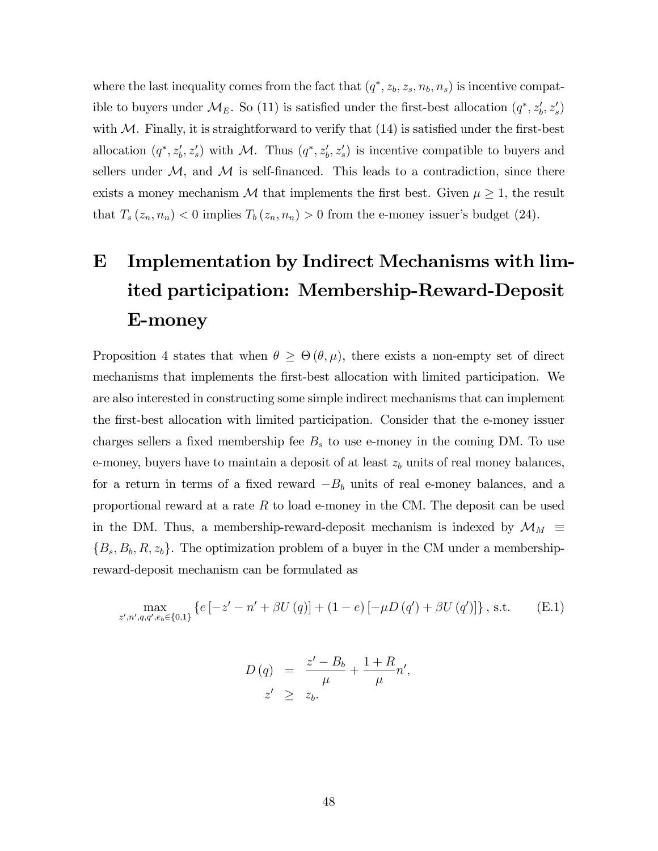where the last inequality comes from the fact that  $(q^*, z_b, z_s, n_b, n_s)$  is incentive compatible to buyers under  $\mathcal{M}_E$ . So (11) is satisfied under the first-best allocation  $(q^*, z'_b, z'_s)$ with  $M$ . Finally, it is straightforward to verify that  $(14)$  is satisfied under the first-best allocation  $(q^*, z'_b, z'_s)$  with M. Thus  $(q^*, z'_b, z'_s)$  is incentive compatible to buyers and sellers under  $M$ , and  $M$  is self-financed. This leads to a contradiction, since there exists a money mechanism M that implements the first best. Given  $\mu \geq 1$ , the result that  $T_s(z_n, n_n) < 0$  implies  $T_b(z_n, n_n) > 0$  from the e-money issuer's budget (24).

# E Implementation by Indirect Mechanisms with limited participation: Membership-Reward-Deposit E-money

Proposition 4 states that when  $\theta \geq \Theta(\theta, \mu)$ , there exists a non-empty set of direct mechanisms that implements the first-best allocation with limited participation. We are also interested in constructing some simple indirect mechanisms that can implement the Örst-best allocation with limited participation. Consider that the e-money issuer charges sellers a fixed membership fee  $B_s$  to use e-money in the coming DM. To use e-money, buyers have to maintain a deposit of at least  $z<sub>b</sub>$  units of real money balances, for a return in terms of a fixed reward  $-B_b$  units of real e-money balances, and a proportional reward at a rate  $R$  to load e-money in the CM. The deposit can be used in the DM. Thus, a membership-reward-deposit mechanism is indexed by  $\mathcal{M}_M \equiv$  $\{B_s, B_b, R, z_b\}$ . The optimization problem of a buyer in the CM under a membershipreward-deposit mechanism can be formulated as

$$
\max_{z',n',q,q',e_b \in \{0,1\}} \left\{ e\left[ -z' - n' + \beta U\left( q \right) \right] + (1-e)\left[ -\mu D\left( q' \right) + \beta U\left( q' \right) \right] \right\}, \text{ s.t.} \qquad \text{(E.1)}
$$

$$
D(q) = \frac{z'-B_b}{\mu} + \frac{1+R}{\mu}n',
$$
  

$$
z' \ge z_b.
$$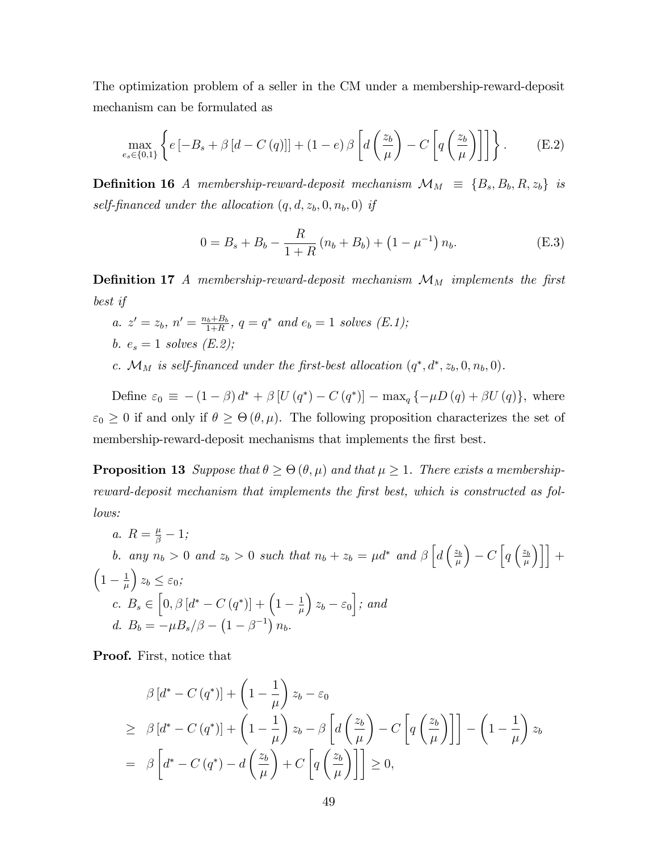The optimization problem of a seller in the CM under a membership-reward-deposit mechanism can be formulated as

$$
\max_{e_s \in \{0,1\}} \left\{ e \left[ -B_s + \beta \left[ d - C\left( q \right) \right] \right] + (1 - e) \beta \left[ d \left( \frac{z_b}{\mu} \right) - C \left[ q \left( \frac{z_b}{\mu} \right) \right] \right] \right\}.
$$
 (E.2)

**Definition 16** A membership-reward-deposit mechanism  $\mathcal{M}_M \equiv \{B_s, B_b, R, z_b\}$  is self-financed under the allocation  $(q, d, z_b, 0, n_b, 0)$  if

$$
0 = B_s + B_b - \frac{R}{1+R} (n_b + B_b) + (1 - \mu^{-1}) n_b.
$$
 (E.3)

**Definition 17** A membership-reward-deposit mechanism  $\mathcal{M}_M$  implements the first best if

- a.  $z' = z_b$ ,  $n' = \frac{n_b + B_b}{1 + B_b}$  $a_{1+R}^{b+B_b}$ ,  $q = q^*$  and  $e_b = 1$  solves  $(E.1);$ b.  $e_s = 1$  solves  $(E.2)$ ;
- c.  $\mathcal{M}_M$  is self-financed under the first-best allocation  $(q^*, d^*, z_b, 0, n_b, 0)$ .

Define  $\varepsilon_0 \equiv -(1 - \beta) d^* + \beta [U(q^*) - C(q^*)] - \max_q \{-\mu D(q) + \beta U(q)\},\$  where  $\varepsilon_0 \geq 0$  if and only if  $\theta \geq \Theta(\theta, \mu)$ . The following proposition characterizes the set of membership-reward-deposit mechanisms that implements the first best.

**Proposition 13** Suppose that  $\theta \ge \Theta(\theta, \mu)$  and that  $\mu \ge 1$ . There exists a membershipreward-deposit mechanism that implements the first best, which is constructed as follows:

a. 
$$
R = \frac{\mu}{\beta} - 1
$$
;  
\nb. any  $n_b > 0$  and  $z_b > 0$  such that  $n_b + z_b = \mu d^*$  and  $\beta \left[ d \left( \frac{z_b}{\mu} \right) - C \left[ q \left( \frac{z_b}{\mu} \right) \right] \right] +$   
\n $\left( 1 - \frac{1}{\mu} \right) z_b \leq \varepsilon_0$ ;  
\nc.  $B_s \in \left[ 0, \beta \left[ d^* - C \left( q^* \right) \right] + \left( 1 - \frac{1}{\mu} \right) z_b - \varepsilon_0 \right]$ ; and  
\nd.  $B_b = -\mu B_s/\beta - \left( 1 - \beta^{-1} \right) n_b$ .

Proof. First, notice that

$$
\beta [d^* - C (q^*)] + \left(1 - \frac{1}{\mu}\right) z_b - \varepsilon_0
$$
\n
$$
\geq \beta [d^* - C (q^*)] + \left(1 - \frac{1}{\mu}\right) z_b - \beta \left[d\left(\frac{z_b}{\mu}\right) - C \left[q\left(\frac{z_b}{\mu}\right)\right]\right] - \left(1 - \frac{1}{\mu}\right) z_b
$$
\n
$$
= \beta \left[d^* - C (q^*) - d\left(\frac{z_b}{\mu}\right) + C \left[q\left(\frac{z_b}{\mu}\right)\right]\right] \geq 0,
$$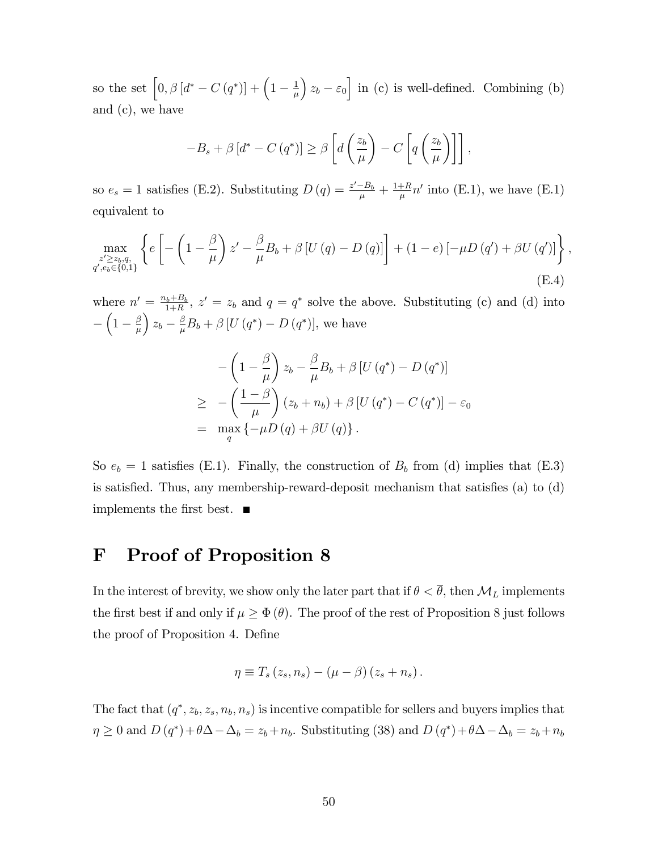so the set  $\left[0, \beta \left[ d^* - C\left( q^* \right) \right] + \left(1 - \frac{1}{\mu} \right) \right]$  $\mu$  $x_b - \varepsilon_0$  in (c) is well-defined. Combining (b) and (c), we have

$$
-B_s + \beta \left[ d^* - C\left( q^* \right) \right] \ge \beta \left[ d \left( \frac{z_b}{\mu} \right) - C \left[ q \left( \frac{z_b}{\mu} \right) \right] \right],
$$

so  $e_s = 1$  satisfies (E.2). Substituting  $D(q) = \frac{z'-B_b}{\mu} + \frac{1+R}{\mu}$  $\frac{+R}{\mu}n'$  into (E.1), we have (E.1) equivalent to

$$
\max_{\substack{z' \ge z_b, q, \\ q', e_b \in \{0, 1\}}} \left\{ e \left[ -\left( 1 - \frac{\beta}{\mu} \right) z' - \frac{\beta}{\mu} B_b + \beta \left[ U\left( q \right) - D\left( q \right) \right] \right] + (1 - e) \left[ -\mu D\left( q' \right) + \beta U\left( q' \right) \right] \right\},\tag{E.4}
$$

where  $n' = \frac{n_b + B_b}{1 + B}$  $a_1^{b_1+B_0}$ ,  $z' = z_b$  and  $q = q^*$  solve the above. Substituting (c) and (d) into Γ  $\left(1-\frac{\beta}{\mu}\right)$  $\mu$  $\Bigg) z_b - \frac{\beta}{\mu}$  $\frac{\beta}{\mu}B_b + \beta [U(q^*) - D(q^*)],$  we have

$$
-\left(1-\frac{\beta}{\mu}\right)z_{b}-\frac{\beta}{\mu}B_{b}+\beta\left[U\left(q^{*}\right)-D\left(q^{*}\right)\right]
$$
  
\n
$$
\geq -\left(\frac{1-\beta}{\mu}\right)(z_{b}+n_{b})+\beta\left[U\left(q^{*}\right)-C\left(q^{*}\right)\right]-\varepsilon_{0}
$$
  
\n
$$
=\max_{q}\left\{-\mu D\left(q\right)+\beta U\left(q\right)\right\}.
$$

So  $e_b = 1$  satisfies (E.1). Finally, the construction of  $B_b$  from (d) implies that (E.3) is satisfied. Thus, any membership-reward-deposit mechanism that satisfies  $(a)$  to  $(d)$ implements the first best.  $\blacksquare$ 

## F Proof of Proposition 8

In the interest of brevity, we show only the later part that if  $\theta < \overline{\theta}$ , then  $\mathcal{M}_L$  implements the first best if and only if  $\mu \geq \Phi(\theta)$ . The proof of the rest of Proposition 8 just follows the proof of Proposition 4. Define

$$
\eta \equiv T_s(z_s, n_s) - (\mu - \beta)(z_s + n_s).
$$

The fact that  $(q^*, z_b, z_s, n_b, n_s)$  is incentive compatible for sellers and buyers implies that  $\eta \geq 0$  and  $D(q^*) + \theta \Delta - \Delta_b = z_b + n_b$ . Substituting (38) and  $D(q^*) + \theta \Delta - \Delta_b = z_b + n_b$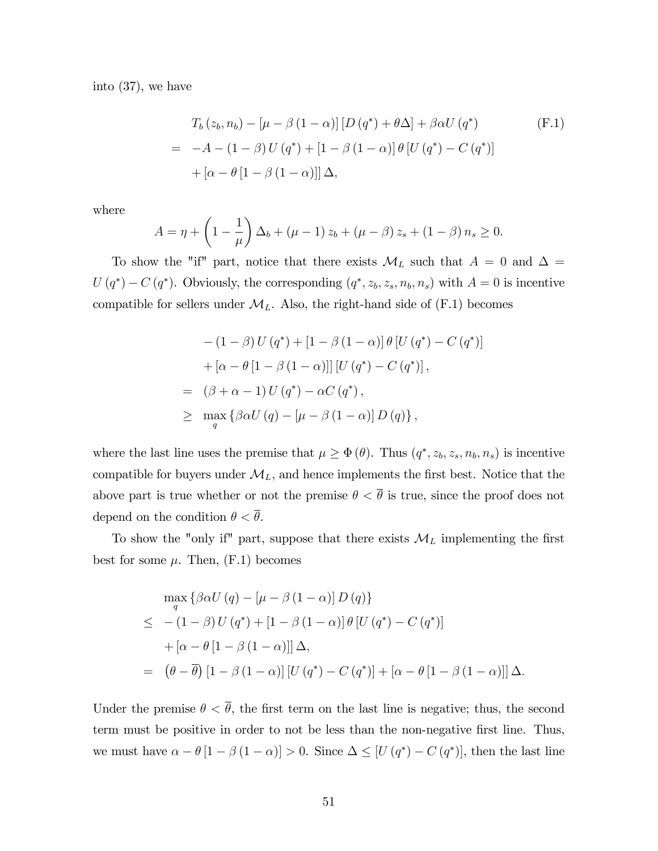into (37), we have

$$
T_b(z_b, n_b) - \left[\mu - \beta (1 - \alpha)\right] \left[D (q^*) + \theta \Delta\right] + \beta \alpha U (q^*)
$$
\n
$$
= -A - (1 - \beta) U (q^*) + \left[1 - \beta (1 - \alpha)\right] \theta \left[U (q^*) - C (q^*)\right]
$$
\n
$$
+ \left[\alpha - \theta \left[1 - \beta (1 - \alpha)\right]\right] \Delta,
$$
\n(F.1)

where

$$
A = \eta + \left(1 - \frac{1}{\mu}\right)\Delta_b + (\mu - 1) z_b + (\mu - \beta) z_s + (1 - \beta) n_s \ge 0.
$$

To show the "if" part, notice that there exists  $\mathcal{M}_L$  such that  $A = 0$  and  $\Delta =$  $U(q^*) - C(q^*)$ . Obviously, the corresponding  $(q^*, z_b, z_s, n_b, n_s)$  with  $A = 0$  is incentive compatible for sellers under  $\mathcal{M}_L$ . Also, the right-hand side of (F.1) becomes

$$
-(1 - \beta) U(q^*) + [1 - \beta (1 - \alpha)] \theta [U(q^*) - C(q^*)]
$$
  
+  $[\alpha - \theta [1 - \beta (1 - \alpha)]] [U(q^*) - C(q^*)],$   
=  $( \beta + \alpha - 1) U(q^*) - \alpha C(q^*) ,$   

$$
\geq \max_{q} {\beta \alpha U(q) - [\mu - \beta (1 - \alpha)] D(q)} ,
$$

where the last line uses the premise that  $\mu \geq \Phi(\theta)$ . Thus  $(q^*, z_b, z_s, n_b, n_s)$  is incentive compatible for buyers under  $\mathcal{M}_L$ , and hence implements the first best. Notice that the above part is true whether or not the premise  $\theta < \overline{\theta}$  is true, since the proof does not depend on the condition  $\theta < \overline{\theta}$ .

To show the "only if" part, suppose that there exists  $\mathcal{M}_L$  implementing the first best for some  $\mu$ . Then, (F.1) becomes

$$
\max_{q} \left\{ \beta \alpha U(q) - \left[ \mu - \beta (1 - \alpha) \right] D(q) \right\}
$$
  
\n
$$
\leq - (1 - \beta) U(q^*) + \left[ 1 - \beta (1 - \alpha) \right] \theta \left[ U(q^*) - C(q^*) \right]
$$
  
\n
$$
+ \left[ \alpha - \theta \left[ 1 - \beta (1 - \alpha) \right] \right] \Delta,
$$
  
\n
$$
= (\theta - \overline{\theta}) \left[ 1 - \beta (1 - \alpha) \right] \left[ U(q^*) - C(q^*) \right] + \left[ \alpha - \theta \left[ 1 - \beta (1 - \alpha) \right] \right] \Delta.
$$

Under the premise  $\theta < \overline{\theta}$ , the first term on the last line is negative; thus, the second term must be positive in order to not be less than the non-negative first line. Thus, we must have  $\alpha - \theta [1 - \beta (1 - \alpha)] > 0$ . Since  $\Delta \leq [U(q^*) - C (q^*)]$ , then the last line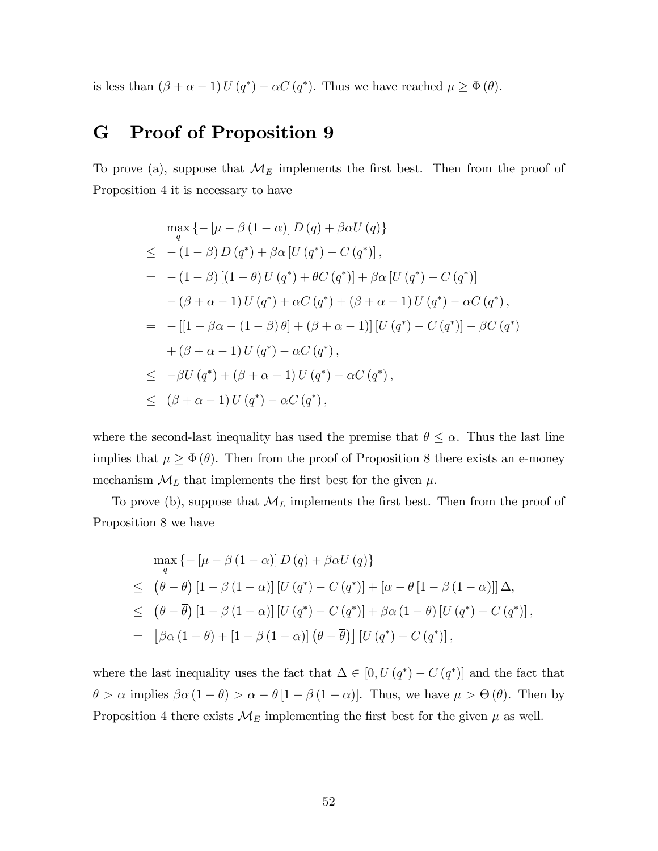is less than  $(\beta + \alpha - 1) U(q^*) - \alpha C(q^*)$ . Thus we have reached  $\mu \geq \Phi(\theta)$ .

## G Proof of Proposition 9

To prove (a), suppose that  $\mathcal{M}_E$  implements the first best. Then from the proof of Proposition 4 it is necessary to have

$$
\max_{q} \left\{ -[\mu - \beta (1 - \alpha)] D(q) + \beta \alpha U(q) \right\} \n\leq - (1 - \beta) D(q^*) + \beta \alpha [U(q^*) - C(q^*)], \n= - (1 - \beta) [(1 - \theta) U(q^*) + \theta C(q^*)] + \beta \alpha [U(q^*) - C(q^*)] \n- (\beta + \alpha - 1) U(q^*) + \alpha C(q^*) + (\beta + \alpha - 1) U(q^*) - \alpha C(q^*), \n= -[[1 - \beta \alpha - (1 - \beta) \theta] + (\beta + \alpha - 1)][U(q^*) - C(q^*)] - \beta C(q^*) \n+ (\beta + \alpha - 1) U(q^*) - \alpha C(q^*), \n\leq -\beta U(q^*) + (\beta + \alpha - 1) U(q^*) - \alpha C(q^*), \n\leq (\beta + \alpha - 1) U(q^*) - \alpha C(q^*),
$$

where the second-last inequality has used the premise that  $\theta \leq \alpha$ . Thus the last line implies that  $\mu \geq \Phi(\theta)$ . Then from the proof of Proposition 8 there exists an e-money mechanism  $\mathcal{M}_L$  that implements the first best for the given  $\mu$ .

To prove (b), suppose that  $\mathcal{M}_L$  implements the first best. Then from the proof of Proposition 8 we have

$$
\max_{q} \left\{ -\left[\mu - \beta \left(1 - \alpha\right)\right] D\left(q\right) + \beta \alpha U\left(q\right) \right\}
$$
\n
$$
\leq \left(\theta - \overline{\theta}\right) \left[1 - \beta \left(1 - \alpha\right)\right] \left[U\left(q^*\right) - C\left(q^*\right)\right] + \left[\alpha - \theta \left[1 - \beta \left(1 - \alpha\right)\right]\right] \Delta,
$$
\n
$$
\leq \left(\theta - \overline{\theta}\right) \left[1 - \beta \left(1 - \alpha\right)\right] \left[U\left(q^*\right) - C\left(q^*\right)\right] + \beta \alpha \left(1 - \theta\right) \left[U\left(q^*\right) - C\left(q^*\right)\right],
$$
\n
$$
= \left[\beta \alpha \left(1 - \theta\right) + \left[1 - \beta \left(1 - \alpha\right)\right] \left(\theta - \overline{\theta}\right)\right] \left[U\left(q^*\right) - C\left(q^*\right)\right],
$$

where the last inequality uses the fact that  $\Delta \in [0, U(q^*) - C(q^*)]$  and the fact that  $\theta > \alpha$  implies  $\beta \alpha (1 - \theta) > \alpha - \theta [1 - \beta (1 - \alpha)].$  Thus, we have  $\mu > \Theta(\theta)$ . Then by Proposition 4 there exists  $\mathcal{M}_E$  implementing the first best for the given  $\mu$  as well.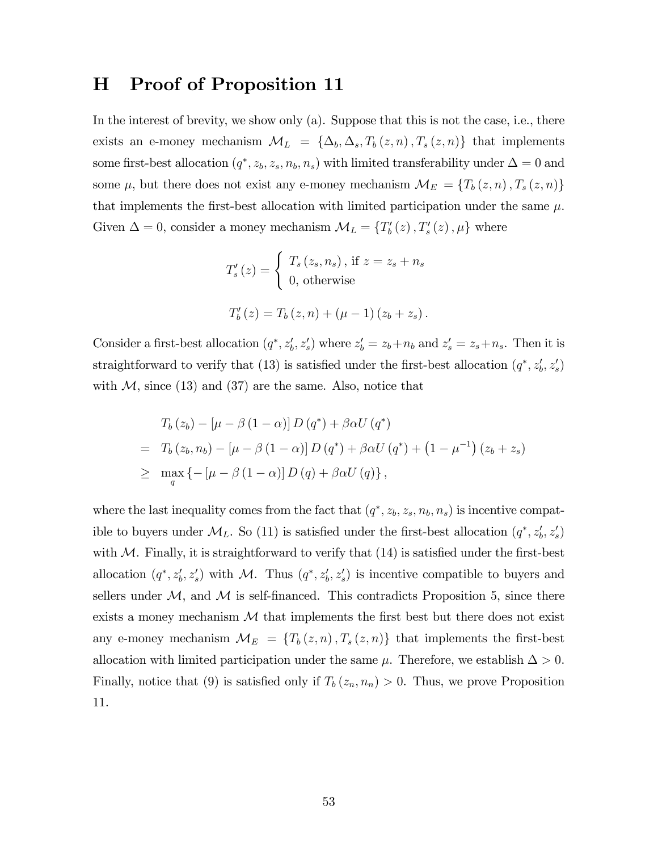## H Proof of Proposition 11

In the interest of brevity, we show only (a). Suppose that this is not the case, i.e., there exists an e-money mechanism  $\mathcal{M}_L = {\Delta_b, \Delta_s, T_b(z, n), T_s(z, n)}$  that implements some first-best allocation  $(q^*, z_b, z_s, n_b, n_s)$  with limited transferability under  $\Delta = 0$  and some  $\mu$ , but there does not exist any e-money mechanism  $\mathcal{M}_E = \{T_b(z, n), T_s(z, n)\}$ that implements the first-best allocation with limited participation under the same  $\mu$ . Given  $\Delta = 0$ , consider a money mechanism  $\mathcal{M}_L = \{T'_b(z), T'_s(z), \mu\}$  where

$$
T'_{s}(z) = \begin{cases} T_{s}(z_{s}, n_{s}), \text{ if } z = z_{s} + n_{s} \\ 0, \text{ otherwise} \end{cases}
$$

$$
T'_{b}(z) = T_{b}(z, n) + (\mu - 1)(z_{b} + z_{s}).
$$

Consider a first-best allocation  $(q^*, z'_b, z'_s)$  where  $z'_b = z_b + n_b$  and  $z'_s = z_s + n_s$ . Then it is straightforward to verify that (13) is satisfied under the first-best allocation  $(q^*, z'_b, z'_s)$ with  $M$ , since (13) and (37) are the same. Also, notice that

$$
T_b(z_b) - \left[\mu - \beta (1 - \alpha)\right] D\left(q^*\right) + \beta \alpha U\left(q^*\right)
$$
  
= 
$$
T_b(z_b, n_b) - \left[\mu - \beta (1 - \alpha)\right] D\left(q^*\right) + \beta \alpha U\left(q^*\right) + \left(1 - \mu^{-1}\right) (z_b + z_s)
$$
  

$$
\geq \max_q \left\{-\left[\mu - \beta (1 - \alpha)\right] D\left(q\right) + \beta \alpha U\left(q\right)\right\},
$$

where the last inequality comes from the fact that  $(q^*, z_b, z_s, n_b, n_s)$  is incentive compatible to buyers under  $\mathcal{M}_L$ . So (11) is satisfied under the first-best allocation  $(q^*, z'_b, z'_s)$ with  $M$ . Finally, it is straightforward to verify that  $(14)$  is satisfied under the first-best allocation  $(q^*, z'_b, z'_s)$  with M. Thus  $(q^*, z'_b, z'_s)$  is incentive compatible to buyers and sellers under  $M$ , and  $M$  is self-financed. This contradicts Proposition 5, since there exists a money mechanism  $\mathcal M$  that implements the first best but there does not exist any e-money mechanism  $\mathcal{M}_{E} = \{T_b(z, n), T_s(z, n)\}\$  that implements the first-best allocation with limited participation under the same  $\mu$ . Therefore, we establish  $\Delta > 0$ . Finally, notice that (9) is satisfied only if  $T_b(z_n, n_n) > 0$ . Thus, we prove Proposition 11.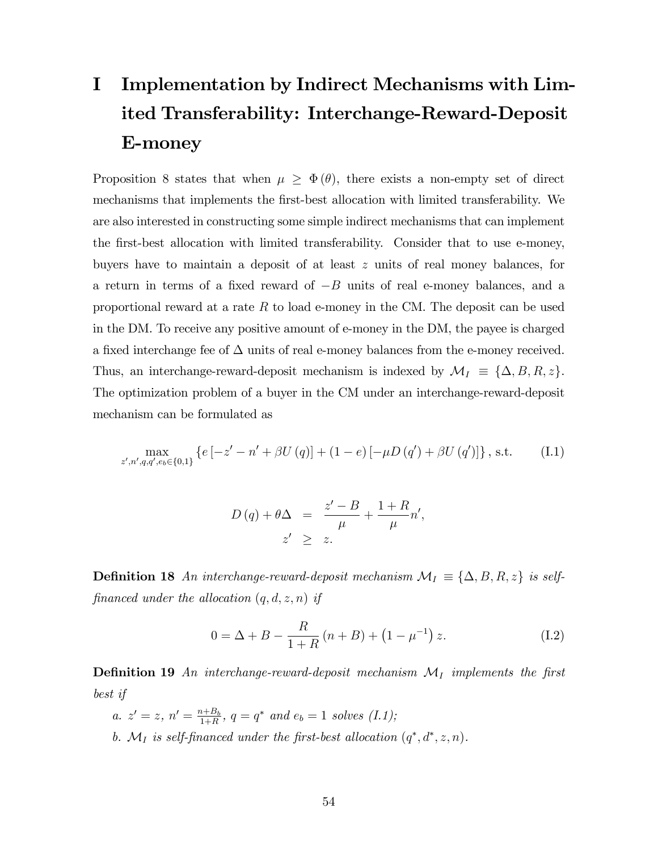# I Implementation by Indirect Mechanisms with Limited Transferability: Interchange-Reward-Deposit E-money

Proposition 8 states that when  $\mu \geq \Phi(\theta)$ , there exists a non-empty set of direct mechanisms that implements the first-best allocation with limited transferability. We are also interested in constructing some simple indirect mechanisms that can implement the Örst-best allocation with limited transferability. Consider that to use e-money, buyers have to maintain a deposit of at least z units of real money balances, for a return in terms of a fixed reward of  $-B$  units of real e-money balances, and a proportional reward at a rate  $R$  to load e-money in the CM. The deposit can be used in the DM. To receive any positive amount of e-money in the DM, the payee is charged a fixed interchange fee of  $\Delta$  units of real e-money balances from the e-money received. Thus, an interchange-reward-deposit mechanism is indexed by  $\mathcal{M}_I \equiv \{\Delta, B, R, z\}.$ The optimization problem of a buyer in the CM under an interchange-reward-deposit mechanism can be formulated as

$$
\max_{z',n',q,q',e_b \in \{0,1\}} \left\{ e\left[ -z'-n' + \beta U\left( q \right) \right] + (1-e)\left[ -\mu D\left( q' \right) + \beta U\left( q' \right) \right] \right\}, \text{ s.t.} \tag{I.1}
$$

$$
D(q) + \theta \Delta = \frac{z'-B}{\mu} + \frac{1+R}{\mu}n',
$$
  

$$
z' \geq z.
$$

**Definition 18** An interchange-reward-deposit mechanism  $\mathcal{M}_I \equiv \{\Delta, B, R, z\}$  is selffinanced under the allocation  $(q, d, z, n)$  if

$$
0 = \Delta + B - \frac{R}{1+R}(n+B) + (1 - \mu^{-1}) z.
$$
 (I.2)

**Definition 19** An interchange-reward-deposit mechanism  $\mathcal{M}_I$  implements the first best if

a.  $z' = z, n' = \frac{n+B_b}{1+R}$  $\frac{a+B_b}{1+R}$ ,  $q = q^*$  and  $e_b = 1$  solves  $(I.1)$ ; b.  $\mathcal{M}_I$  is self-financed under the first-best allocation  $(q^*, d^*, z, n)$ .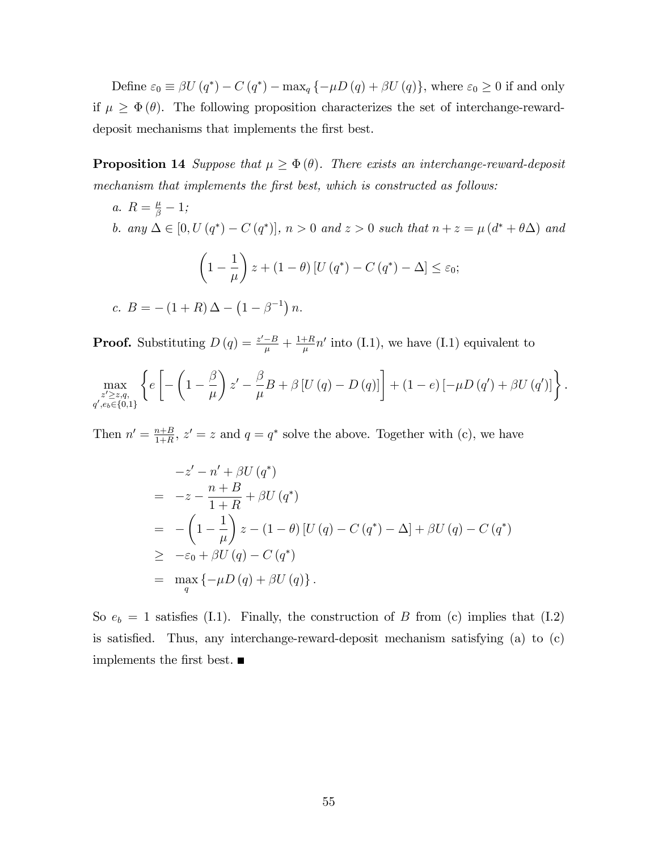Define  $\varepsilon_0 \equiv \beta U(q^*) - C(q^*) - \max_q \{-\mu D(q) + \beta U(q)\},\$  where  $\varepsilon_0 \geq 0$  if and only if  $\mu \geq \Phi(\theta)$ . The following proposition characterizes the set of interchange-rewarddeposit mechanisms that implements the first best.

**Proposition 14** Suppose that  $\mu \geq \Phi(\theta)$ . There exists an interchange-reward-deposit mechanism that implements the first best, which is constructed as follows:

a.  $R = \frac{\mu}{\beta} - 1;$ b. any  $\Delta \in [0, U(q^*) - C(q^*)]$ ,  $n > 0$  and  $z > 0$  such that  $n + z = \mu (d^* + \theta \Delta)$  and  $\sqrt{ }$  $1 -$ 1  $\mu$  $\overline{ }$  $z + (1 - \theta) [U(q^*) - C(q^*) - \Delta] \leq \varepsilon_0;$ c.  $B = -(1+R)\Delta - (1-\beta^{-1})n$ .

**Proof.** Substituting  $D(q) = \frac{z'-B}{\mu} + \frac{1+R}{\mu}$  $\frac{+R}{\mu}n'$  into (I.1), we have (I.1) equivalent to

$$
\max_{\substack{z' \geq z,q, \\ q', e_b \in \{0,1\}}} \left\{ e \left[ -\left(1 - \frac{\beta}{\mu}\right) z' - \frac{\beta}{\mu} B + \beta \left[ U\left(q\right) - D\left(q\right) \right] \right] + (1 - e) \left[ -\mu D\left(q'\right) + \beta U\left(q'\right) \right] \right\}.
$$

Then  $n' = \frac{n+B}{1+B}$  $\frac{n+B}{1+R}$ ,  $z' = z$  and  $q = q^*$  solve the above. Together with (c), we have

$$
-z'-n'+\beta U(q^*)
$$
  
= -z -  $\frac{n+B}{1+R}$  +  $\beta U(q^*)$   
= - $\left(1-\frac{1}{\mu}\right)z-(1-\theta)[U(q) - C(q^*) - \Delta] + \beta U(q) - C(q^*)$   
 $\geq -\varepsilon_0 + \beta U(q) - C(q^*)$   
=  $\max_{q} \{-\mu D(q) + \beta U(q)\}.$ 

So  $e_b = 1$  satisfies (I.1). Finally, the construction of B from (c) implies that (I.2) is satisfied. Thus, any interchange-reward-deposit mechanism satisfying (a) to  $(c)$ implements the first best.  $\blacksquare$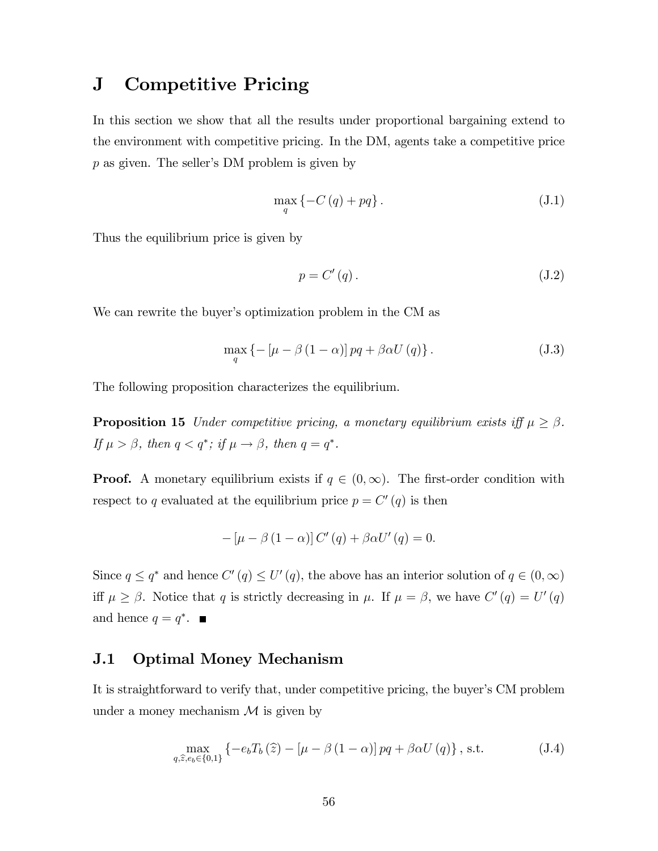## J Competitive Pricing

In this section we show that all the results under proportional bargaining extend to the environment with competitive pricing. In the DM, agents take a competitive price  $p$  as given. The seller's DM problem is given by

$$
\max_{q} \left\{ -C\left(q\right) + pq \right\}.
$$
\n(J.1)

Thus the equilibrium price is given by

$$
p = C'(q). \tag{J.2}
$$

We can rewrite the buyer's optimization problem in the CM as

$$
\max_{q} \left\{ -\left[\mu - \beta \left(1 - \alpha\right)\right] pq + \beta \alpha U\left(q\right) \right\}.
$$
\n(J.3)

The following proposition characterizes the equilibrium.

**Proposition 15** Under competitive pricing, a monetary equilibrium exists iff  $\mu \ge \beta$ . If  $\mu > \beta$ , then  $q < q^*$ ; if  $\mu \to \beta$ , then  $q = q^*$ .

**Proof.** A monetary equilibrium exists if  $q \in (0,\infty)$ . The first-order condition with respect to q evaluated at the equilibrium price  $p = C'(q)$  is then

$$
- \left[ \mu - \beta \left( 1 - \alpha \right) \right] C' \left( q \right) + \beta \alpha U' \left( q \right) = 0.
$$

Since  $q \leq q^*$  and hence  $C'(q) \leq U'(q)$ , the above has an interior solution of  $q \in (0,\infty)$ iff  $\mu \geq \beta$ . Notice that q is strictly decreasing in  $\mu$ . If  $\mu = \beta$ , we have  $C'(q) = U'(q)$ and hence  $q = q^*$ .

### J.1 Optimal Money Mechanism

It is straightforward to verify that, under competitive pricing, the buyer's CM problem under a money mechanism  $\mathcal M$  is given by

$$
\max_{q,\hat{z},e_b\in\{0,1\}}\left\{-e_bT_b\left(\hat{z}\right)-\left[\mu-\beta\left(1-\alpha\right)\right]pq+\beta\alpha U\left(q\right)\right\},\,\text{s.t.}\tag{J.4}
$$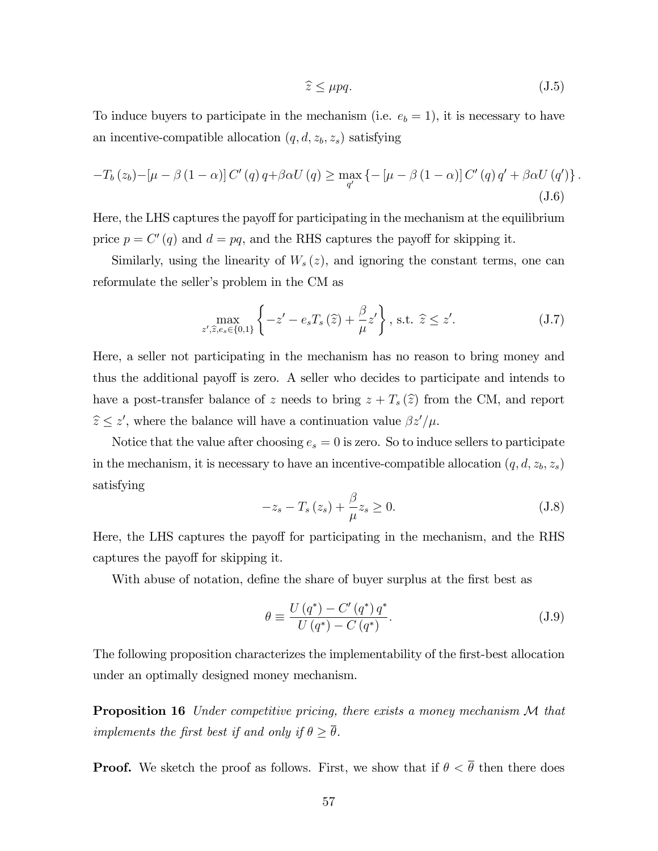$$
\widehat{z} \le \mu pq. \tag{J.5}
$$

To induce buyers to participate in the mechanism (i.e.  $e_b = 1$ ), it is necessary to have an incentive-compatible allocation  $(q, d, z_b, z_s)$  satisfying

$$
-T_b(z_b) - \left[\mu - \beta(1-\alpha)\right]C'(q)q + \beta\alpha U(q) \ge \max_{q'} \left\{-\left[\mu - \beta(1-\alpha)\right]C'(q)q' + \beta\alpha U(q')\right\}.
$$
\n(1.6)

Here, the LHS captures the payoff for participating in the mechanism at the equilibrium price  $p = C'(q)$  and  $d = pq$ , and the RHS captures the payoff for skipping it.

Similarly, using the linearity of  $W_s(z)$ , and ignoring the constant terms, one can reformulate the seller's problem in the CM as

$$
\max_{z',\hat{z},e_s \in \{0,1\}} \left\{-z'-e_s T_s\left(\hat{z}\right) + \frac{\beta}{\mu} z'\right\}, \text{ s.t. } \hat{z} \le z'.\tag{J.7}
$$

Here, a seller not participating in the mechanism has no reason to bring money and thus the additional payoff is zero. A seller who decides to participate and intends to have a post-transfer balance of z needs to bring  $z + T_s(\hat{z})$  from the CM, and report  $\hat{z} \leq z'$ , where the balance will have a continuation value  $\beta z'/\mu$ .

Notice that the value after choosing  $e_s = 0$  is zero. So to induce sellers to participate in the mechanism, it is necessary to have an incentive-compatible allocation  $(q, d, z_b, z_s)$ satisfying

$$
-z_s - T_s(z_s) + \frac{\beta}{\mu} z_s \ge 0.
$$
\n(J.8)

Here, the LHS captures the payoff for participating in the mechanism, and the RHS captures the payoff for skipping it.

With abuse of notation, define the share of buyer surplus at the first best as

$$
\theta \equiv \frac{U(q^*) - C'(q^*) q^*}{U(q^*) - C(q^*)}.
$$
\n(J.9)

The following proposition characterizes the implementability of the first-best allocation under an optimally designed money mechanism.

**Proposition 16** Under competitive pricing, there exists a money mechanism M that implements the first best if and only if  $\theta \geq \overline{\theta}$ .

**Proof.** We sketch the proof as follows. First, we show that if  $\theta < \overline{\theta}$  then there does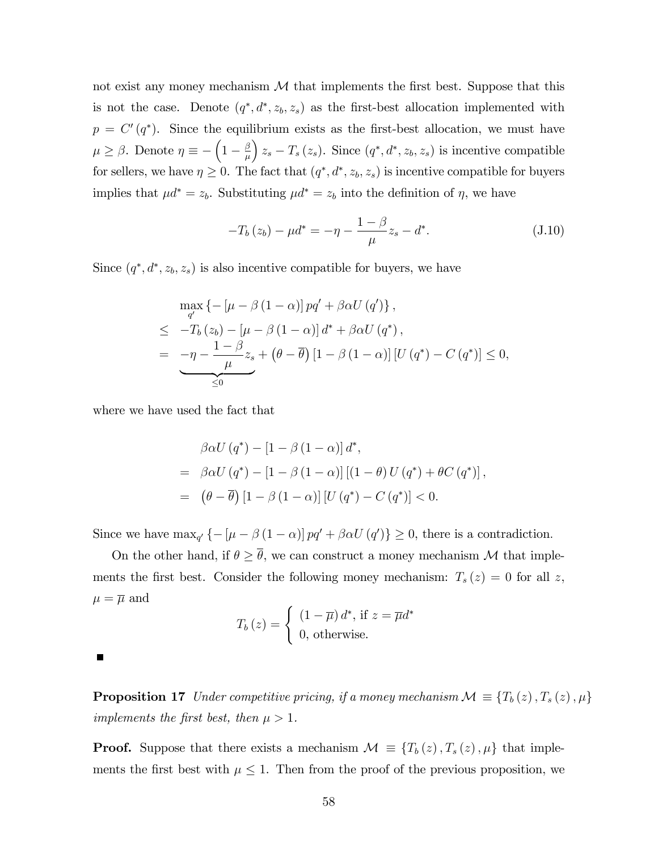not exist any money mechanism  $\mathcal M$  that implements the first best. Suppose that this is not the case. Denote  $(q^*, d^*, z_b, z_s)$  as the first-best allocation implemented with  $p = C'(q^*)$ . Since the equilibrium exists as the first-best allocation, we must have  $\mu \ge \beta$ . Denote  $\eta \equiv -\left(1 - \frac{\beta}{\mu}\right)$  $\mu$  $(z_s - T_s(z_s))$ . Since  $(q^*, d^*, z_b, z_s)$  is incentive compatible for sellers, we have  $\eta \geq 0$ . The fact that  $(q^*, d^*, z_b, z_s)$  is incentive compatible for buyers implies that  $\mu d^* = z_b$ . Substituting  $\mu d^* = z_b$  into the definition of  $\eta$ , we have

$$
-T_b(z_b) - \mu d^* = -\eta - \frac{1-\beta}{\mu}z_s - d^*.
$$
 (J.10)

Since  $(q^*, d^*, z_b, z_s)$  is also incentive compatible for buyers, we have

$$
\max_{q'} \left\{ -\left[\mu - \beta \left(1 - \alpha\right)\right] pq' + \beta \alpha U\left(q'\right) \right\},\
$$
\n
$$
\leq -T_b(z_b) - \left[\mu - \beta \left(1 - \alpha\right)\right] d^* + \beta \alpha U\left(q^*\right),\
$$
\n
$$
= -\eta - \frac{1 - \beta}{\mu} z_s + \left(\theta - \overline{\theta}\right) \left[1 - \beta \left(1 - \alpha\right)\right] \left[U\left(q^*\right) - C\left(q^*\right)\right] \leq 0,
$$
\n
$$
\leq 0
$$

where we have used the fact that

$$
\beta \alpha U(q^*) - [1 - \beta (1 - \alpha)] d^*,
$$
  
=  $\beta \alpha U(q^*) - [1 - \beta (1 - \alpha)][(1 - \theta) U(q^*) + \theta C(q^*)],$   
=  $(\theta - \overline{\theta}) [1 - \beta (1 - \alpha)] [U(q^*) - C(q^*)] < 0.$ 

Since we have  $\max_{q'} \{-[\mu - \beta (1 - \alpha)] pq' + \beta \alpha U (q')\} \ge 0$ , there is a contradiction.

On the other hand, if  $\theta \geq \overline{\theta}$ , we can construct a money mechanism M that implements the first best. Consider the following money mechanism:  $T_s(z) = 0$  for all z,  $\mu = \overline{\mu}$  and

$$
T_b(z) = \begin{cases} (1 - \overline{\mu}) d^*, \text{ if } z = \overline{\mu} d^* \\ 0, \text{ otherwise.} \end{cases}
$$

**Proposition 17** Under competitive pricing, if a money mechanism  $\mathcal{M} \equiv \{T_b(z), T_s(z), \mu\}$ implements the first best, then  $\mu > 1$ .

**Proof.** Suppose that there exists a mechanism  $\mathcal{M} \equiv \{T_b(z), T_s(z), \mu\}$  that implements the first best with  $\mu \leq 1$ . Then from the proof of the previous proposition, we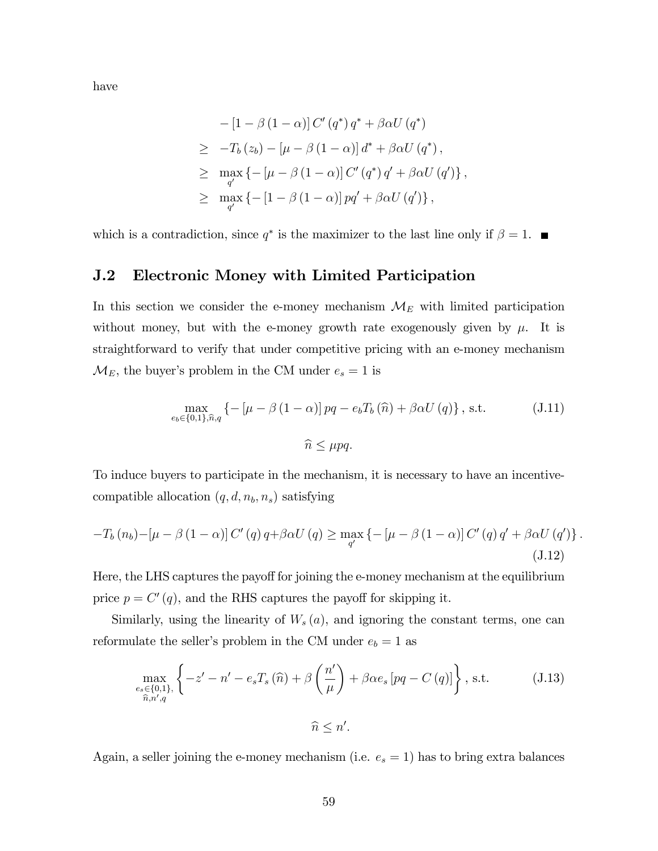have

$$
-[1 - \beta (1 - \alpha)] C' (q^*) q^* + \beta \alpha U (q^*)
$$
  
\n
$$
\geq -T_b (z_b) - [\mu - \beta (1 - \alpha)] d^* + \beta \alpha U (q^*),
$$
  
\n
$$
\geq \max_{q'} \{-[\mu - \beta (1 - \alpha)] C' (q^*) q' + \beta \alpha U (q')\},
$$
  
\n
$$
\geq \max_{q'} \{-[1 - \beta (1 - \alpha)] pq' + \beta \alpha U (q')\},
$$

which is a contradiction, since  $q^*$  is the maximizer to the last line only if  $\beta = 1$ .

## J.2 Electronic Money with Limited Participation

In this section we consider the e-money mechanism  $\mathcal{M}_E$  with limited participation without money, but with the e-money growth rate exogenously given by  $\mu$ . It is straightforward to verify that under competitive pricing with an e-money mechanism  $\mathcal{M}_E$ , the buyer's problem in the CM under  $e_s = 1$  is

$$
\max_{e_b \in \{0,1\}, \hat{n}, q} \left\{ -\left[\mu - \beta \left(1 - \alpha\right)\right] pq - e_b T_b \left(\hat{n}\right) + \beta \alpha U \left(q\right) \right\}, \text{ s.t.} \tag{J.11}
$$
\n
$$
\hat{n} \le \mu pq.
$$

To induce buyers to participate in the mechanism, it is necessary to have an incentivecompatible allocation  $(q, d, n_b, n_s)$  satisfying

$$
-T_b(n_b) - \left[\mu - \beta (1 - \alpha)\right] C'(q) q + \beta \alpha U(q) \ge \max_{q'} \left\{-\left[\mu - \beta (1 - \alpha)\right] C'(q) q' + \beta \alpha U(q')\right\}.
$$
\n(J.12)

Here, the LHS captures the payoff for joining the e-money mechanism at the equilibrium price  $p = C'(q)$ , and the RHS captures the payoff for skipping it.

Similarly, using the linearity of  $W_s(a)$ , and ignoring the constant terms, one can reformulate the seller's problem in the CM under  $e_b = 1$  as

$$
\max_{\substack{e_s \in \{0,1\}, \\ \hat{n}, n', q}} \left\{-z'-n'-e_sT_s(\hat{n}) + \beta\left(\frac{n'}{\mu}\right) + \beta\alpha e_s\left[pq - C\left(q\right)\right]\right\}, \text{ s.t.} \qquad (J.13)
$$
\n
$$
\hat{n} \le n'.
$$

Again, a seller joining the e-money mechanism (i.e.  $e_s = 1$ ) has to bring extra balances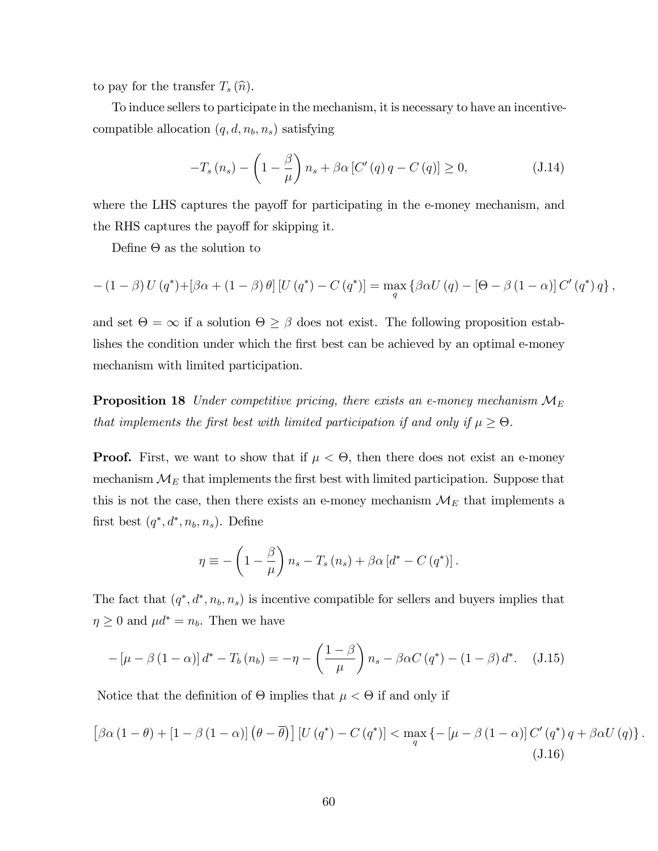to pay for the transfer  $T_s(\hat{n})$ .

To induce sellers to participate in the mechanism, it is necessary to have an incentivecompatible allocation  $(q, d, n_b, n_s)$  satisfying

$$
-T_s\left(n_s\right) - \left(1 - \frac{\beta}{\mu}\right)n_s + \beta\alpha \left[C'\left(q\right)q - C\left(q\right)\right] \ge 0,\tag{J.14}
$$

where the LHS captures the payoff for participating in the e-money mechanism, and the RHS captures the payoff for skipping it.

Define  $\Theta$  as the solution to

$$
-\left(1-\beta\right)U\left(q^*\right)+\left[\beta\alpha+\left(1-\beta\right)\theta\right]\left[U\left(q^*\right)-C\left(q^*\right)\right]=\max_{q}\left\{\beta\alpha U\left(q\right)-\left[\Theta-\beta\left(1-\alpha\right)\right]C'\left(q^*\right)q\right\},\
$$

and set  $\Theta = \infty$  if a solution  $\Theta \geq \beta$  does not exist. The following proposition establishes the condition under which the first best can be achieved by an optimal e-money mechanism with limited participation.

**Proposition 18** Under competitive pricing, there exists an e-money mechanism  $M_E$ that implements the first best with limited participation if and only if  $\mu \geq \Theta$ .

**Proof.** First, we want to show that if  $\mu < \Theta$ , then there does not exist an e-money mechanism  $\mathcal{M}_E$  that implements the first best with limited participation. Suppose that this is not the case, then there exists an e-money mechanism  $\mathcal{M}_{E}$  that implements a first best  $(q^*, d^*, n_b, n_s)$ . Define

$$
\eta \equiv -\left(1 - \frac{\beta}{\mu}\right) n_s - T_s (n_s) + \beta \alpha \left[d^* - C (q^*)\right].
$$

The fact that  $(q^*, d^*, n_b, n_s)$  is incentive compatible for sellers and buyers implies that  $\eta \geq 0$  and  $\mu d^* = n_b$ . Then we have

$$
-\left[\mu-\beta\left(1-\alpha\right)\right]d^* - T_b\left(n_b\right) = -\eta - \left(\frac{1-\beta}{\mu}\right)n_s - \beta\alpha C\left(q^*\right) - \left(1-\beta\right)d^*.\tag{J.15}
$$

Notice that the definition of  $\Theta$  implies that  $\mu < \Theta$  if and only if

$$
\left[\beta\alpha\left(1-\theta\right)+\left[1-\beta\left(1-\alpha\right)\right]\left(\theta-\overline{\theta}\right)\right]\left[U\left(q^*\right)-C\left(q^*\right)\right] < \max_{q} \left\{-\left[\mu-\beta\left(1-\alpha\right)\right]C'\left(q^*\right)q+\beta\alpha U\left(q\right)\right\}.\tag{J.16}
$$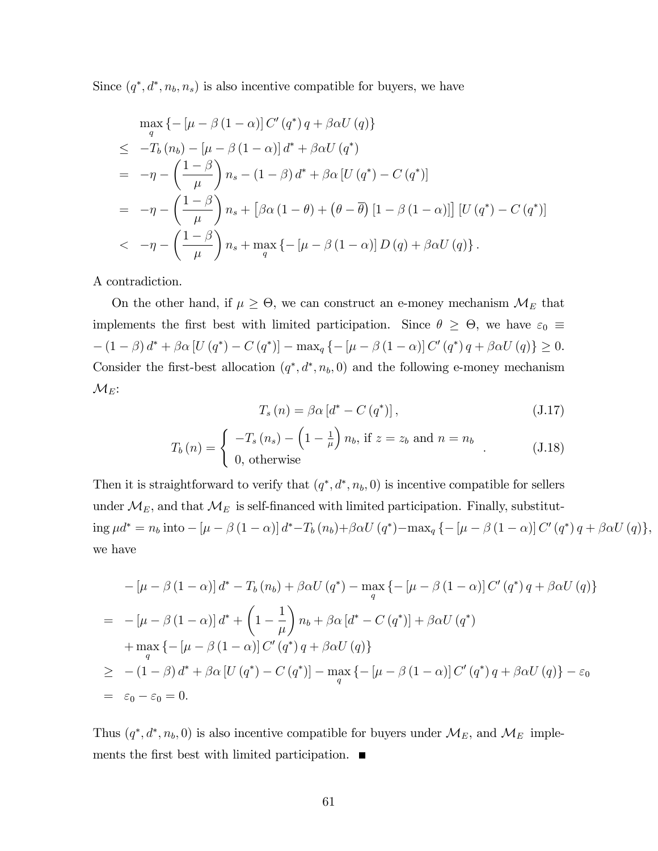Since  $(q^*, d^*, n_b, n_s)$  is also incentive compatible for buyers, we have

$$
\max_{q} \left\{ -\left[\mu - \beta \left(1 - \alpha\right)\right] C'\left(q^*\right) q + \beta \alpha U\left(q\right) \right\}
$$
\n
$$
\leq -T_b \left(n_b\right) - \left[\mu - \beta \left(1 - \alpha\right)\right] d^* + \beta \alpha U\left(q^*\right)
$$
\n
$$
= -\eta - \left(\frac{1 - \beta}{\mu}\right) n_s - \left(1 - \beta\right) d^* + \beta \alpha \left[U\left(q^*\right) - C\left(q^*\right)\right]
$$
\n
$$
= -\eta - \left(\frac{1 - \beta}{\mu}\right) n_s + \left[\beta \alpha \left(1 - \theta\right) + \left(\theta - \overline{\theta}\right) \left[1 - \beta \left(1 - \alpha\right)\right]\right] \left[U\left(q^*\right) - C\left(q^*\right)\right]
$$
\n
$$
< -\eta - \left(\frac{1 - \beta}{\mu}\right) n_s + \max_{q} \left\{-\left[\mu - \beta \left(1 - \alpha\right)\right] D\left(q\right) + \beta \alpha U\left(q\right)\right\}.
$$

A contradiction.

On the other hand, if  $\mu \geq \Theta$ , we can construct an e-money mechanism  $\mathcal{M}_E$  that implements the first best with limited participation. Since  $\theta \geq \Theta$ , we have  $\varepsilon_0 \equiv$  $-(1 - \beta) d^* + \beta \alpha [U(q^*) - C(q^*)] - \max_q \{-[\mu - \beta (1 - \alpha)] C'(q^*) q + \beta \alpha U(q) \} \ge 0.$ Consider the first-best allocation  $(q^*, d^*, n_b, 0)$  and the following e-money mechanism  $\mathcal{M}_{E}$ :

$$
T_s(n) = \beta \alpha \left[ d^* - C\left( q^* \right) \right],\tag{J.17}
$$

$$
T_b(n) = \begin{cases} -T_s(n_s) - \left(1 - \frac{1}{\mu}\right) n_b, \text{ if } z = z_b \text{ and } n = n_b \\ 0, \text{ otherwise} \end{cases}
$$
 (J.18)

Then it is straightforward to verify that  $(q^*, d^*, n_b, 0)$  is incentive compatible for sellers under  $\mathcal{M}_E$ , and that  $\mathcal{M}_E$  is self-financed with limited participation. Finally, substitut- $\log \mu d^* = n_b \text{ into } -[\mu - \beta (1 - \alpha)] d^* - T_b(n_b) + \beta \alpha U(q^*) - \max_q \{-[\mu - \beta (1 - \alpha)] C'(q^*) q + \beta \alpha U(q) \},$ we have

$$
-[\mu - \beta (1 - \alpha)] d^* - T_b (n_b) + \beta \alpha U (q^*) - \max_q \{-[\mu - \beta (1 - \alpha)] C' (q^*) q + \beta \alpha U (q) \}
$$
  
= 
$$
-[\mu - \beta (1 - \alpha)] d^* + \left(1 - \frac{1}{\mu}\right) n_b + \beta \alpha [d^* - C (q^*)] + \beta \alpha U (q^*)
$$
  
+ 
$$
\max_q \{-[\mu - \beta (1 - \alpha)] C' (q^*) q + \beta \alpha U (q) \}
$$
  

$$
\geq -(1 - \beta) d^* + \beta \alpha [U (q^*) - C (q^*)] - \max_q \{-[\mu - \beta (1 - \alpha)] C' (q^*) q + \beta \alpha U (q) \} - \varepsilon_0
$$
  
= 
$$
\varepsilon_0 - \varepsilon_0 = 0.
$$

Thus  $(q^*, d^*, n_b, 0)$  is also incentive compatible for buyers under  $\mathcal{M}_E$ , and  $\mathcal{M}_E$  implements the first best with limited participation.  $\blacksquare$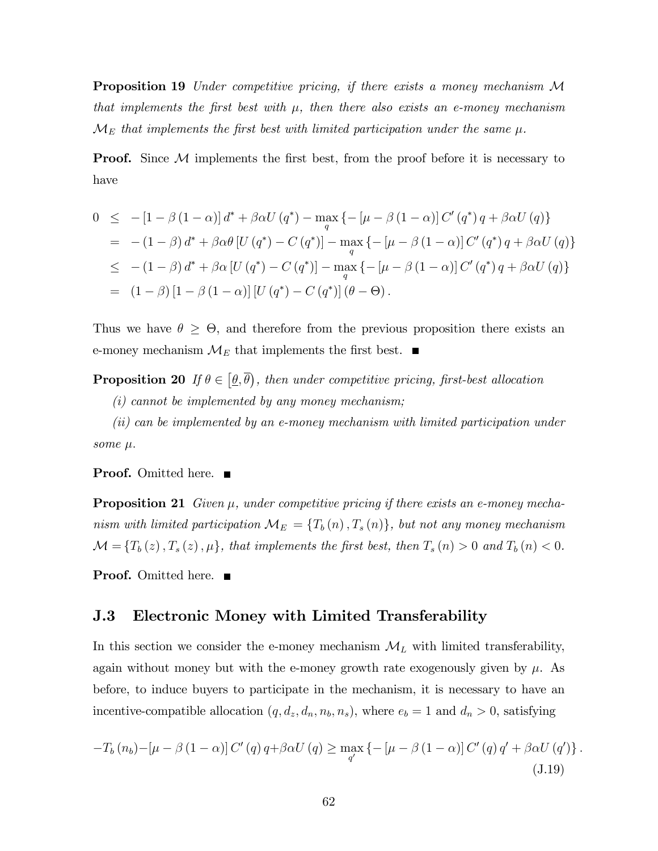Proposition 19 Under competitive pricing, if there exists a money mechanism M that implements the first best with  $\mu$ , then there also exists an e-money mechanism  $\mathcal{M}_E$  that implements the first best with limited participation under the same  $\mu$ .

**Proof.** Since  $M$  implements the first best, from the proof before it is necessary to have

$$
0 \leq -[1 - \beta (1 - \alpha)] d^* + \beta \alpha U (q^*) - \max_{q} \{ -[\mu - \beta (1 - \alpha)] C' (q^*) q + \beta \alpha U (q) \}
$$
  
\n
$$
= -(1 - \beta) d^* + \beta \alpha \theta [U (q^*) - C (q^*)] - \max_{q} \{ -[\mu - \beta (1 - \alpha)] C' (q^*) q + \beta \alpha U (q) \}
$$
  
\n
$$
\leq -(1 - \beta) d^* + \beta \alpha [U (q^*) - C (q^*)] - \max_{q} \{ -[\mu - \beta (1 - \alpha)] C' (q^*) q + \beta \alpha U (q) \}
$$
  
\n
$$
= (1 - \beta) [1 - \beta (1 - \alpha)] [U (q^*) - C (q^*)] (\theta - \Theta).
$$

Thus we have  $\theta \geq \Theta$ , and therefore from the previous proposition there exists an e-money mechanism  $\mathcal{M}_E$  that implements the first best.  $\blacksquare$ 

**Proposition 20** If  $\theta \in [\underline{\theta}, \overline{\theta})$ , then under competitive pricing, first-best allocation

 $(i)$  cannot be implemented by any money mechanism;

(ii) can be implemented by an e-money mechanism with limited participation under some  $\mu$ .

**Proof.** Omitted here. ■

**Proposition 21** Given  $\mu$ , under competitive pricing if there exists an e-money mechanism with limited participation  $\mathcal{M}_{E} = \{T_b(n), T_s(n)\}\$ , but not any money mechanism  $\mathcal{M} = \{T_b(z), T_s(z), \mu\}$ , that implements the first best, then  $T_s(n) > 0$  and  $T_b(n) < 0$ .

**Proof.** Omitted here. ■

## J.3 Electronic Money with Limited Transferability

In this section we consider the e-money mechanism  $\mathcal{M}_L$  with limited transferability, again without money but with the e-money growth rate exogenously given by  $\mu$ . As before, to induce buyers to participate in the mechanism, it is necessary to have an incentive-compatible allocation  $(q, d_z, d_n, n_b, n_s)$ , where  $e_b = 1$  and  $d_n > 0$ , satisfying

$$
-T_b(n_b) - \left[\mu - \beta (1 - \alpha)\right] C'(q) q + \beta \alpha U(q) \ge \max_{q'} \left\{-\left[\mu - \beta (1 - \alpha)\right] C'(q) q' + \beta \alpha U(q')\right\}.
$$
\n(J.19)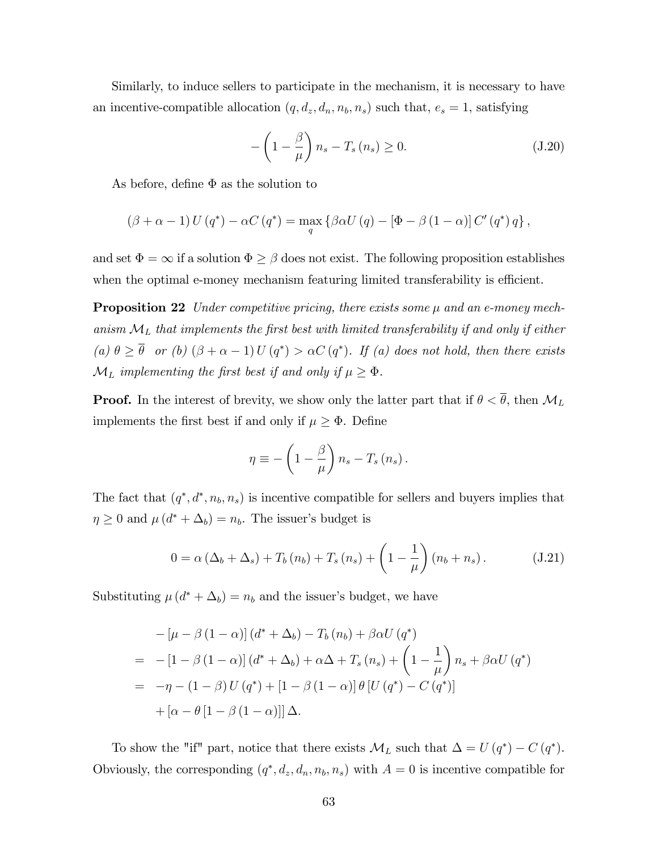Similarly, to induce sellers to participate in the mechanism, it is necessary to have an incentive-compatible allocation  $(q, d_z, d_n, n_b, n_s)$  such that,  $e_s = 1$ , satisfying

$$
-\left(1-\frac{\beta}{\mu}\right)n_s - T_s\left(n_s\right) \ge 0. \tag{J.20}
$$

As before, define  $\Phi$  as the solution to

$$
(\beta + \alpha - 1) U (q^*) - \alpha C (q^*) = \max_{q} \{ \beta \alpha U (q) - [\Phi - \beta (1 - \alpha)] C' (q^*) q \},
$$

and set  $\Phi = \infty$  if a solution  $\Phi \ge \beta$  does not exist. The following proposition establishes when the optimal e-money mechanism featuring limited transferability is efficient.

**Proposition 22** Under competitive pricing, there exists some  $\mu$  and an e-money mechanism  $\mathcal{M}_L$  that implements the first best with limited transferability if and only if either (a)  $\theta \ge \theta$  or (b)  $(\beta + \alpha - 1)U(q^*) > \alpha C(q^*)$ . If (a) does not hold, then there exists  $\mathcal{M}_L$  implementing the first best if and only if  $\mu \geq \Phi$ .

**Proof.** In the interest of brevity, we show only the latter part that if  $\theta < \overline{\theta}$ , then  $\mathcal{M}_L$ implements the first best if and only if  $\mu \geq \Phi$ . Define

$$
\eta \equiv -\left(1 - \frac{\beta}{\mu}\right) n_s - T_s \left(n_s\right).
$$

The fact that  $(q^*, d^*, n_b, n_s)$  is incentive compatible for sellers and buyers implies that  $\eta \geq 0$  and  $\mu(d^* + \Delta_b) = n_b$ . The issuer's budget is

$$
0 = \alpha \left( \Delta_b + \Delta_s \right) + T_b \left( n_b \right) + T_s \left( n_s \right) + \left( 1 - \frac{1}{\mu} \right) \left( n_b + n_s \right). \tag{J.21}
$$

Substituting  $\mu(d^* + \Delta_b) = n_b$  and the issuer's budget, we have

$$
- \left[ \mu - \beta \left( 1 - \alpha \right) \right] \left( d^* + \Delta_b \right) - T_b \left( n_b \right) + \beta \alpha U \left( q^* \right)
$$
  
=\n
$$
- \left[ 1 - \beta \left( 1 - \alpha \right) \right] \left( d^* + \Delta_b \right) + \alpha \Delta + T_s \left( n_s \right) + \left( 1 - \frac{1}{\mu} \right) n_s + \beta \alpha U \left( q^* \right)
$$
  
=\n
$$
- \eta - \left( 1 - \beta \right) U \left( q^* \right) + \left[ 1 - \beta \left( 1 - \alpha \right) \right] \theta \left[ U \left( q^* \right) - C \left( q^* \right) \right]
$$
  
+ \left[ \alpha - \theta \left[ 1 - \beta \left( 1 - \alpha \right) \right] \right] \Delta.

To show the "if" part, notice that there exists  $\mathcal{M}_L$  such that  $\Delta = U(q^*) - C(q^*)$ . Obviously, the corresponding  $(q^*, d_z, d_n, n_b, n_s)$  with  $A = 0$  is incentive compatible for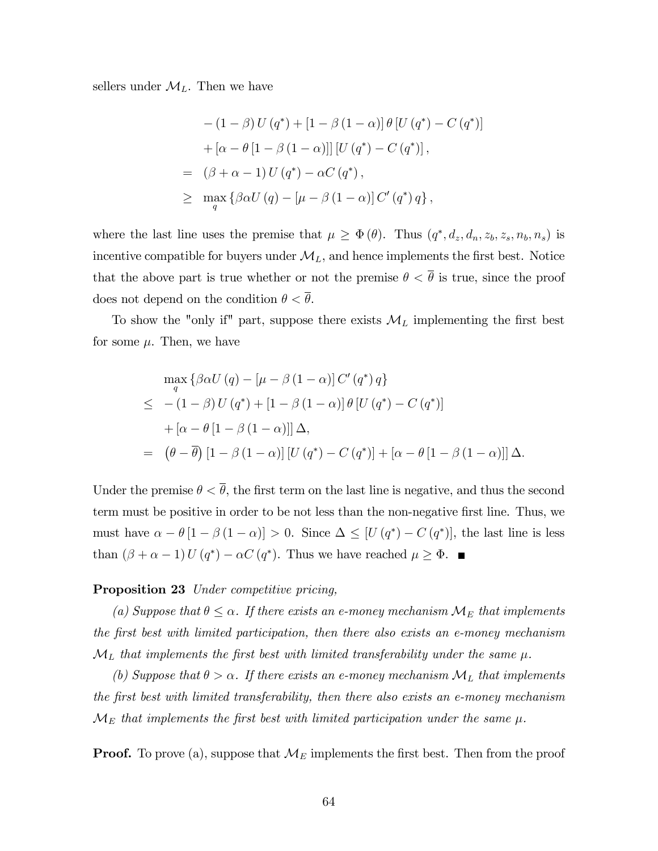sellers under  $\mathcal{M}_L$ . Then we have

$$
-(1 - \beta) U(q^*) + [1 - \beta (1 - \alpha)] \theta [U(q^*) - C(q^*)]
$$
  
+ 
$$
[\alpha - \theta [1 - \beta (1 - \alpha)]] [U(q^*) - C(q^*)],
$$
  
= 
$$
(\beta + \alpha - 1) U(q^*) - \alpha C(q^*),
$$
  

$$
\geq \max_q {\beta \alpha U(q) - [\mu - \beta (1 - \alpha)] C'(q^*) q},
$$

where the last line uses the premise that  $\mu \geq \Phi(\theta)$ . Thus  $(q^*, d_z, d_n, z_b, z_s, n_b, n_s)$  is incentive compatible for buyers under  $\mathcal{M}_L$ , and hence implements the first best. Notice that the above part is true whether or not the premise  $\theta < \overline{\theta}$  is true, since the proof does not depend on the condition  $\theta < \overline{\theta}$ .

To show the "only if" part, suppose there exists  $\mathcal{M}_L$  implementing the first best for some  $\mu$ . Then, we have

$$
\max_{q} \left\{ \beta \alpha U(q) - \left[ \mu - \beta (1 - \alpha) \right] C'(q^*) q \right\}
$$
  
\n
$$
\leq - (1 - \beta) U(q^*) + \left[ 1 - \beta (1 - \alpha) \right] \theta \left[ U(q^*) - C(q^*) \right]
$$
  
\n
$$
+ \left[ \alpha - \theta \left[ 1 - \beta (1 - \alpha) \right] \right] \Delta,
$$
  
\n
$$
= (\theta - \overline{\theta}) \left[ 1 - \beta (1 - \alpha) \right] \left[ U(q^*) - C(q^*) \right] + \left[ \alpha - \theta \left[ 1 - \beta (1 - \alpha) \right] \right] \Delta.
$$

Under the premise  $\theta < \overline{\theta}$ , the first term on the last line is negative, and thus the second term must be positive in order to be not less than the non-negative first line. Thus, we must have  $\alpha - \theta [1 - \beta (1 - \alpha)] > 0$ . Since  $\Delta \leq [U(q^*) - C(q^*)]$ , the last line is less than  $(\beta + \alpha - 1) U (q^*) - \alpha C (q^*)$ . Thus we have reached  $\mu \ge \Phi$ .

#### Proposition 23 Under competitive pricing,

(a) Suppose that  $\theta \leq \alpha$ . If there exists an e-money mechanism  $\mathcal{M}_E$  that implements the Örst best with limited participation, then there also exists an e-money mechanism  $\mathcal{M}_L$  that implements the first best with limited transferability under the same  $\mu$ .

(b) Suppose that  $\theta > \alpha$ . If there exists an e-money mechanism  $\mathcal{M}_L$  that implements the first best with limited transferability, then there also exists an e-money mechanism  $\mathcal{M}_E$  that implements the first best with limited participation under the same  $\mu$ .

**Proof.** To prove (a), suppose that  $\mathcal{M}_E$  implements the first best. Then from the proof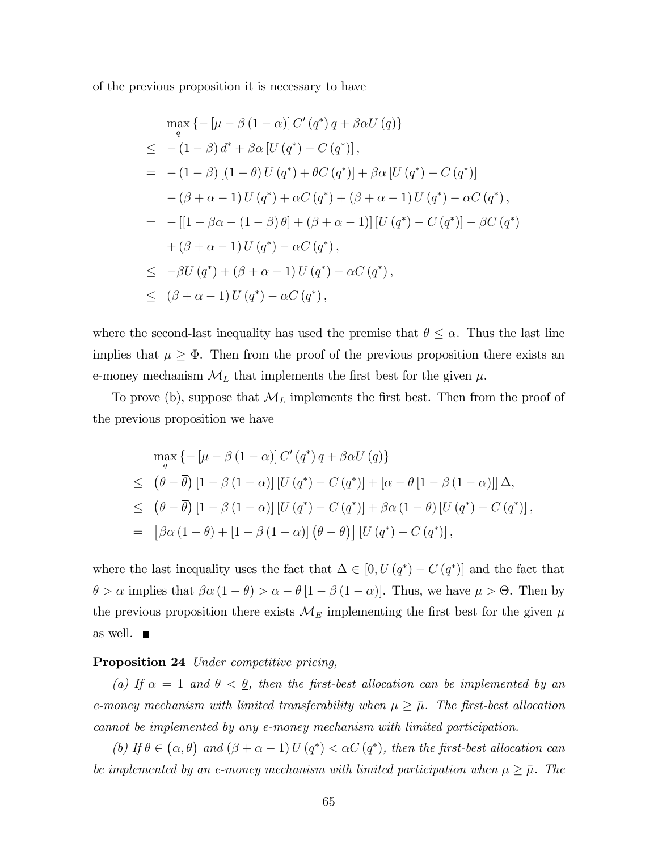of the previous proposition it is necessary to have

$$
\max_{q} \left\{ -[\mu - \beta (1 - \alpha)] C' (q^*) q + \beta \alpha U (q) \right\} \n\leq - (1 - \beta) d^* + \beta \alpha [U (q^*) - C (q^*)], \n= - (1 - \beta) [(1 - \theta) U (q^*) + \theta C (q^*)] + \beta \alpha [U (q^*) - C (q^*)] \n- (\beta + \alpha - 1) U (q^*) + \alpha C (q^*) + (\beta + \alpha - 1) U (q^*) - \alpha C (q^*) , \n= - [[1 - \beta \alpha - (1 - \beta) \theta] + (\beta + \alpha - 1)] [U (q^*) - C (q^*)] - \beta C (q^*) \n+ (\beta + \alpha - 1) U (q^*) - \alpha C (q^*) , \n\leq -\beta U (q^*) + (\beta + \alpha - 1) U (q^*) - \alpha C (q^*) , \n\leq (\beta + \alpha - 1) U (q^*) - \alpha C (q^*),
$$

where the second-last inequality has used the premise that  $\theta \leq \alpha$ . Thus the last line implies that  $\mu \geq \Phi$ . Then from the proof of the previous proposition there exists an e-money mechanism  $\mathcal{M}_L$  that implements the first best for the given  $\mu$ .

To prove (b), suppose that  $\mathcal{M}_L$  implements the first best. Then from the proof of the previous proposition we have

$$
\max_{q} \left\{ -\left[\mu - \beta \left(1 - \alpha\right)\right] C'\left(q^*\right) q + \beta \alpha U\left(q\right) \right\} \n\leq \left(\theta - \overline{\theta}\right) \left[1 - \beta \left(1 - \alpha\right)\right] \left[U\left(q^*\right) - C\left(q^*\right)\right] + \left[\alpha - \theta \left[1 - \beta \left(1 - \alpha\right)\right]\right] \Delta, \n\leq \left(\theta - \overline{\theta}\right) \left[1 - \beta \left(1 - \alpha\right)\right] \left[U\left(q^*\right) - C\left(q^*\right)\right] + \beta \alpha \left(1 - \theta\right) \left[U\left(q^*\right) - C\left(q^*\right)\right], \n= \left[\beta \alpha \left(1 - \theta\right) + \left[1 - \beta \left(1 - \alpha\right)\right] \left(\theta - \overline{\theta}\right)\right] \left[U\left(q^*\right) - C\left(q^*\right)\right],
$$

where the last inequality uses the fact that  $\Delta \in [0, U(q^*) - C(q^*)]$  and the fact that  $\theta > \alpha$  implies that  $\beta \alpha (1 - \theta) > \alpha - \theta [1 - \beta (1 - \alpha)].$  Thus, we have  $\mu > \Theta$ . Then by the previous proposition there exists  $\mathcal{M}_E$  implementing the first best for the given  $\mu$ as well.

#### Proposition 24 Under competitive pricing,

(a) If  $\alpha = 1$  and  $\theta < \theta$ , then the first-best allocation can be implemented by an e-money mechanism with limited transferability when  $\mu \geq \bar{\mu}$ . The first-best allocation cannot be implemented by any e-money mechanism with limited participation.

(b) If  $\theta \in (\alpha, \overline{\theta})$  and  $(\beta + \alpha - 1)U(q^*) < \alpha C(q^*)$ , then the first-best allocation can be implemented by an e-money mechanism with limited participation when  $\mu \geq \bar{\mu}$ . The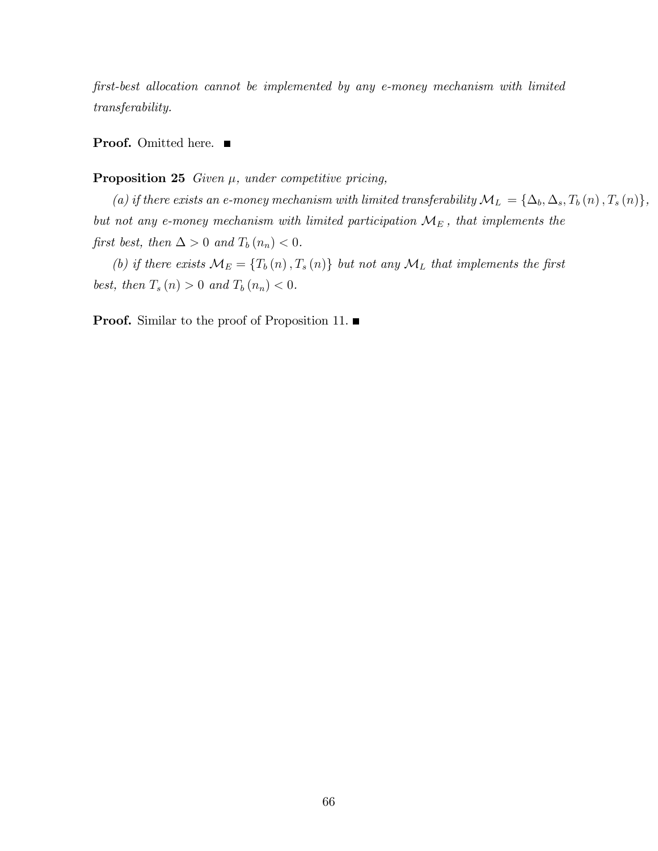first-best allocation cannot be implemented by any e-money mechanism with limited transferability.

**Proof.** Omitted here. ■

#### **Proposition 25** Given  $\mu$ , under competitive pricing,

(a) if there exists an e-money mechanism with limited transferability  $\mathcal{M}_L = {\Delta_b, \Delta_s, T_b(n), T_s(n)},$ but not any e-money mechanism with limited participation  $\mathcal{M}_{E}$ , that implements the first best, then  $\Delta > 0$  and  $T_b(n_n) < 0$ .

(b) if there exists  $\mathcal{M}_E = \{T_b(n), T_s(n)\}\$  but not any  $\mathcal{M}_L$  that implements the first best, then  $T_s(n) > 0$  and  $T_b(n_n) < 0$ .

**Proof.** Similar to the proof of Proposition 11.  $\blacksquare$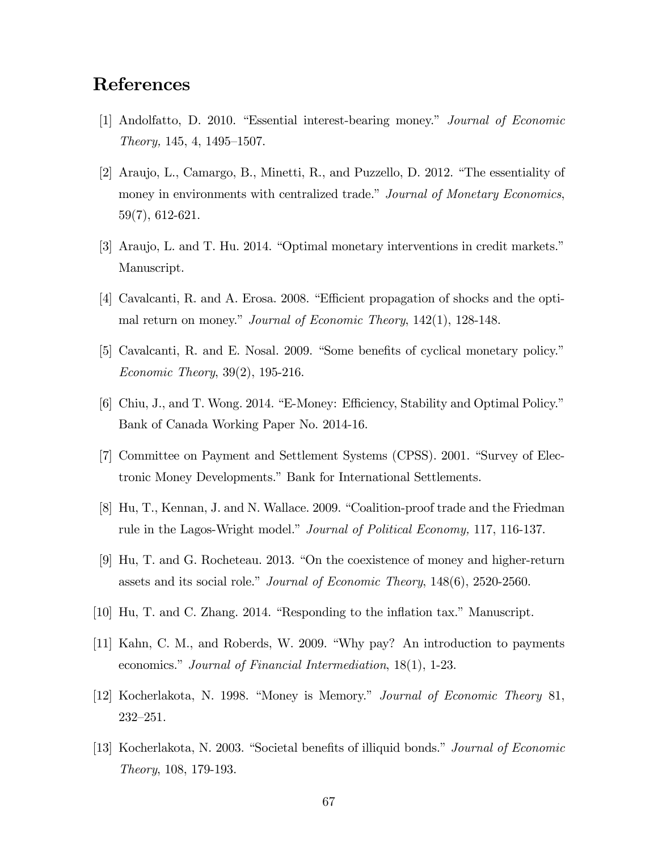## References

- [1] Andolfatto, D. 2010. "Essential interest-bearing money." Journal of Economic  $Theory, 145, 4, 1495–1507.$
- [2] Araujo, L., Camargo, B., Minetti, R., and Puzzello, D. 2012. "The essentiality of money in environments with centralized trade." Journal of Monetary Economics, 59(7), 612-621.
- [3] Araujo, L. and T. Hu. 2014. "Optimal monetary interventions in credit markets." Manuscript.
- [4] Cavalcanti, R. and A. Erosa. 2008. "Efficient propagation of shocks and the optimal return on money." Journal of Economic Theory,  $142(1)$ ,  $128-148$ .
- [5] Cavalcanti, R. and E. Nosal. 2009. "Some benefits of cyclical monetary policy." Economic Theory, 39(2), 195-216.
- [6] Chiu, J., and T. Wong. 2014. "E-Money: Efficiency, Stability and Optimal Policy." Bank of Canada Working Paper No. 2014-16.
- [7] Committee on Payment and Settlement Systems (CPSS). 2001. "Survey of Electronic Money Developments." Bank for International Settlements.
- [8] Hu, T., Kennan, J. and N. Wallace. 2009. "Coalition-proof trade and the Friedman rule in the Lagos-Wright model." Journal of Political Economy, 117, 116-137.
- [9] Hu, T. and G. Rocheteau. 2013. "On the coexistence of money and higher-return assets and its social role." Journal of Economic Theory,  $148(6)$ ,  $2520-2560$ .
- $[10]$  Hu, T. and C. Zhang. 2014. "Responding to the inflation tax." Manuscript.
- $[11]$  Kahn, C. M., and Roberds, W. 2009. "Why pay? An introduction to payments economics." Journal of Financial Intermediation, 18(1), 1-23.
- [12] Kocherlakota, N. 1998. "Money is Memory." *Journal of Economic Theory* 81,  $232 - 251.$
- [13] Kocherlakota, N. 2003. "Societal benefits of illiquid bonds." *Journal of Economic* Theory, 108, 179-193.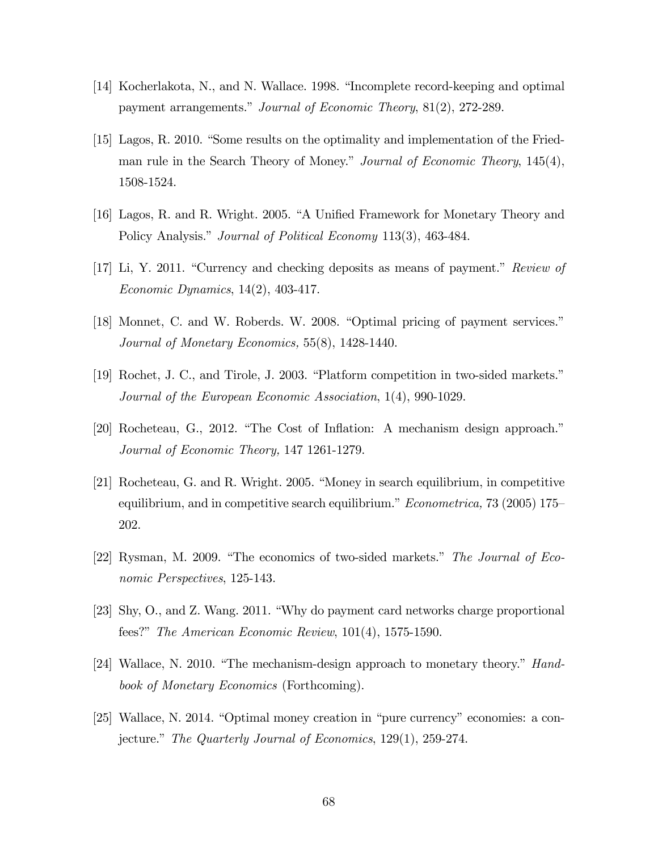- [14] Kocherlakota, N., and N. Wallace. 1998. "Incomplete record-keeping and optimal payment arrangements." Journal of Economic Theory, 81(2), 272-289.
- $[15]$  Lagos, R. 2010. "Some results on the optimality and implementation of the Friedman rule in the Search Theory of Money." Journal of Economic Theory, 145(4), 1508-1524.
- [16] Lagos, R. and R. Wright. 2005. "A Unified Framework for Monetary Theory and Policy Analysis." Journal of Political Economy 113(3), 463-484.
- [17] Li, Y. 2011. "Currency and checking deposits as means of payment." Review of Economic Dynamics, 14(2), 403-417.
- [18] Monnet, C. and W. Roberds. W. 2008. "Optimal pricing of payment services." Journal of Monetary Economics, 55(8), 1428-1440.
- $[19]$  Rochet, J. C., and Tirole, J. 2003. "Platform competition in two-sided markets." Journal of the European Economic Association, 1(4), 990-1029.
- [20] Rocheteau, G., 2012. "The Cost of Inflation: A mechanism design approach." Journal of Economic Theory, 147 1261-1279.
- $[21]$  Rocheteau, G. and R. Wright. 2005. "Money in search equilibrium, in competitive equilibrium, and in competitive search equilibrium." *Econometrica*, 73 (2005) 175– 202.
- [22] Rysman, M. 2009. "The economics of two-sided markets." The Journal of Economic Perspectives, 125-143.
- [23] Shy, O., and Z. Wang. 2011. "Why do payment card networks charge proportional fees?" The American Economic Review,  $101(4)$ , 1575-1590.
- [24] Wallace, N. 2010. "The mechanism-design approach to monetary theory."  $Hand$ book of Monetary Economics (Forthcoming).
- $[25]$  Wallace, N. 2014. "Optimal money creation in "pure currency" economies: a conjecture." The Quarterly Journal of Economics,  $129(1)$ ,  $259-274$ .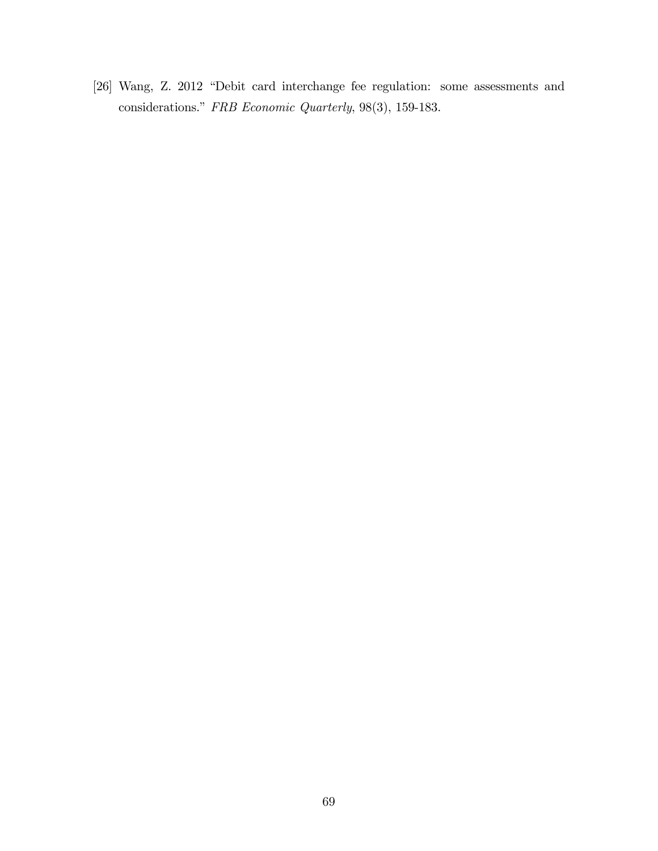[26] Wang, Z. 2012 "Debit card interchange fee regulation: some assessments and considerations."  $FRB$   $Economic \; Quarterly,$   $98(3),$   $159\text{-}183.$